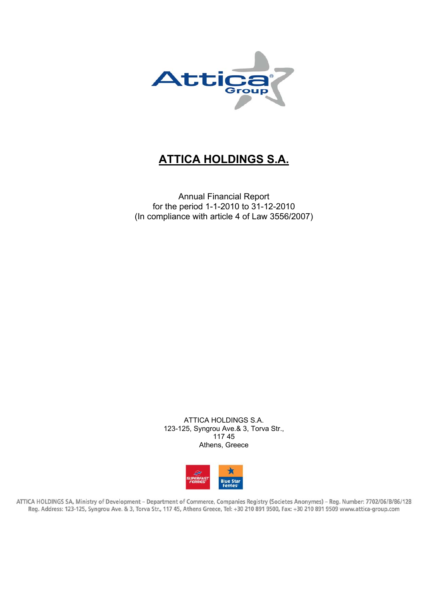

# **ATTICA HOLDINGS S.A.**

Annual Financial Report for the period 1-1-2010 to 31-12-2010 (In compliance with article 4 of Law 3556/2007)

> ATTICA HOLDINGS S.A. 123-125, Syngrou Ave.& 3, Torva Str., 117 45 Athens, Greece



ATTICA HOLDINGS SA, Ministry of Development - Department of Commerce, Companies Registry (Societes Anonymes) - Reg. Number: 7702/06/B/86/128 Reg. Address: 123-125, Syngrou Ave. & 3, Torva Str., 117 45, Athens Greece, Tel: +30 210 891 9500, Fax: +30 210 891 9509 www.attica-group.com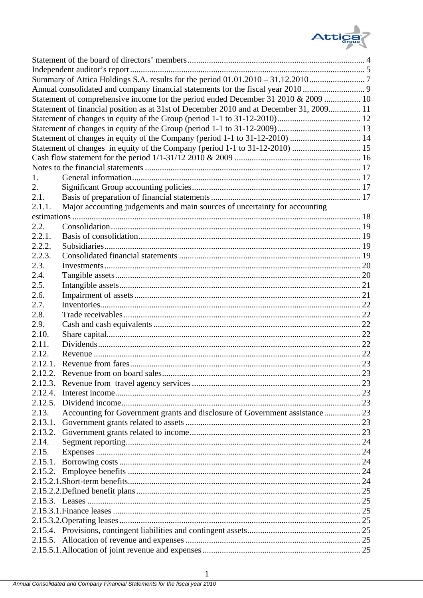

|         | Annual consolidated and company financial statements for the fiscal year 2010           |  |
|---------|-----------------------------------------------------------------------------------------|--|
|         | Statement of comprehensive income for the period ended December 31 2010 & 2009  10      |  |
|         | Statement of financial position as at 31st of December 2010 and at December 31, 2009 11 |  |
|         |                                                                                         |  |
|         |                                                                                         |  |
|         | Statement of changes in equity of the Company (period 1-1 to 31-12-2010)  14            |  |
|         | Statement of changes in equity of the Company (period 1-1 to 31-12-2010)  15            |  |
|         |                                                                                         |  |
|         |                                                                                         |  |
| 1.      |                                                                                         |  |
| 2.      |                                                                                         |  |
| 2.1.    |                                                                                         |  |
| 2.1.1.  | Major accounting judgements and main sources of uncertainty for accounting              |  |
|         |                                                                                         |  |
| 2.2.    |                                                                                         |  |
| 2.2.1.  |                                                                                         |  |
| 2.2.2.  |                                                                                         |  |
| 2.2.3.  |                                                                                         |  |
| 2.3.    |                                                                                         |  |
| 2.4.    |                                                                                         |  |
| 2.5.    |                                                                                         |  |
| 2.6.    |                                                                                         |  |
| 2.7.    |                                                                                         |  |
| 2.8.    |                                                                                         |  |
| 2.9.    |                                                                                         |  |
| 2.10.   |                                                                                         |  |
| 2.11.   |                                                                                         |  |
| 2.12.   |                                                                                         |  |
| 2.12.1. |                                                                                         |  |
| 2.12.2. |                                                                                         |  |
| 2.12.3. |                                                                                         |  |
| 2.12.4. |                                                                                         |  |
|         |                                                                                         |  |
|         |                                                                                         |  |
| 2.13.   | Accounting for Government grants and disclosure of Government assistance 23             |  |
| 2.13.1. |                                                                                         |  |
|         |                                                                                         |  |
| 2.14.   |                                                                                         |  |
| 2.15.   |                                                                                         |  |
| 2.15.1. |                                                                                         |  |
|         |                                                                                         |  |
|         |                                                                                         |  |
|         |                                                                                         |  |
|         |                                                                                         |  |
|         |                                                                                         |  |
|         |                                                                                         |  |
|         |                                                                                         |  |
|         |                                                                                         |  |
|         |                                                                                         |  |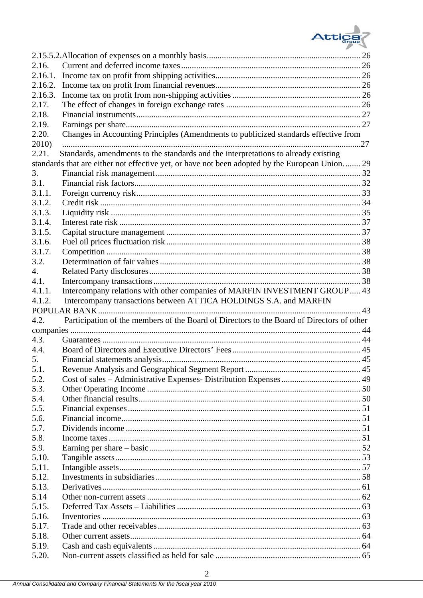

| 2.16.          |                                                                                                |      |
|----------------|------------------------------------------------------------------------------------------------|------|
| 2.16.1.        |                                                                                                |      |
| 2.16.2.        |                                                                                                |      |
| 2.16.3.        |                                                                                                |      |
| 2.17.          |                                                                                                |      |
| 2.18.          |                                                                                                |      |
| 2.19.          |                                                                                                |      |
| 2.20.          | Changes in Accounting Principles (Amendments to publicized standards effective from            |      |
| 2010)          |                                                                                                | 27   |
| 2.21.          | Standards, amendments to the standards and the interpretations to already existing             |      |
|                | standards that are either not effective yet, or have not been adopted by the European Union 29 |      |
| 3.             |                                                                                                |      |
| 3.1.           |                                                                                                |      |
| 3.1.1.         |                                                                                                |      |
| 3.1.2.         |                                                                                                |      |
| 3.1.3.         |                                                                                                |      |
| 3.1.4.         |                                                                                                |      |
| 3.1.5.         |                                                                                                |      |
| 3.1.6.         |                                                                                                |      |
| 3.1.7.         |                                                                                                |      |
| 3.2.           |                                                                                                |      |
| 4.             |                                                                                                |      |
| 4.1.           |                                                                                                |      |
| 4.1.1.         | Intercompany relations with other companies of MARFIN INVESTMENT GROUP 43                      |      |
| 4.1.2.         | Intercompany transactions between ATTICA HOLDINGS S.A. and MARFIN                              |      |
|                |                                                                                                |      |
|                | POPULAR BANK.                                                                                  | . 43 |
| 4.2.           | Participation of the members of the Board of Directors to the Board of Directors of other      |      |
|                |                                                                                                |      |
| 4.3.           |                                                                                                |      |
| 4.4.           |                                                                                                |      |
| 5.             |                                                                                                |      |
| 5.1.           |                                                                                                |      |
| 5.2.           |                                                                                                |      |
| 5.3.           |                                                                                                |      |
| 5.4.           |                                                                                                |      |
| 5.5.           |                                                                                                |      |
| 5.6.           |                                                                                                |      |
| 5.7.           |                                                                                                |      |
| 5.8.           |                                                                                                |      |
| 5.9.           |                                                                                                |      |
| 5.10.          |                                                                                                |      |
| 5.11.          |                                                                                                |      |
| 5.12.          |                                                                                                |      |
| 5.13.          |                                                                                                |      |
| 5.14           |                                                                                                |      |
| 5.15.          |                                                                                                |      |
| 5.16.          |                                                                                                |      |
| 5.17.          |                                                                                                |      |
| 5.18.          |                                                                                                |      |
| 5.19.<br>5.20. |                                                                                                |      |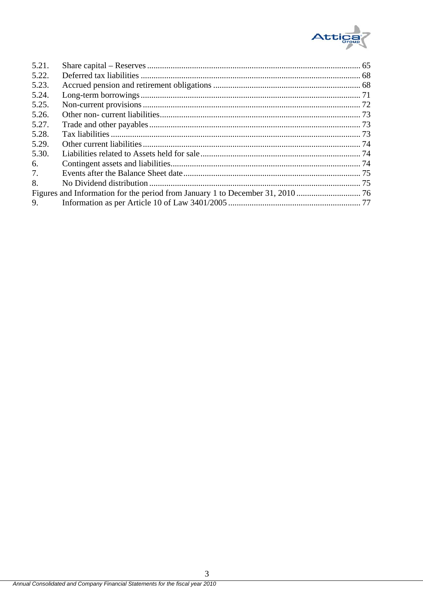

| 5.21. |  |
|-------|--|
| 5.22. |  |
| 5.23. |  |
| 5.24. |  |
| 5.25. |  |
| 5.26. |  |
| 5.27. |  |
| 5.28. |  |
| 5.29. |  |
| 5.30. |  |
| 6.    |  |
| 7.    |  |
| 8.    |  |
|       |  |
| 9.    |  |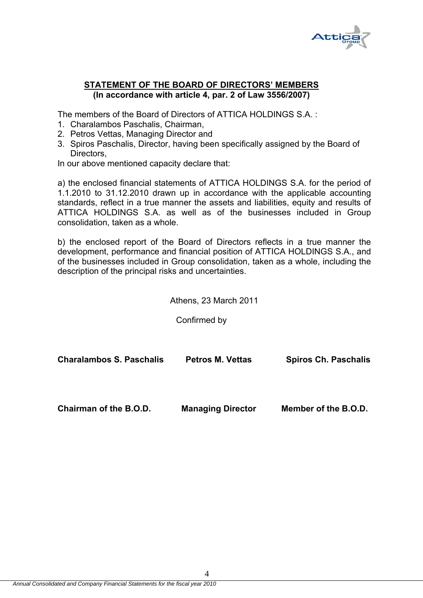

# **STATEMENT OF THE BOARD OF DIRECTORS' MEMBERS (In accordance with article 4, par. 2 of Law 3556/2007)**

The members of the Board of Directors of ATTICA HOLDINGS S.A. :

- 1. Charalambos Paschalis, Chairman,
- 2. Petros Vettas, Managing Director and
- 3. Spiros Paschalis, Director, having been specifically assigned by the Board of Directors,

In our above mentioned capacity declare that:

a) the enclosed financial statements of ATTICA HOLDINGS S.A. for the period of 1.1.2010 to 31.12.2010 drawn up in accordance with the applicable accounting standards, reflect in a true manner the assets and liabilities, equity and results of ATTICA HOLDINGS S.A. as well as of the businesses included in Group consolidation, taken as a whole.

b) the enclosed report of the Board of Directors reflects in a true manner the development, performance and financial position of ATTICA HOLDINGS S.A., and of the businesses included in Group consolidation, taken as a whole, including the description of the principal risks and uncertainties.

Athens, 23 March 2011

Confirmed by

| <b>Charalambos S. Paschalis</b> | <b>Petros M. Vettas</b>  | <b>Spiros Ch. Paschalis</b> |  |  |
|---------------------------------|--------------------------|-----------------------------|--|--|
| Chairman of the B.O.D.          | <b>Managing Director</b> | Member of the B.O.D.        |  |  |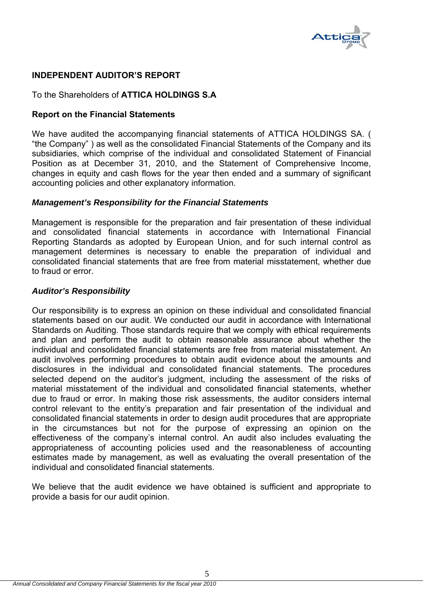

# **INDEPENDENT AUDITOR'S REPORT**

# To the Shareholders of **ATTICA HOLDINGS S.A**

# **Report on the Financial Statements**

We have audited the accompanying financial statements of ATTICA HOLDINGS SA. ( "the Company" ) as well as the consolidated Financial Statements of the Company and its subsidiaries, which comprise of the individual and consolidated Statement of Financial Position as at December 31, 2010, and the Statement of Comprehensive Income, changes in equity and cash flows for the year then ended and a summary of significant accounting policies and other explanatory information.

### *Management's Responsibility for the Financial Statements*

Management is responsible for the preparation and fair presentation of these individual and consolidated financial statements in accordance with International Financial Reporting Standards as adopted by European Union, and for such internal control as management determines is necessary to enable the preparation of individual and consolidated financial statements that are free from material misstatement, whether due to fraud or error.

### *Auditor's Responsibility*

Our responsibility is to express an opinion on these individual and consolidated financial statements based on our audit. We conducted our audit in accordance with International Standards on Auditing. Those standards require that we comply with ethical requirements and plan and perform the audit to obtain reasonable assurance about whether the individual and consolidated financial statements are free from material misstatement. An audit involves performing procedures to obtain audit evidence about the amounts and disclosures in the individual and consolidated financial statements. The procedures selected depend on the auditor's judgment, including the assessment of the risks of material misstatement of the individual and consolidated financial statements, whether due to fraud or error. In making those risk assessments, the auditor considers internal control relevant to the entity's preparation and fair presentation of the individual and consolidated financial statements in order to design audit procedures that are appropriate in the circumstances but not for the purpose of expressing an opinion on the effectiveness of the company's internal control. An audit also includes evaluating the appropriateness of accounting policies used and the reasonableness of accounting estimates made by management, as well as evaluating the overall presentation of the individual and consolidated financial statements.

We believe that the audit evidence we have obtained is sufficient and appropriate to provide a basis for our audit opinion.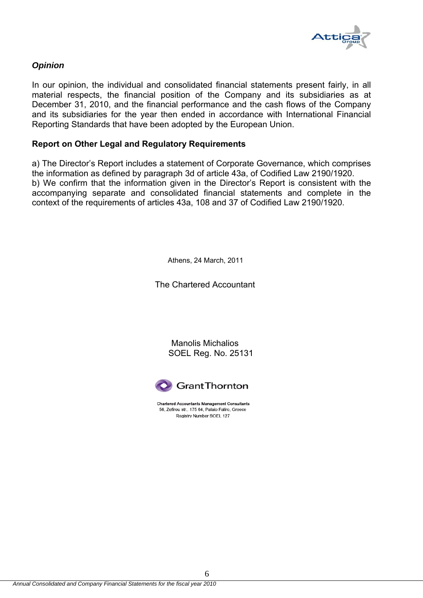

# *Opinion*

In our opinion, the individual and consolidated financial statements present fairly, in all material respects, the financial position of the Company and its subsidiaries as at December 31, 2010, and the financial performance and the cash flows of the Company and its subsidiaries for the year then ended in accordance with International Financial Reporting Standards that have been adopted by the European Union.

# **Report on Other Legal and Regulatory Requirements**

a) The Director's Report includes a statement of Corporate Governance, which comprises the information as defined by paragraph 3d of article 43a, of Codified Law 2190/1920. b) We confirm that the information given in the Director's Report is consistent with the accompanying separate and consolidated financial statements and complete in the context of the requirements of articles 43a, 108 and 37 of Codified Law 2190/1920.

Athens, 24 March, 2011

The Chartered Accountant

Manolis Michalios SOEL Reg. No. 25131



**Chartered Accountants Management Consultants** 56, Zefirou str., 175 64, Palaio Faliro, Greece Registry Number SOEL 127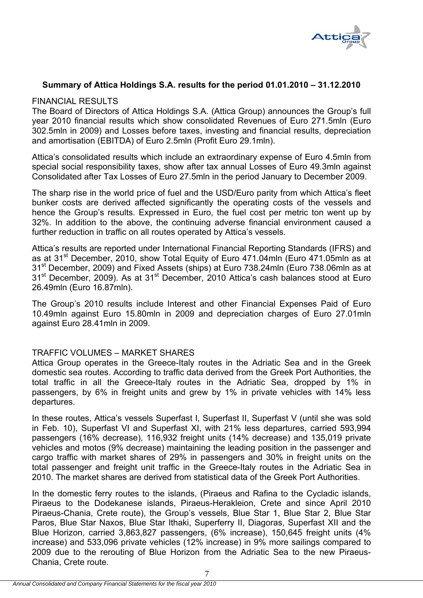

# **Summary of Attica Holdings S.A. results for the period 01.01.2010 – 31.12.2010**

### FINANCIAL RESULTS

The Board of Directors of Attica Holdings S.A. (Attica Group) announces the Group's full year 2010 financial results which show consolidated Revenues of Euro 271.5mln (Euro 302.5mln in 2009) and Losses before taxes, investing and financial results, depreciation and amortisation (EBITDA) of Euro 2.5mln (Profit Euro 29.1mln).

Attica's consolidated results which include an extraordinary expense of Euro 4.5mln from special social responsibility taxes, show after tax annual Losses of Euro 49.3mln against Consolidated after Tax Losses of Euro 27.5mln in the period January to December 2009.

The sharp rise in the world price of fuel and the USD/Euro parity from which Attica's fleet bunker costs are derived affected significantly the operating costs of the vessels and hence the Group's results. Expressed in Euro, the fuel cost per metric ton went up by 32%. In addition to the above, the continuing adverse financial environment caused a further reduction in traffic on all routes operated by Attica's vessels.

Attica's results are reported under International Financial Reporting Standards (IFRS) and as at 31<sup>st</sup> December, 2010, show Total Equity of Euro 471.04mln (Euro 471.05mln as at 31<sup>st</sup> December, 2009) and Fixed Assets (ships) at Euro 738.24mln (Euro 738.06mln as at 31<sup>st</sup> December, 2009). As at 31<sup>st</sup> December, 2010 Attica's cash balances stood at Euro 26.49mln (Euro 16.87mln).

The Group's 2010 results include Interest and other Financial Expenses Paid of Euro 10.49mln against Euro 15.80mln in 2009 and depreciation charges of Euro 27.01mln against Euro 28.41mln in 2009.

# TRAFFIC VOLUMES – MARKET SHARES

Attica Group operates in the Greece-Italy routes in the Adriatic Sea and in the Greek domestic sea routes. According to traffic data derived from the Greek Port Authorities, the total traffic in all the Greece-Italy routes in the Adriatic Sea, dropped by 1% in passengers, by 6% in freight units and grew by 1% in private vehicles with 14% less departures.

In these routes, Attica's vessels Superfast I, Superfast II, Superfast V (until she was sold in Feb. 10), Superfast VI and Superfast XI, with 21% less departures, carried 593,994 passengers (16% decrease), 116,932 freight units (14% decrease) and 135,019 private vehicles and motos (9% decrease) maintaining the leading position in the passenger and cargo traffic with market shares of 29% in passengers and 30% in freight units on the total passenger and freight unit traffic in the Greece-Italy routes in the Adriatic Sea in 2010. The market shares are derived from statistical data of the Greek Port Authorities.

In the domestic ferry routes to the islands, (Piraeus and Rafina to the Cycladic islands, Piraeus to the Dodekanese islands, Piraeus-Herakleion, Crete and since April 2010 Piraeus-Chania, Crete route), the Group's vessels, Blue Star 1, Blue Star 2, Blue Star Paros, Blue Star Naxos, Blue Star Ithaki, Superferry II, Diagoras, Superfast XII and the Blue Horizon, carried 3,863,827 passengers, (6% increase), 150,645 freight units (4% increase) and 533,096 private vehicles (12% increase) in 9% more sailings compared to 2009 due to the rerouting of Blue Horizon from the Adriatic Sea to the new Piraeus-Chania, Crete route.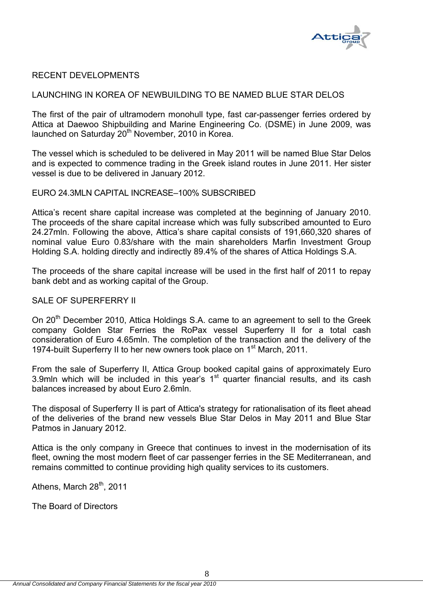

# RECENT DEVELOPMENTS

#### LAUNCHING IN KOREA OF NEWBUILDING TO BE NAMED BLUE STAR DELOS

The first of the pair of ultramodern monohull type, fast car-passenger ferries ordered by Attica at Daewoo Shipbuilding and Marine Engineering Co. (DSME) in June 2009, was launched on Saturday 20<sup>th</sup> November, 2010 in Korea.

The vessel which is scheduled to be delivered in May 2011 will be named Blue Star Delos and is expected to commence trading in the Greek island routes in June 2011. Her sister vessel is due to be delivered in January 2012.

# EURO 24.3MLN CAPITAL INCREASE–100% SUBSCRIBED

Attica's recent share capital increase was completed at the beginning of January 2010. The proceeds of the share capital increase which was fully subscribed amounted to Euro 24.27mln. Following the above, Attica's share capital consists of 191,660,320 shares of nominal value Euro 0.83/share with the main shareholders Marfin Investment Group Holding S.A. holding directly and indirectly 89.4% of the shares of Attica Holdings S.A.

The proceeds of the share capital increase will be used in the first half of 2011 to repay bank debt and as working capital of the Group.

#### SALE OF SUPERFERRY II

On 20<sup>th</sup> December 2010, Attica Holdings S.A. came to an agreement to sell to the Greek company Golden Star Ferries the RoPax vessel Superferry II for a total cash consideration of Euro 4.65mln. The completion of the transaction and the delivery of the 1974-built Superferry II to her new owners took place on 1<sup>st</sup> March, 2011.

From the sale of Superferry II, Attica Group booked capital gains of approximately Euro 3.9mln which will be included in this year's  $1<sup>st</sup>$  quarter financial results, and its cash balances increased by about Euro 2.6mln.

The disposal of Superferry II is part of Attica's strategy for rationalisation of its fleet ahead of the deliveries of the brand new vessels Blue Star Delos in May 2011 and Blue Star Patmos in January 2012.

Attica is the only company in Greece that continues to invest in the modernisation of its fleet, owning the most modern fleet of car passenger ferries in the SE Mediterranean, and remains committed to continue providing high quality services to its customers.

Athens, March 28<sup>th</sup>, 2011

The Board of Directors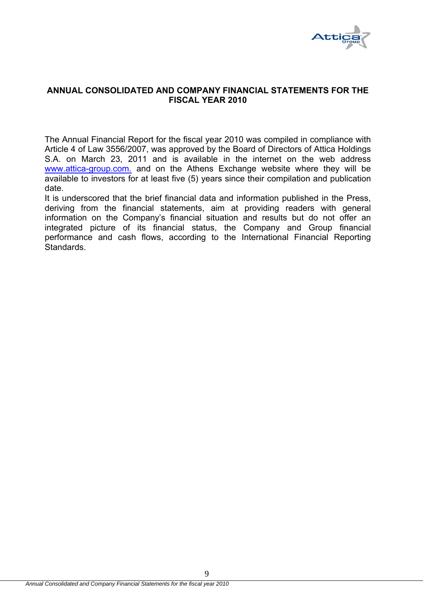

# **ANNUAL CONSOLIDATED AND COMPANY FINANCIAL STATEMENTS FOR THE FISCAL YEAR 2010**

The Annual Financial Report for the fiscal year 2010 was compiled in compliance with Article 4 of Law 3556/2007, was approved by the Board of Directors of Attica Holdings S.A. on March 23, 2011 and is available in the internet on the web address www.attica-group.com. and on the Athens Exchange website where they will be available to investors for at least five (5) years since their compilation and publication date.

It is underscored that the brief financial data and information published in the Press, deriving from the financial statements, aim at providing readers with general information on the Company's financial situation and results but do not offer an integrated picture of its financial status, the Company and Group financial performance and cash flows, according to the International Financial Reporting Standards.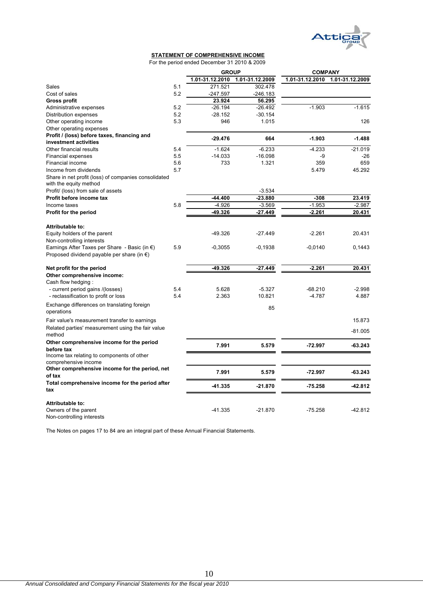

#### **STATEMENT OF COMPREHENSIVE INCOME**

For the period ended December 31 2010 & 2009

|                                                         |     | <b>GROUP</b>    |                 | <b>COMPANY</b>  |                 |  |
|---------------------------------------------------------|-----|-----------------|-----------------|-----------------|-----------------|--|
|                                                         |     | 1.01-31.12.2010 | 1.01-31.12.2009 | 1.01-31.12.2010 | 1.01-31.12.2009 |  |
| Sales                                                   | 5.1 | 271.521         | 302.478         |                 |                 |  |
| Cost of sales                                           | 5.2 | $-247.597$      | $-246.183$      |                 |                 |  |
| <b>Gross profit</b>                                     |     | 23.924          | 56.295          |                 |                 |  |
| Administrative expenses                                 | 5.2 | $-26.194$       | $-26.492$       | $-1.903$        | $-1.615$        |  |
| Distribution expenses                                   | 5.2 | $-28.152$       | $-30.154$       |                 |                 |  |
| Other operating income                                  | 5.3 | 946             | 1.015           |                 | 126             |  |
| Other operating expenses                                |     |                 |                 |                 |                 |  |
| Profit / (loss) before taxes, financing and             |     |                 |                 |                 |                 |  |
| investment activities                                   |     | $-29.476$       | 664             | $-1.903$        | $-1.488$        |  |
| Other financial results                                 | 5.4 | $-1.624$        | $-6.233$        | $-4.233$        | $-21.019$       |  |
| <b>Financial expenses</b>                               | 5.5 | $-14.033$       | $-16.098$       | -9              | $-26$           |  |
| Financial income                                        | 5.6 | 733             | 1.321           | 359             | 659             |  |
| Income from dividends                                   | 5.7 |                 |                 | 5.479           | 45.292          |  |
| Share in net profit (loss) of companies consolidated    |     |                 |                 |                 |                 |  |
| with the equity method                                  |     |                 |                 |                 |                 |  |
| Profit/ (loss) from sale of assets                      |     |                 | $-3.534$        |                 |                 |  |
| Profit before income tax                                |     | $-44.400$       | $-23.880$       | $-308$          | 23.419          |  |
| Income taxes                                            | 5.8 | $-4.926$        | $-3.569$        | $-1.953$        | $-2.987$        |  |
| Profit for the period                                   |     | -49.326         | -27.449         | $-2.261$        | 20.431          |  |
|                                                         |     |                 |                 |                 |                 |  |
| Attributable to:                                        |     |                 |                 |                 |                 |  |
|                                                         |     | $-49.326$       | $-27.449$       | $-2.261$        | 20.431          |  |
| Equity holders of the parent                            |     |                 |                 |                 |                 |  |
| Non-controlling interests                               |     |                 |                 |                 |                 |  |
| Earnings After Taxes per Share - Basic (in $\epsilon$ ) | 5.9 | $-0,3055$       | $-0,1938$       | $-0,0140$       | 0,1443          |  |
| Proposed dividend payable per share (in $\epsilon$ )    |     |                 |                 |                 |                 |  |
| Net profit for the period                               |     | $-49.326$       | $-27.449$       | $-2.261$        | 20.431          |  |
| Other comprehensive income:                             |     |                 |                 |                 |                 |  |
| Cash flow hedging:                                      |     |                 |                 |                 |                 |  |
| - current period gains /(losses)                        | 5.4 | 5.628           | $-5.327$        | $-68.210$       | $-2.998$        |  |
| - reclassification to profit or loss                    | 5.4 | 2.363           | 10.821          | $-4.787$        | 4.887           |  |
|                                                         |     |                 |                 |                 |                 |  |
| Exchange differences on translating foreign             |     |                 | 85              |                 |                 |  |
| operations                                              |     |                 |                 |                 |                 |  |
| Fair value's measurement transfer to earnings           |     |                 |                 |                 | 15.873          |  |
| Related parties' measurement using the fair value       |     |                 |                 |                 |                 |  |
| method                                                  |     |                 |                 |                 | $-81.005$       |  |
| Other comprehensive income for the period               |     |                 |                 |                 |                 |  |
| before tax                                              |     | 7.991           | 5.579           | $-72.997$       | $-63.243$       |  |
| Income tax relating to components of other              |     |                 |                 |                 |                 |  |
| comprehensive income                                    |     |                 |                 |                 |                 |  |
| Other comprehensive income for the period, net          |     | 7.991           | 5.579           | $-72.997$       | $-63.243$       |  |
| of tax                                                  |     |                 |                 |                 |                 |  |
| Total comprehensive income for the period after         |     | $-41.335$       |                 | $-75.258$       | $-42.812$       |  |
| tax                                                     |     |                 | $-21.870$       |                 |                 |  |
|                                                         |     |                 |                 |                 |                 |  |
| Attributable to:                                        |     |                 |                 |                 |                 |  |
| Owners of the parent                                    |     | $-41.335$       | $-21.870$       | $-75.258$       | $-42.812$       |  |
| Non-controlling interests                               |     |                 |                 |                 |                 |  |

The Notes on pages 17 to 84 are an integral part of these Annual Financial Statements.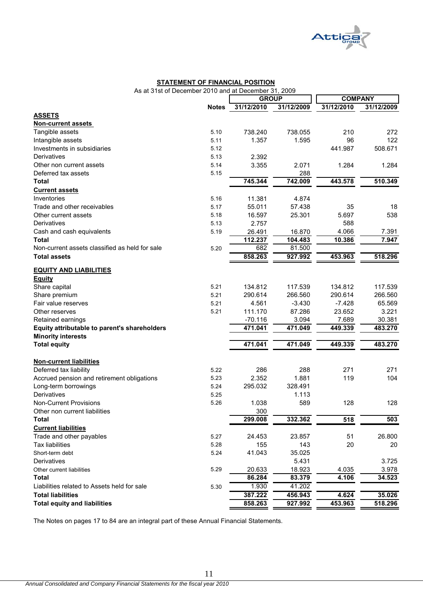

#### **STATEMENT OF FINANCIAL POSITION**

As at 31st of December 2010 and at December 31, 2009

|                                                                   |              | <b>GROUP</b>         |                  | <b>COMPANY</b>   |                   |
|-------------------------------------------------------------------|--------------|----------------------|------------------|------------------|-------------------|
|                                                                   | <b>Notes</b> | 31/12/2010           | 31/12/2009       | 31/12/2010       | 31/12/2009        |
| <b>ASSETS</b>                                                     |              |                      |                  |                  |                   |
| <b>Non-current assets</b>                                         |              |                      |                  |                  |                   |
| Tangible assets                                                   | 5.10         | 738.240              | 738.055          | 210              | 272               |
| Intangible assets                                                 | 5.11         | 1.357                | 1.595            | 96               | 122               |
| Investments in subsidiaries                                       | 5.12         |                      |                  | 441.987          | 508.671           |
| Derivatives                                                       | 5.13         | 2.392                |                  |                  |                   |
| Other non current assets                                          | 5.14         | 3.355                | 2.071            | 1.284            | 1.284             |
| Deferred tax assets                                               | 5.15         |                      | 288              |                  |                   |
| <b>Total</b>                                                      |              | 745.344              | 742.009          | 443.578          | 510.349           |
| <b>Current assets</b>                                             |              |                      |                  |                  |                   |
| Inventories                                                       | 5.16         | 11.381               | 4.874            |                  |                   |
| Trade and other receivables                                       | 5.17         | 55.011               | 57.438           | 35               | 18                |
| Other current assets                                              | 5.18         | 16.597               | 25.301           | 5.697            | 538               |
| Derivatives                                                       | 5.13         | 2.757                |                  | 588              |                   |
| Cash and cash equivalents                                         | 5.19         | 26.491               | 16.870           | 4.066            | 7.391             |
| <b>Total</b>                                                      |              | 112.237              | 104.483          | 10.386           | 7.947             |
| Non-current assets classified as held for sale                    | 5.20         | 682                  | 81.500           |                  |                   |
| <b>Total assets</b>                                               |              | 858.263              | 927.992          | 453.963          | 518.296           |
|                                                                   |              |                      |                  |                  |                   |
| <b>EQUITY AND LIABILITIES</b>                                     |              |                      |                  |                  |                   |
| <b>Equity</b>                                                     |              |                      | 117.539          |                  |                   |
| Share capital                                                     | 5.21         | 134.812              |                  | 134.812          | 117.539           |
| Share premium<br>Fair value reserves                              | 5.21<br>5.21 | 290.614              | 266.560          | 290.614          | 266.560           |
|                                                                   | 5.21         | 4.561<br>111.170     | $-3.430$         | $-7.428$         | 65.569<br>3.221   |
| Other reserves                                                    |              |                      | 87.286           | 23.652           |                   |
| Retained earnings<br>Equity attributable to parent's shareholders |              | $-70.116$<br>471.041 | 3.094<br>471.049 | 7.689<br>449.339 | 30.381<br>483.270 |
| <b>Minority interests</b>                                         |              |                      |                  |                  |                   |
| <b>Total equity</b>                                               |              | 471.041              | 471.049          | 449.339          | 483.270           |
|                                                                   |              |                      |                  |                  |                   |
| <b>Non-current liabilities</b>                                    |              |                      |                  |                  |                   |
| Deferred tax liability                                            | 5.22         | 286                  | 288              | 271              | 271               |
| Accrued pension and retirement obligations                        | 5.23         | 2.352                | 1.881            | 119              | 104               |
| Long-term borrowings                                              | 5.24         | 295.032              | 328.491          |                  |                   |
| Derivatives                                                       | 5.25         |                      | 1.113            |                  |                   |
| <b>Non-Current Provisions</b>                                     | 5.26         | 1.038                | 589              | 128              | 128               |
| Other non current liabilities                                     |              | 300                  |                  |                  |                   |
| <b>Total</b>                                                      |              | 299.008              | 332.362          | 518              | 503               |
| <b>Current liabilities</b>                                        |              |                      |                  |                  |                   |
| Trade and other payables                                          | 5.27         | 24.453               | 23.857           | 51               | 26.800            |
| <b>Tax liabilities</b>                                            | 5.28         | 155                  | 143              | 20               | 20                |
| Short-term debt                                                   | 5.24         | 41.043               | 35.025           |                  |                   |
| Derivatives                                                       |              |                      | 5.431            |                  | 3.725             |
| Other current liabilities                                         | 5.29         | 20.633               | 18.923           | 4.035            | 3.978             |
| <b>Total</b>                                                      |              | 86.284               | 83.379           | 4.106            | 34.523            |
| Liabilities related to Assets held for sale                       | 5.30         | 1.930                | 41.202           |                  |                   |
| <b>Total liabilities</b>                                          |              | 387.222              | 456.943          | 4.624            | 35.026            |
| <b>Total equity and liabilities</b>                               |              | 858.263              | 927.992          | 453.963          | 518.296           |
|                                                                   |              |                      |                  |                  |                   |

The Notes on pages 17 to 84 are an integral part of these Annual Financial Statements.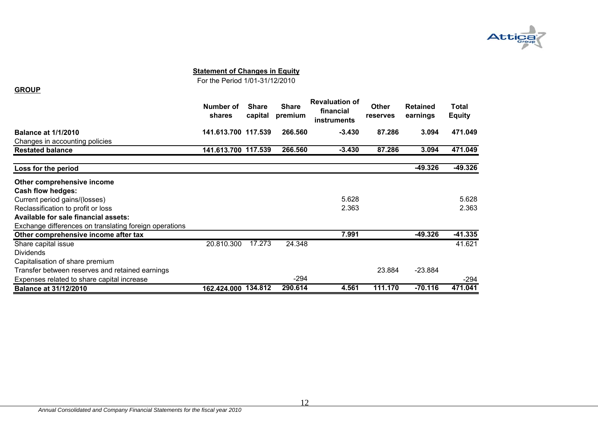

#### **Statement of Changes in Equity**

For the Period 1/01-31/12/2010

|                                                        | Number of<br>shares | <b>Share</b><br>capital | <b>Share</b><br>premium | <b>Revaluation of</b><br>financial<br>instruments | <b>Other</b><br>reserves | <b>Retained</b><br>earnings | Total<br><b>Equity</b> |
|--------------------------------------------------------|---------------------|-------------------------|-------------------------|---------------------------------------------------|--------------------------|-----------------------------|------------------------|
| <b>Balance at 1/1/2010</b>                             | 141.613.700 117.539 |                         | 266.560                 | $-3.430$                                          | 87.286                   | 3.094                       | 471.049                |
| Changes in accounting policies                         |                     |                         |                         |                                                   |                          |                             |                        |
| <b>Restated balance</b>                                | 141.613.700 117.539 |                         | 266,560                 | $-3.430$                                          | 87.286                   | 3.094                       | 471.049                |
| Loss for the period                                    |                     |                         |                         |                                                   |                          | $-49.326$                   | $-49.326$              |
| Other comprehensive income                             |                     |                         |                         |                                                   |                          |                             |                        |
| <b>Cash flow hedges:</b>                               |                     |                         |                         |                                                   |                          |                             |                        |
| Current period gains/(losses)                          |                     |                         |                         | 5.628                                             |                          |                             | 5.628                  |
| Reclassification to profit or loss                     |                     |                         |                         | 2.363                                             |                          |                             | 2.363                  |
| Available for sale financial assets:                   |                     |                         |                         |                                                   |                          |                             |                        |
| Exchange differences on translating foreign operations |                     |                         |                         |                                                   |                          |                             |                        |
| Other comprehensive income after tax                   |                     |                         |                         | 7.991                                             |                          | $-49.326$                   | $-41.335$              |
| Share capital issue                                    | 20.810.300          | 17.273                  | 24.348                  |                                                   |                          |                             | 41.621                 |
| <b>Dividends</b>                                       |                     |                         |                         |                                                   |                          |                             |                        |
| Capitalisation of share premium                        |                     |                         |                         |                                                   |                          |                             |                        |
| Transfer between reserves and retained earnings        |                     |                         |                         |                                                   | 23.884                   | $-23.884$                   |                        |
| Expenses related to share capital increase             |                     |                         | -294                    |                                                   |                          |                             | -294                   |
| <b>Balance at 31/12/2010</b>                           | 162.424.000         | 134.812                 | 290.614                 | 4.561                                             | 111.170                  | $-70.116$                   | 471.041                |

**GROUP**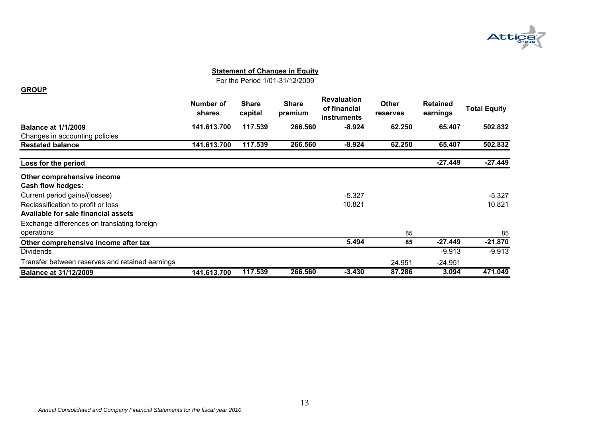

#### **Statement of Changes in Equity**

For the Period 1/01-31/12/2009

#### **GROUP**

|                                                 | Number of<br>shares | <b>Share</b><br>capital | <b>Share</b><br>premium | <b>Revaluation</b><br>of financial<br>instruments | <b>Other</b><br>reserves | <b>Retained</b><br>earnings | <b>Total Equity</b> |
|-------------------------------------------------|---------------------|-------------------------|-------------------------|---------------------------------------------------|--------------------------|-----------------------------|---------------------|
| <b>Balance at 1/1/2009</b>                      | 141.613.700         | 117.539                 | 266,560                 | $-8.924$                                          | 62.250                   | 65.407                      | 502.832             |
| Changes in accounting policies                  |                     |                         |                         |                                                   |                          |                             |                     |
| <b>Restated balance</b>                         | 141.613.700         | 117.539                 | 266.560                 | $-8.924$                                          | 62.250                   | 65.407                      | 502.832             |
| Loss for the period                             |                     |                         |                         |                                                   |                          | $-27.449$                   | $-27.449$           |
| Other comprehensive income                      |                     |                         |                         |                                                   |                          |                             |                     |
| <b>Cash flow hedges:</b>                        |                     |                         |                         |                                                   |                          |                             |                     |
| Current period gains/(losses)                   |                     |                         |                         | $-5.327$                                          |                          |                             | $-5.327$            |
| Reclassification to profit or loss              |                     |                         |                         | 10.821                                            |                          |                             | 10.821              |
| Available for sale financial assets             |                     |                         |                         |                                                   |                          |                             |                     |
| Exchange differences on translating foreign     |                     |                         |                         |                                                   |                          |                             |                     |
| operations                                      |                     |                         |                         |                                                   | 85                       |                             | 85                  |
| Other comprehensive income after tax            |                     |                         |                         | 5.494                                             | 85                       | $-27.449$                   | $-21.870$           |
| <b>Dividends</b>                                |                     |                         |                         |                                                   |                          | $-9.913$                    | $-9.913$            |
| Transfer between reserves and retained earnings |                     |                         |                         |                                                   | 24.951                   | $-24.951$                   |                     |
| <b>Balance at 31/12/2009</b>                    | 141.613.700         | 117.539                 | 266,560                 | $-3.430$                                          | 87.286                   | 3.094                       | 471.049             |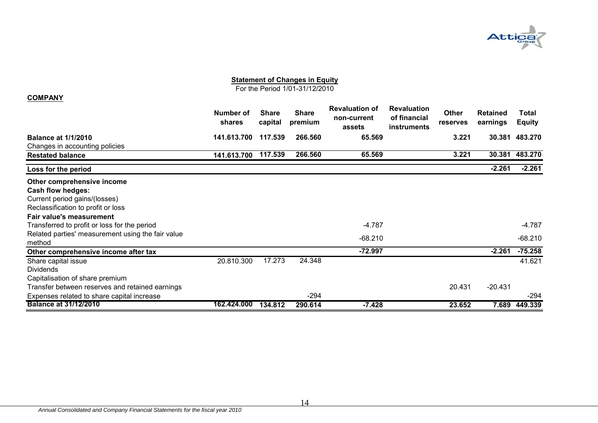

# **Statement of Changes in Equity**

For the Period 1/01-31/12/2010

#### **COMPANY**

|                                                   | Number of<br><b>shares</b> | <b>Share</b><br>capital | <b>Share</b><br>premium | <b>Revaluation of</b><br>non-current<br>assets | <b>Revaluation</b><br>of financial<br>instruments | <b>Other</b><br>reserves | <b>Retained</b><br>earnings | Total<br><b>Equity</b> |
|---------------------------------------------------|----------------------------|-------------------------|-------------------------|------------------------------------------------|---------------------------------------------------|--------------------------|-----------------------------|------------------------|
| <b>Balance at 1/1/2010</b>                        | 141.613.700                | 117.539                 | 266,560                 | 65.569                                         |                                                   | 3.221                    | 30.381                      | 483.270                |
| Changes in accounting policies                    |                            |                         |                         |                                                |                                                   |                          |                             |                        |
| <b>Restated balance</b>                           | 141.613.700                | 117.539                 | 266.560                 | 65.569                                         |                                                   | 3.221                    | 30.381                      | 483.270                |
| Loss for the period                               |                            |                         |                         |                                                |                                                   |                          | $-2.261$                    | $-2.261$               |
| Other comprehensive income                        |                            |                         |                         |                                                |                                                   |                          |                             |                        |
| <b>Cash flow hedges:</b>                          |                            |                         |                         |                                                |                                                   |                          |                             |                        |
| Current period gains/(losses)                     |                            |                         |                         |                                                |                                                   |                          |                             |                        |
| Reclassification to profit or loss                |                            |                         |                         |                                                |                                                   |                          |                             |                        |
| Fair value's measurement                          |                            |                         |                         |                                                |                                                   |                          |                             |                        |
| Transferred to profit or loss for the period      |                            |                         |                         | $-4.787$                                       |                                                   |                          |                             | -4.787                 |
| Related parties' measurement using the fair value |                            |                         |                         |                                                |                                                   |                          |                             |                        |
| method                                            |                            |                         |                         | $-68.210$                                      |                                                   |                          |                             | $-68.210$              |
| Other comprehensive income after tax              |                            |                         |                         | $-72.997$                                      |                                                   |                          | $-2.261$                    | $-75.258$              |
| Share capital issue                               | 20.810.300                 | 17.273                  | 24.348                  |                                                |                                                   |                          |                             | 41.621                 |
| <b>Dividends</b>                                  |                            |                         |                         |                                                |                                                   |                          |                             |                        |
| Capitalisation of share premium                   |                            |                         |                         |                                                |                                                   |                          |                             |                        |
| Transfer between reserves and retained earnings   |                            |                         |                         |                                                |                                                   | 20.431                   | $-20.431$                   |                        |
| Expenses related to share capital increase        |                            |                         | $-294$                  |                                                |                                                   |                          |                             | -294                   |
| <b>Balance at 31/12/2010</b>                      | 162.424.000                | 134.812                 | 290.614                 | $-7.428$                                       |                                                   | 23.652                   | 7.689                       | 449.339                |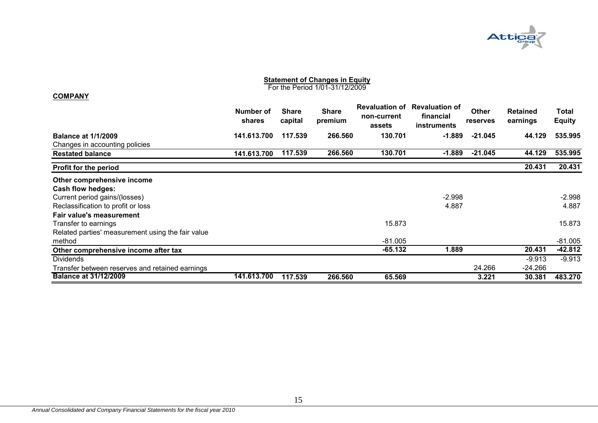

#### **Statement of Changes in Equity** For the Period 1/01-31/12/2009

#### **COMPANY**

|                                                   | Number of<br>shares | <b>Share</b><br>capital | <b>Share</b><br>premium | <b>Revaluation of</b><br>non-current<br>assets | <b>Revaluation of</b><br>financial<br><b>instruments</b> | <b>Other</b><br><b>reserves</b> | <b>Retained</b><br>earnings | Total<br><b>Equity</b> |
|---------------------------------------------------|---------------------|-------------------------|-------------------------|------------------------------------------------|----------------------------------------------------------|---------------------------------|-----------------------------|------------------------|
| <b>Balance at 1/1/2009</b>                        | 141.613.700         | 117.539                 | 266,560                 | 130.701                                        | $-1.889$                                                 | $-21.045$                       | 44.129                      | 535.995                |
| Changes in accounting policies                    |                     |                         |                         |                                                |                                                          |                                 |                             |                        |
| <b>Restated balance</b>                           | 141.613.700         | 117.539                 | 266.560                 | 130.701                                        | $-1.889$                                                 | $-21.045$                       | 44.129                      | 535.995                |
| <b>Profit for the period</b>                      |                     |                         |                         |                                                |                                                          |                                 | 20.431                      | 20.431                 |
| Other comprehensive income                        |                     |                         |                         |                                                |                                                          |                                 |                             |                        |
| <b>Cash flow hedges:</b>                          |                     |                         |                         |                                                |                                                          |                                 |                             |                        |
| Current period gains/(losses)                     |                     |                         |                         |                                                | $-2.998$                                                 |                                 |                             | $-2.998$               |
| Reclassification to profit or loss                |                     |                         |                         |                                                | 4.887                                                    |                                 |                             | 4.887                  |
| Fair value's measurement                          |                     |                         |                         |                                                |                                                          |                                 |                             |                        |
| Transfer to earnings                              |                     |                         |                         | 15.873                                         |                                                          |                                 |                             | 15.873                 |
| Related parties' measurement using the fair value |                     |                         |                         |                                                |                                                          |                                 |                             |                        |
| method                                            |                     |                         |                         | $-81.005$                                      |                                                          |                                 |                             | $-81.005$              |
| Other comprehensive income after tax              |                     |                         |                         | $-65.132$                                      | 1.889                                                    |                                 | 20.431                      | $-42.812$              |
| <b>Dividends</b>                                  |                     |                         |                         |                                                |                                                          |                                 | $-9.913$                    | $-9.913$               |
| Transfer between reserves and retained earnings   |                     |                         |                         |                                                |                                                          | 24.266                          | $-24.266$                   |                        |
| <b>Balance at 31/12/2009</b>                      | 141.613.700         | 117.539                 | 266.560                 | 65.569                                         |                                                          | 3.221                           | 30.381                      | 483.270                |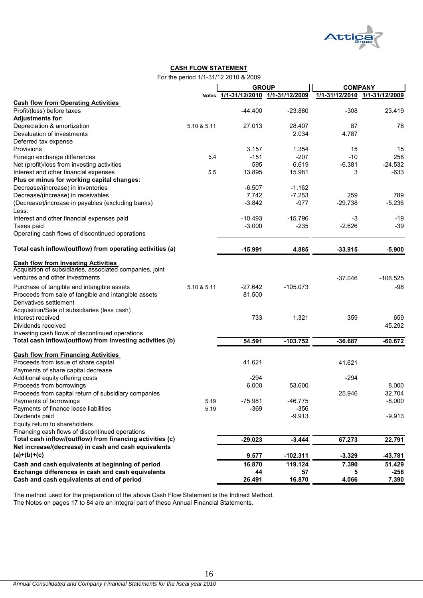

#### **CASH FLOW STATEMENT**

For the period 1/1-31/12 2010 & 2009

|                                                           |             | <b>GROUP</b>                  |            | <b>COMPANY</b> |                               |  |
|-----------------------------------------------------------|-------------|-------------------------------|------------|----------------|-------------------------------|--|
|                                                           | Notes       | 1/1-31/12/2010 1/1-31/12/2009 |            |                | 1/1-31/12/2010 1/1-31/12/2009 |  |
| <b>Cash flow from Operating Activities</b>                |             |                               |            |                |                               |  |
| Profit/(loss) before taxes                                |             | $-44.400$                     | $-23.880$  | $-308$         | 23.419                        |  |
| <b>Adjustments for:</b>                                   |             |                               |            |                |                               |  |
| Depreciation & amortization                               | 5.10 & 5.11 | 27.013                        | 28.407     | 87             | 78                            |  |
| Devaluation of investments                                |             |                               | 2.034      | 4.787          |                               |  |
| Deferred tax expense                                      |             |                               |            |                |                               |  |
| Provisions                                                |             | 3.157                         | 1.354      | 15             | 15                            |  |
| Foreign exchange differences                              | 5.4         | $-151$                        | $-207$     | $-10$          | 258                           |  |
| Net (profit)/loss from investing activities               |             | 595                           | 6.619      | $-6.381$       | $-24.532$                     |  |
| Interest and other financial expenses                     | 5.5         | 13.895                        | 15.981     | 3              | $-633$                        |  |
| Plus or minus for working capital changes:                |             |                               |            |                |                               |  |
| Decrease/(increase) in inventories                        |             | $-6.507$                      | $-1.162$   |                |                               |  |
| Decrease/(increase) in receivables                        |             | 7.742                         | $-7.253$   | 259            | 789                           |  |
| (Decrease)/increase in payables (excluding banks)         |             | $-3.842$                      | $-977$     | $-29.738$      | $-5.236$                      |  |
| Less:                                                     |             |                               |            |                |                               |  |
| Interest and other financial expenses paid                |             | $-10.493$                     | $-15.796$  | $-3$           | $-19$                         |  |
| Taxes paid                                                |             | $-3.000$                      | $-235$     | $-2.626$       | -39                           |  |
| Operating cash flows of discontinued operations           |             |                               |            |                |                               |  |
| Total cash inflow/(outflow) from operating activities (a) |             | $-15.991$                     | 4.885      | $-33.915$      | $-5.900$                      |  |
| <b>Cash flow from Investing Activities</b>                |             |                               |            |                |                               |  |
| Acquisition of subsidiaries, associated companies, joint  |             |                               |            |                |                               |  |
| ventures and other investments                            |             |                               |            | $-37.046$      | $-106.525$                    |  |
| Purchase of tangible and intangible assets                | 5.10 & 5.11 | $-27.642$                     | $-105.073$ |                | -98                           |  |
| Proceeds from sale of tangible and intangible assets      |             | 81.500                        |            |                |                               |  |
| Derivatives settlement                                    |             |                               |            |                |                               |  |
| Acquisition/Sale of subsidiaries (less cash)              |             |                               |            |                |                               |  |
| Interest received                                         |             | 733                           | 1.321      | 359            | 659                           |  |
| Dividends received                                        |             |                               |            |                | 45.292                        |  |
| Investing cash flows of discontinued operations           |             |                               |            |                |                               |  |
| Total cash inflow/(outflow) from investing activities (b) |             | 54.591                        | $-103.752$ | $-36.687$      | $-60.672$                     |  |
|                                                           |             |                               |            |                |                               |  |
| <b>Cash flow from Financing Activities</b>                |             |                               |            |                |                               |  |
| Proceeds from issue of share capital                      |             | 41.621                        |            | 41.621         |                               |  |
| Payments of share capital decrease                        |             |                               |            |                |                               |  |
| Additional equity offering costs                          |             | -294                          |            | $-294$         |                               |  |
| Proceeds from borrowings                                  |             | 6.000                         | 53.600     |                | 8.000                         |  |
| Proceeds from capital return of subsidiary companies      |             |                               |            | 25.946         | 32.704                        |  |
| Payments of borrowings                                    | 5.19        | $-75.981$                     | $-46.775$  |                | $-8.000$                      |  |
| Payments of finance lease liabilities                     | 5.19        | $-369$                        | $-356$     |                |                               |  |
| Dividends paid                                            |             |                               | $-9.913$   |                | $-9.913$                      |  |
| Equity return to shareholders                             |             |                               |            |                |                               |  |
| Financing cash flows of discontinued operations           |             |                               |            |                |                               |  |
| Total cash inflow/(outflow) from financing activities (c) |             | $-29.023$                     | $-3.444$   | 67.273         | 22.791                        |  |
| Net increase/(decrease) in cash and cash equivalents      |             |                               |            |                |                               |  |
| $(a)+(b)+(c)$                                             |             | 9.577                         | $-102.311$ | $-3.329$       | -43.781                       |  |
| Cash and cash equivalents at beginning of period          |             | 16.870                        | 119.124    | 7.390          | 51.429                        |  |
| Exchange differences in cash and cash equivalents         |             | 44                            | 57         | 5              | $-258$                        |  |
| Cash and cash equivalents at end of period                |             | 26.491                        | 16.870     | 4.066          | 7.390                         |  |

The method used for the preparation of the above Cash Flow Statement is the Indirect Method. The Notes on pages 17 to 84 are an integral part of these Annual Financial Statements.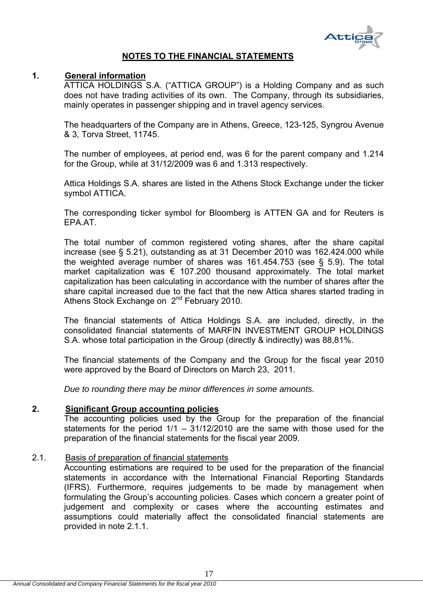

# **NOTES TO THE FINANCIAL STATEMENTS**

# **1. General information**

ATTICA HOLDINGS S.A. ("ATTICA GROUP") is a Holding Company and as such does not have trading activities of its own. The Company, through its subsidiaries, mainly operates in passenger shipping and in travel agency services.

The headquarters of the Company are in Athens, Greece, 123-125, Syngrou Avenue & 3, Torva Street, 11745.

The number of employees, at period end, was 6 for the parent company and 1.214 for the Group, while at 31/12/2009 was 6 and 1.313 respectively.

Attica Holdings S.A. shares are listed in the Athens Stock Exchange under the ticker symbol ATTICA.

The corresponding ticker symbol for Bloomberg is ATTEN GA and for Reuters is EPA.AT.

The total number of common registered voting shares, after the share capital increase (see § 5.21), outstanding as at 31 December 2010 was 162.424.000 while the weighted average number of shares was 161.454.753 (see § 5.9). The total market capitalization was  $\epsilon$  107.200 thousand approximately. The total market capitalization has been calculating in accordance with the number of shares after the share capital increased due to the fact that the new Attica shares started trading in Athens Stock Exchange on 2<sup>nd</sup> February 2010.

The financial statements of Attica Holdings S.A. are included, directly, in the consolidated financial statements of MARFIN INVESTMENT GROUP HOLDINGS S.A. whose total participation in the Group (directly & indirectly) was 88,81%.

The financial statements of the Company and the Group for the fiscal year 2010 were approved by the Board of Directors on March 23, 2011.

*Due to rounding there may be minor differences in some amounts.* 

#### **2. Significant Group accounting policies**

The accounting policies used by the Group for the preparation of the financial statements for the period 1/1 – 31/12/2010 are the same with those used for the preparation of the financial statements for the fiscal year 2009.

# 2.1. Basis of preparation of financial statements

Accounting estimations are required to be used for the preparation of the financial statements in accordance with the International Financial Reporting Standards (IFRS). Furthermore, requires judgements to be made by management when formulating the Group's accounting policies. Cases which concern a greater point of judgement and complexity or cases where the accounting estimates and assumptions could materially affect the consolidated financial statements are provided in note 2.1.1.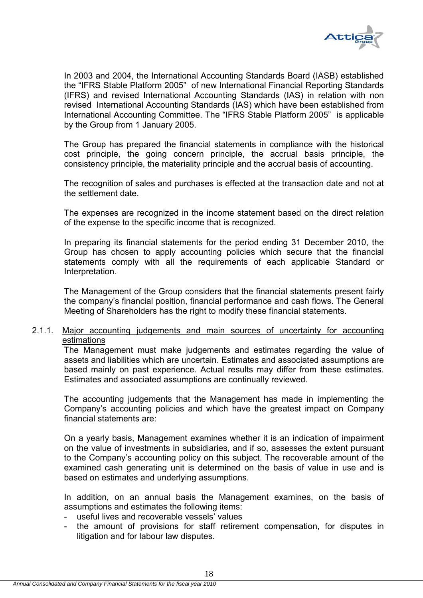

In 2003 and 2004, the International Accounting Standards Board (IASB) established the "IFRS Stable Platform 2005" of new International Financial Reporting Standards (IFRS) and revised International Accounting Standards (IAS) in relation with non revised International Accounting Standards (IAS) which have been established from International Accounting Committee. The "IFRS Stable Platform 2005" is applicable by the Group from 1 January 2005.

The Group has prepared the financial statements in compliance with the historical cost principle, the going concern principle, the accrual basis principle, the consistency principle, the materiality principle and the accrual basis of accounting.

The recognition of sales and purchases is effected at the transaction date and not at the settlement date.

The expenses are recognized in the income statement based on the direct relation of the expense to the specific income that is recognized.

In preparing its financial statements for the period ending 31 December 2010, the Group has chosen to apply accounting policies which secure that the financial statements comply with all the requirements of each applicable Standard or Interpretation.

The Management of the Group considers that the financial statements present fairly the company's financial position, financial performance and cash flows. The General Meeting of Shareholders has the right to modify these financial statements.

#### 2.1.1. Major accounting judgements and main sources of uncertainty for accounting estimations

The Management must make judgements and estimates regarding the value of assets and liabilities which are uncertain. Estimates and associated assumptions are based mainly on past experience. Actual results may differ from these estimates. Estimates and associated assumptions are continually reviewed.

The accounting judgements that the Management has made in implementing the Company's accounting policies and which have the greatest impact on Company financial statements are:

On a yearly basis, Management examines whether it is an indication of impairment on the value of investments in subsidiaries, and if so, assesses the extent pursuant to the Company's accounting policy on this subject. The recoverable amount of the examined cash generating unit is determined on the basis of value in use and is based on estimates and underlying assumptions.

In addition, on an annual basis the Management examines, on the basis of assumptions and estimates the following items:

- useful lives and recoverable vessels' values
- the amount of provisions for staff retirement compensation, for disputes in litigation and for labour law disputes.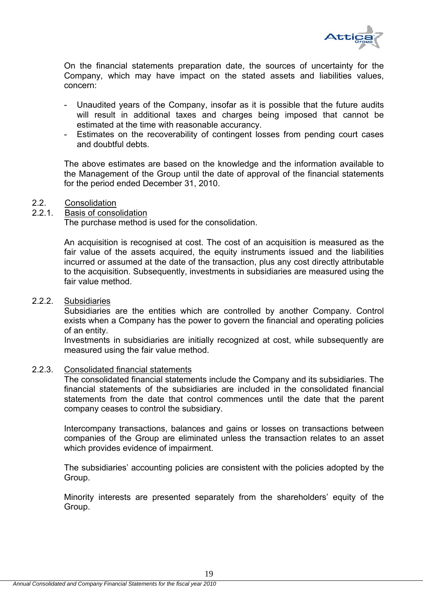

On the financial statements preparation date, the sources of uncertainty for the Company, which may have impact on the stated assets and liabilities values, concern:

- Unaudited years of the Company, insofar as it is possible that the future audits will result in additional taxes and charges being imposed that cannot be estimated at the time with reasonable accurancy.
- Estimates on the recoverability of contingent losses from pending court cases and doubtful debts.

 The above estimates are based οn the knowledge and the information available to the Management of the Group until the date of approval of the financial statements for the period ended December 31, 2010.

#### 2.2. Consolidation

#### 2.2.1. Basis of consolidation

The purchase method is used for the consolidation.

An acquisition is recognised at cost. The cost of an acquisition is measured as the fair value of the assets acquired, the equity instruments issued and the liabilities incurred or assumed at the date of the transaction, plus any cost directly attributable to the acquisition. Subsequently, investments in subsidiaries are measured using the fair value method.

#### 2.2.2. Subsidiaries

Subsidiaries are the entities which are controlled by another Company. Control exists when a Company has the power to govern the financial and operating policies of an entity.

Investments in subsidiaries are initially recognized at cost, while subsequently are measured using the fair value method.

#### 2.2.3. Consolidated financial statements

The consolidated financial statements include the Company and its subsidiaries. The financial statements of the subsidiaries are included in the consolidated financial statements from the date that control commences until the date that the parent company ceases to control the subsidiary.

Intercompany transactions, balances and gains or losses on transactions between companies of the Group are eliminated unless the transaction relates to an asset which provides evidence of impairment.

The subsidiaries' accounting policies are consistent with the policies adopted by the Group.

Minority interests are presented separately from the shareholders' equity of the Group.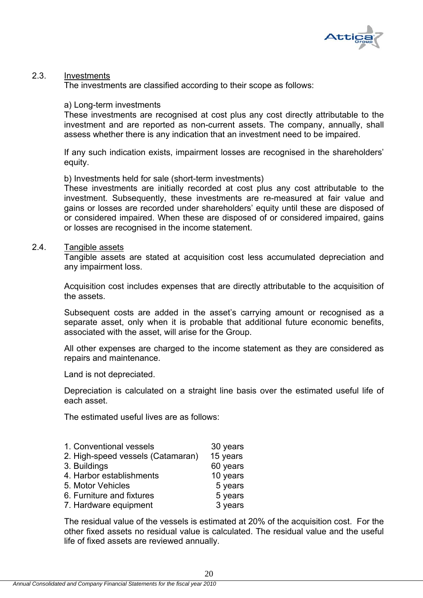

# 2.3. Investments

The investments are classified according to their scope as follows:

#### a) Long-term investments

These investments are recognised at cost plus any cost directly attributable to the investment and are reported as non-current assets. The company, annually, shall assess whether there is any indication that an investment need to be impaired.

If any such indication exists, impairment losses are recognised in the shareholders' equity.

#### b) Investments held for sale (short-term investments)

These investments are initially recorded at cost plus any cost attributable to the investment. Subsequently, these investments are re-measured at fair value and gains or losses are recorded under shareholders' equity until these are disposed of or considered impaired. When these are disposed of or considered impaired, gains or losses are recognised in the income statement.

#### 2.4. Tangible assets

Tangible assets are stated at acquisition cost less accumulated depreciation and any impairment loss.

Acquisition cost includes expenses that are directly attributable to the acquisition of the assets.

Subsequent costs are added in the asset's carrying amount or recognised as a separate asset, only when it is probable that additional future economic benefits, associated with the asset, will arise for the Group.

All other expenses are charged to the income statement as they are considered as repairs and maintenance.

Land is not depreciated.

Depreciation is calculated on a straight line basis over the estimated useful life of each asset.

The estimated useful lives are as follows:

| 1. Conventional vessels           | 30 years |
|-----------------------------------|----------|
| 2. High-speed vessels (Catamaran) | 15 years |
| 3. Buildings                      | 60 years |
| 4. Harbor establishments          | 10 years |
| 5. Motor Vehicles                 | 5 years  |
| 6. Furniture and fixtures         | 5 years  |
| 7. Hardware equipment             | 3 years  |
|                                   |          |

The residual value of the vessels is estimated at 20% of the acquisition cost. For the other fixed assets no residual value is calculated. The residual value and the useful life of fixed assets are reviewed annually.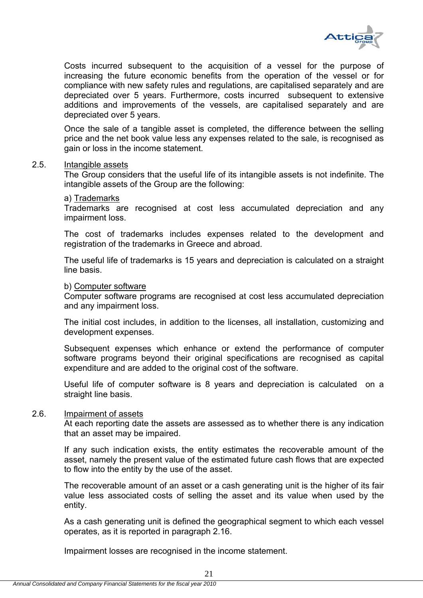

Costs incurred subsequent to the acquisition of a vessel for the purpose of increasing the future economic benefits from the operation of the vessel or for compliance with new safety rules and regulations, are capitalised separately and are depreciated over 5 years. Furthermore, costs incurred subsequent to extensive additions and improvements of the vessels, are capitalised separately and are depreciated over 5 years.

Once the sale of a tangible asset is completed, the difference between the selling price and the net book value less any expenses related to the sale, is recognised as gain or loss in the income statement.

#### 2.5. Intangible assets

The Group considers that the useful life of its intangible assets is not indefinite. The intangible assets of the Group are the following:

#### a) Trademarks

Trademarks are recognised at cost less accumulated depreciation and any impairment loss.

The cost of trademarks includes expenses related to the development and registration of the trademarks in Greece and abroad.

The useful life of trademarks is 15 years and depreciation is calculated on a straight line basis.

#### b) Computer software

Computer software programs are recognised at cost less accumulated depreciation and any impairment loss.

The initial cost includes, in addition to the licenses, all installation, customizing and development expenses.

Subsequent expenses which enhance or extend the performance of computer software programs beyond their original specifications are recognised as capital expenditure and are added to the original cost of the software.

Useful life of computer software is 8 years and depreciation is calculated on a straight line basis.

#### 2.6. Impairment of assets

At each reporting date the assets are assessed as to whether there is any indication that an asset may be impaired.

If any such indication exists, the entity estimates the recoverable amount of the asset, namely the present value of the estimated future cash flows that are expected to flow into the entity by the use of the asset.

The recoverable amount of an asset or a cash generating unit is the higher of its fair value less associated costs of selling the asset and its value when used by the entity.

As a cash generating unit is defined the geographical segment to which each vessel operates, as it is reported in paragraph 2.16.

Impairment losses are recognised in the income statement.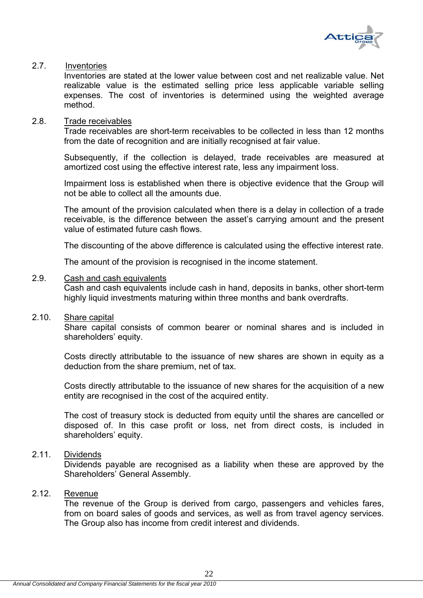

# 2.7. Inventories

Inventories are stated at the lower value between cost and net realizable value. Net realizable value is the estimated selling price less applicable variable selling expenses. The cost of inventories is determined using the weighted average method.

#### 2.8. Trade receivables

Trade receivables are short-term receivables to be collected in less than 12 months from the date of recognition and are initially recognised at fair value.

Subsequently, if the collection is delayed, trade receivables are measured at amortized cost using the effective interest rate, less any impairment loss.

Impairment loss is established when there is objective evidence that the Group will not be able to collect all the amounts due.

The amount of the provision calculated when there is a delay in collection of a trade receivable, is the difference between the asset's carrying amount and the present value of estimated future cash flows.

The discounting of the above difference is calculated using the effective interest rate.

The amount of the provision is recognised in the income statement.

# 2.9. Cash and cash equivalents

Cash and cash equivalents include cash in hand, deposits in banks, other short-term highly liquid investments maturing within three months and bank overdrafts.

#### 2.10. Share capital

Share capital consists of common bearer or nominal shares and is included in shareholders' equity.

Costs directly attributable to the issuance of new shares are shown in equity as a deduction from the share premium, net of tax.

Costs directly attributable to the issuance of new shares for the acquisition of a new entity are recognised in the cost of the acquired entity.

The cost of treasury stock is deducted from equity until the shares are cancelled or disposed of. In this case profit or loss, net from direct costs, is included in shareholders' equity.

# 2.11. Dividends

Dividends payable are recognised as a liability when these are approved by the Shareholders' General Assembly.

# 2.12. Revenue

The revenue of the Group is derived from cargo, passengers and vehicles fares, from on board sales of goods and services, as well as from travel agency services. The Group also has income from credit interest and dividends.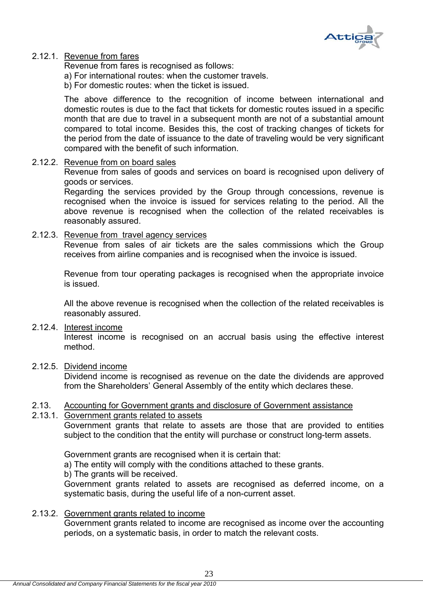

# 2.12.1. Revenue from fares

Revenue from fares is recognised as follows:

a) For international routes: when the customer travels.

b) For domestic routes: when the ticket is issued.

The above difference to the recognition of income between international and domestic routes is due to the fact that tickets for domestic routes issued in a specific month that are due to travel in a subsequent month are not of a substantial amount compared to total income. Besides this, the cost of tracking changes of tickets for the period from the date of issuance to the date of traveling would be very significant compared with the benefit of such information.

### 2.12.2. Revenue from on board sales

Revenue from sales of goods and services on board is recognised upon delivery of goods or services.

Regarding the services provided by the Group through concessions, revenue is recognised when the invoice is issued for services relating to the period. All the above revenue is recognised when the collection of the related receivables is reasonably assured.

# 2.12.3. Revenue from travel agency services

Revenue from sales of air tickets are the sales commissions which the Group receives from airline companies and is recognised when the invoice is issued.

Revenue from tour operating packages is recognised when the appropriate invoice is issued.

All the above revenue is recognised when the collection of the related receivables is reasonably assured.

# 2.12.4. Interest income

Interest income is recognised on an accrual basis using the effective interest method.

#### 2.12.5. Dividend income

Dividend income is recognised as revenue on the date the dividends are approved from the Shareholders' General Assembly of the entity which declares these.

#### 2.13. Accounting for Government grants and disclosure of Government assistance

### 2.13.1. Government grants related to assets

Government grants that relate to assets are those that are provided to entities subject to the condition that the entity will purchase or construct long-term assets.

Government grants are recognised when it is certain that:

a) The entity will comply with the conditions attached to these grants.

b) The grants will be received.

Government grants related to assets are recognised as deferred income, on a systematic basis, during the useful life of a non-current asset.

# 2.13.2. Government grants related to income

Government grants related to income are recognised as income over the accounting periods, on a systematic basis, in order to match the relevant costs.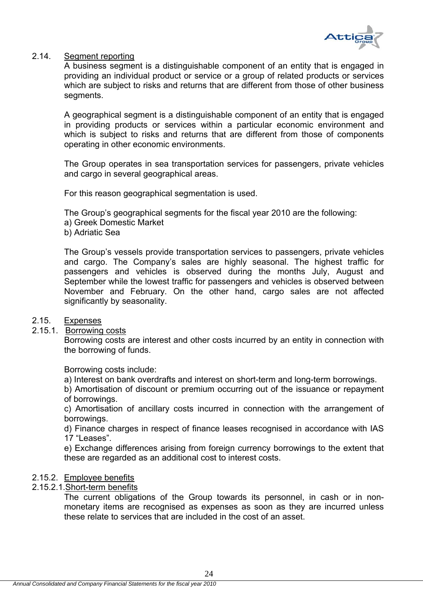

#### 2.14. Segment reporting

A business segment is a distinguishable component of an entity that is engaged in providing an individual product or service or a group of related products or services which are subject to risks and returns that are different from those of other business segments.

A geographical segment is a distinguishable component of an entity that is engaged in providing products or services within a particular economic environment and which is subject to risks and returns that are different from those of components operating in other economic environments.

The Group operates in sea transportation services for passengers, private vehicles and cargo in several geographical areas.

For this reason geographical segmentation is used.

The Group's geographical segments for the fiscal year 2010 are the following:

- a) Greek Domestic Market
- b) Adriatic Sea

The Group's vessels provide transportation services to passengers, private vehicles and cargo. The Company's sales are highly seasonal. The highest traffic for passengers and vehicles is observed during the months July, August and September while the lowest traffic for passengers and vehicles is observed between November and February. On the other hand, cargo sales are not affected significantly by seasonality.

# 2.15. Expenses

# 2.15.1. Borrowing costs

Borrowing costs are interest and other costs incurred by an entity in connection with the borrowing of funds.

Borrowing costs include:

a) Interest on bank overdrafts and interest on short-term and long-term borrowings.

b) Amortisation of discount or premium occurring out of the issuance or repayment of borrowings.

c) Amortisation of ancillary costs incurred in connection with the arrangement of borrowings.

d) Finance charges in respect of finance leases recognised in accordance with IAS 17 "Leases".

e) Exchange differences arising from foreign currency borrowings to the extent that these are regarded as an additional cost to interest costs.

# 2.15.2. Employee benefits

# 2.15.2.1.Short-term benefits

The current obligations of the Group towards its personnel, in cash or in nonmonetary items are recognised as expenses as soon as they are incurred unless these relate to services that are included in the cost of an asset.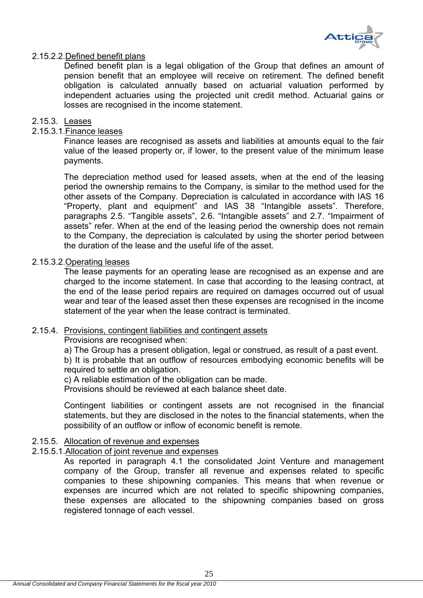

# 2.15.2.2.Defined benefit plans

Defined benefit plan is a legal obligation of the Group that defines an amount of pension benefit that an employee will receive on retirement. The defined benefit obligation is calculated annually based on actuarial valuation performed by independent actuaries using the projected unit credit method. Actuarial gains or losses are recognised in the income statement.

# 2.15.3. Leases

# 2.15.3.1.Finance leases

Finance leases are recognised as assets and liabilities at amounts equal to the fair value of the leased property or, if lower, to the present value of the minimum lease payments.

The depreciation method used for leased assets, when at the end of the leasing period the ownership remains to the Company, is similar to the method used for the other assets of the Company. Depreciation is calculated in accordance with IAS 16 "Property, plant and equipment" and IAS 38 "Intangible assets". Therefore, paragraphs 2.5. "Tangible assets", 2.6. "Intangible assets" and 2.7. "Impairment of assets" refer. When at the end of the leasing period the ownership does not remain to the Company, the depreciation is calculated by using the shorter period between the duration of the lease and the useful life of the asset.

### 2.15.3.2.Operating leases

The lease payments for an operating lease are recognised as an expense and are charged to the income statement. In case that according to the leasing contract, at the end of the lease period repairs are required on damages occurred out of usual wear and tear of the leased asset then these expenses are recognised in the income statement of the year when the lease contract is terminated.

#### 2.15.4. Provisions, contingent liabilities and contingent assets

Provisions are recognised when:

a) The Group has a present obligation, legal or construed, as result of a past event. b) It is probable that an outflow of resources embodying economic benefits will be required to settle an obligation.

c) A reliable estimation of the obligation can be made.

Provisions should be reviewed at each balance sheet date.

Contingent liabilities or contingent assets are not recognised in the financial statements, but they are disclosed in the notes to the financial statements, when the possibility of an outflow or inflow of economic benefit is remote.

### 2.15.5. Allocation of revenue and expenses

# 2.15.5.1.Allocation of joint revenue and expenses

As reported in paragraph 4.1 the consolidated Joint Venture and management company of the Group, transfer all revenue and expenses related to specific companies to these shipowning companies. This means that when revenue or expenses are incurred which are not related to specific shipowning companies, these expenses are allocated to the shipowning companies based on gross registered tonnage of each vessel.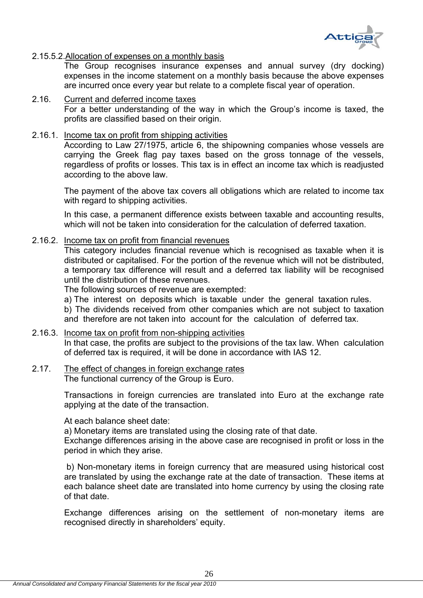

### 2.15.5.2.Allocation of expenses on a monthly basis

The Group recognises insurance expenses and annual survey (dry docking) expenses in the income statement on a monthly basis because the above expenses are incurred once every year but relate to a complete fiscal year of operation.

2.16. Current and deferred income taxes For a better understanding of the way in which the Group's income is taxed, the profits are classified based on their origin.

#### 2.16.1. Income tax on profit from shipping activities

According to Law 27/1975, article 6, the shipowning companies whose vessels are carrying the Greek flag pay taxes based on the gross tonnage of the vessels, regardless of profits or losses. This tax is in effect an income tax which is readjusted according to the above law.

The payment of the above tax covers all obligations which are related to income tax with regard to shipping activities.

In this case, a permanent difference exists between taxable and accounting results, which will not be taken into consideration for the calculation of deferred taxation.

#### 2.16.2. Income tax on profit from financial revenues

This category includes financial revenue which is recognised as taxable when it is distributed or capitalised. For the portion of the revenue which will not be distributed, a temporary tax difference will result and a deferred tax liability will be recognised until the distribution of these revenues.

The following sources of revenue are exempted:

a) The interest on deposits which is taxable under the general taxation rules.

b) The dividends received from other companies which are not subject to taxation and therefore are not taken into account for the calculation of deferred tax.

# 2.16.3. Income tax on profit from non-shipping activities In that case, the profits are subject to the provisions of the tax law. When calculation of deferred tax is required, it will be done in accordance with IAS 12.

#### 2.17. The effect of changes in foreign exchange rates The functional currency of the Group is Euro.

Transactions in foreign currencies are translated into Euro at the exchange rate applying at the date of the transaction.

At each balance sheet date:

a) Monetary items are translated using the closing rate of that date.

Exchange differences arising in the above case are recognised in profit or loss in the period in which they arise.

 b) Non-monetary items in foreign currency that are measured using historical cost are translated by using the exchange rate at the date of transaction. These items at each balance sheet date are translated into home currency by using the closing rate of that date.

Exchange differences arising on the settlement of non-monetary items are recognised directly in shareholders' equity.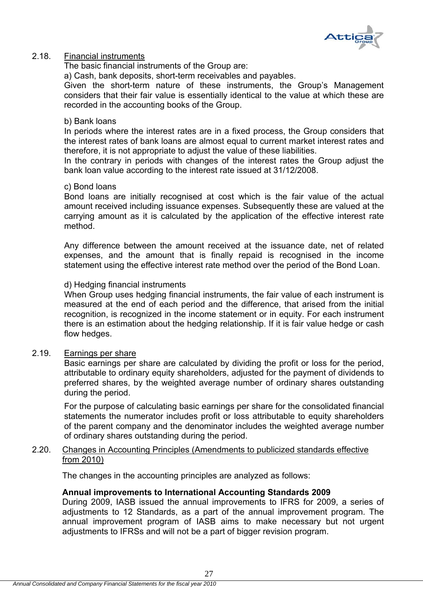

# 2.18. Financial instruments

The basic financial instruments of the Group are:

a) Cash, bank deposits, short-term receivables and payables.

Given the short-term nature of these instruments, the Group's Management considers that their fair value is essentially identical to the value at which these are recorded in the accounting books of the Group.

#### b) Bank loans

In periods where the interest rates are in a fixed process, the Group considers that the interest rates of bank loans are almost equal to current market interest rates and therefore, it is not appropriate to adjust the value of these liabilities.

In the contrary in periods with changes of the interest rates the Group adjust the bank loan value according to the interest rate issued at 31/12/2008.

#### c) Bond loans

Bond loans are initially recognised at cost which is the fair value of the actual amount received including issuance expenses. Subsequently these are valued at the carrying amount as it is calculated by the application of the effective interest rate method.

Any difference between the amount received at the issuance date, net of related expenses, and the amount that is finally repaid is recognised in the income statement using the effective interest rate method over the period of the Bond Loan.

### d) Hedging financial instruments

When Group uses hedging financial instruments, the fair value of each instrument is measured at the end of each period and the difference, that arised from the initial recognition, is recognized in the income statement or in equity. For each instrument there is an estimation about the hedging relationship. If it is fair value hedge or cash flow hedges.

#### 2.19. Earnings per share

Basic earnings per share are calculated by dividing the profit or loss for the period, attributable to ordinary equity shareholders, adjusted for the payment of dividends to preferred shares, by the weighted average number of ordinary shares outstanding during the period.

For the purpose of calculating basic earnings per share for the consolidated financial statements the numerator includes profit or loss attributable to equity shareholders of the parent company and the denominator includes the weighted average number of ordinary shares outstanding during the period.

### 2.20. Changes in Accounting Principles (Amendments to publicized standards effective from 2010)

The changes in the accounting principles are analyzed as follows:

# **Annual improvements to International Accounting Standards 2009**

During 2009, IASB issued the annual improvements to IFRS for 2009, a series of adjustments to 12 Standards, as a part of the annual improvement program. The annual improvement program of IASB aims to make necessary but not urgent adjustments to IFRSs and will not be a part of bigger revision program.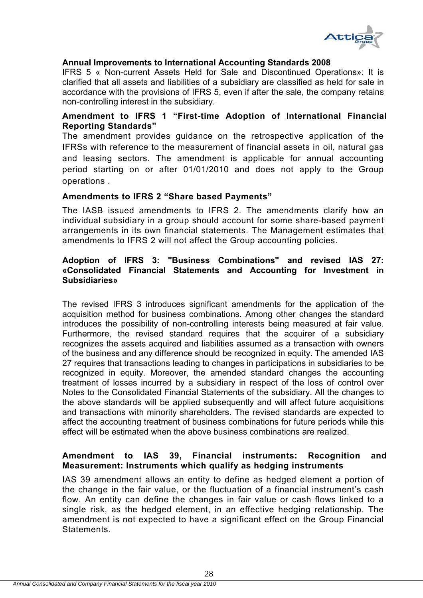

# **Annual Improvements to International Accounting Standards 2008**

IFRS 5 « Non-current Assets Held for Sale and Discontinued Operations»: It is clarified that all assets and liabilities of a subsidiary are classified as held for sale in accordance with the provisions of IFRS 5, even if after the sale, the company retains non-controlling interest in the subsidiary.

# **Amendment to IFRS 1 "First-time Adoption of International Financial Reporting Standards"**

The amendment provides guidance on the retrospective application of the IFRSs with reference to the measurement of financial assets in oil, natural gas and leasing sectors. The amendment is applicable for annual accounting period starting on or after 01/01/2010 and does not apply to the Group operations .

### **Amendments to IFRS 2 "Share based Payments"**

The IASB issued amendments to IFRS 2. The amendments clarify how an individual subsidiary in a group should account for some share-based payment arrangements in its own financial statements. The Management estimates that amendments to IFRS 2 will not affect the Group accounting policies.

# **Adoption of IFRS 3: "Business Combinations" and revised IAS 27: «Consolidated Financial Statements and Accounting for Investment in Subsidiaries»**

The revised IFRS 3 introduces significant amendments for the application of the acquisition method for business combinations. Among other changes the standard introduces the possibility of non-controlling interests being measured at fair value. Furthermore, the revised standard requires that the acquirer of a subsidiary recognizes the assets acquired and liabilities assumed as a transaction with owners of the business and any difference should be recognized in equity. The amended IAS 27 requires that transactions leading to changes in participations in subsidiaries to be recognized in equity. Moreover, the amended standard changes the accounting treatment of losses incurred by a subsidiary in respect of the loss of control over Notes to the Consolidated Financial Statements of the subsidiary. All the changes to the above standards will be applied subsequently and will affect future acquisitions and transactions with minority shareholders. The revised standards are expected to affect the accounting treatment of business combinations for future periods while this effect will be estimated when the above business combinations are realized.

# **Amendment to IAS 39, Financial instruments: Recognition and Measurement: Instruments which qualify as hedging instruments**

IAS 39 amendment allows an entity to define as hedged element a portion of the change in the fair value, or the fluctuation of a financial instrument's cash flow. An entity can define the changes in fair value or cash flows linked to a single risk, as the hedged element, in an effective hedging relationship. The amendment is not expected to have a significant effect on the Group Financial Statements.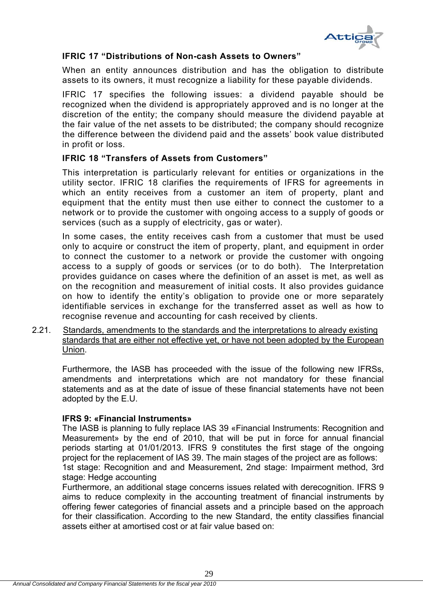

# **IFRIC 17 "Distributions of Non-cash Assets to Owners"**

When an entity announces distribution and has the obligation to distribute assets to its owners, it must recognize a liability for these payable dividends.

IFRIC 17 specifies the following issues: a dividend payable should be recognized when the dividend is appropriately approved and is no longer at the discretion of the entity; the company should measure the dividend payable at the fair value of the net assets to be distributed; the company should recognize the difference between the dividend paid and the assets' book value distributed in profit or loss.

# **IFRIC 18 "Transfers of Assets from Customers"**

This interpretation is particularly relevant for entities or organizations in the utility sector. IFRIC 18 clarifies the requirements of IFRS for agreements in which an entity receives from a customer an item of property, plant and equipment that the entity must then use either to connect the customer to a network or to provide the customer with ongoing access to a supply of goods or services (such as a supply of electricity, gas or water).

In some cases, the entity receives cash from a customer that must be used only to acquire or construct the item of property, plant, and equipment in order to connect the customer to a network or provide the customer with ongoing access to a supply of goods or services (or to do both). The Interpretation provides guidance on cases where the definition of an asset is met, as well as on the recognition and measurement of initial costs. It also provides guidance on how to identify the entity's obligation to provide one or more separately identifiable services in exchange for the transferred asset as well as how to recognise revenue and accounting for cash received by clients.

2.21. Standards, amendments to the standards and the interpretations to already existing standards that are either not effective yet, or have not been adopted by the European Union.

Furthermore, the IASB has proceeded with the issue of the following new IFRSs, amendments and interpretations which are not mandatory for these financial statements and as at the date of issue of these financial statements have not been adopted by the E.U.

# **IFRS 9: «Financial Instruments»**

The IASB is planning to fully replace IAS 39 «Financial Instruments: Recognition and Measurement» by the end of 2010, that will be put in force for annual financial periods starting at 01/01/2013. IFRS 9 constitutes the first stage of the ongoing project for the replacement of IAS 39. The main stages of the project are as follows: 1st stage: Recognition and and Measurement, 2nd stage: Impairment method, 3rd stage: Hedge accounting

Furthermore, an additional stage concerns issues related with derecognition. IFRS 9 aims to reduce complexity in the accounting treatment of financial instruments by offering fewer categories of financial assets and a principle based on the approach for their classification. According to the new Standard, the entity classifies financial assets either at amortised cost or at fair value based on: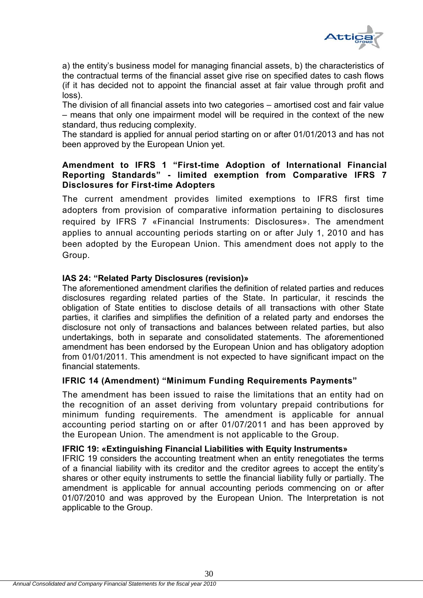

a) the entity's business model for managing financial assets, b) the characteristics of the contractual terms of the financial asset give rise on specified dates to cash flows (if it has decided not to appoint the financial asset at fair value through profit and loss).

The division of all financial assets into two categories – amortised cost and fair value – means that only one impairment model will be required in the context of the new standard, thus reducing complexity.

The standard is applied for annual period starting on or after 01/01/2013 and has not been approved by the European Union yet.

# **Amendment to IFRS 1 "First-time Adoption of International Financial Reporting Standards" - limited exemption from Comparative IFRS 7 Disclosures for First-time Adopters**

The current amendment provides limited exemptions to IFRS first time adopters from provision of comparative information pertaining to disclosures required by IFRS 7 «Financial Instruments: Disclosures». The amendment applies to annual accounting periods starting on or after July 1, 2010 and has been adopted by the European Union. This amendment does not apply to the Group.

# **IAS 24: "Related Party Disclosures (revision)»**

The aforementioned amendment clarifies the definition of related parties and reduces disclosures regarding related parties of the State. In particular, it rescinds the obligation of State entities to disclose details of all transactions with other State parties, it clarifies and simplifies the definition of a related party and endorses the disclosure not only of transactions and balances between related parties, but also undertakings, both in separate and consolidated statements. The aforementioned amendment has been endorsed by the European Union and has obligatory adoption from 01/01/2011. This amendment is not expected to have significant impact on the financial statements.

# **IFRIC 14 (Amendment) "Minimum Funding Requirements Payments"**

The amendment has been issued to raise the limitations that an entity had on the recognition of an asset deriving from voluntary prepaid contributions for minimum funding requirements. The amendment is applicable for annual accounting period starting on or after 01/07/2011 and has been approved by the European Union. The amendment is not applicable to the Group.

# **IFRIC 19: «Extinguishing Financial Liabilities with Equity Instruments»**

IFRIC 19 considers the accounting treatment when an entity renegotiates the terms of a financial liability with its creditor and the creditor agrees to accept the entity's shares or other equity instruments to settle the financial liability fully or partially. The amendment is applicable for annual accounting periods commencing on or after 01/07/2010 and was approved by the European Union. The Interpretation is not applicable to the Group.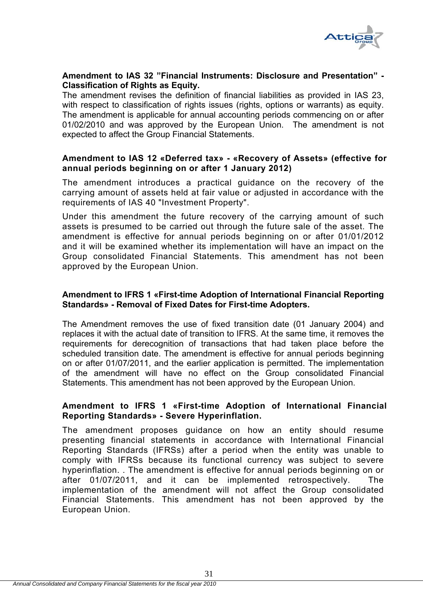

#### **Amendment to IAS 32 "Financial Instruments: Disclosure and Presentation" - Classification of Rights as Equity.**

The amendment revises the definition of financial liabilities as provided in IAS 23, with respect to classification of rights issues (rights, options or warrants) as equity. The amendment is applicable for annual accounting periods commencing on or after 01/02/2010 and was approved by the European Union. The amendment is not expected to affect the Group Financial Statements.

# **Amendment to IAS 12 «Deferred tax» - «Recovery of Assets» (effective for annual periods beginning on or after 1 January 2012)**

The amendment introduces a practical guidance on the recovery of the carrying amount of assets held at fair value or adjusted in accordance with the requirements of IAS 40 "Investment Property".

Under this amendment the future recovery of the carrying amount of such assets is presumed to be carried out through the future sale of the asset. The amendment is effective for annual periods beginning on or after 01/01/2012 and it will be examined whether its implementation will have an impact on the Group consolidated Financial Statements. This amendment has not been approved by the European Union.

# **Amendment to IFRS 1 «First-time Adoption of International Financial Reporting Standards» - Removal of Fixed Dates for First-time Adopters.**

The Amendment removes the use of fixed transition date (01 January 2004) and replaces it with the actual date of transition to IFRS. At the same time, it removes the requirements for derecognition of transactions that had taken place before the scheduled transition date. The amendment is effective for annual periods beginning on or after 01/07/2011, and the earlier application is permitted. The implementation of the amendment will have no effect on the Group consolidated Financial Statements. This amendment has not been approved by the European Union.

# **Amendment to IFRS 1 «First-time Adoption of International Financial Reporting Standards» - Severe Hyperinflation.**

The amendment proposes guidance on how an entity should resume presenting financial statements in accordance with International Financial Reporting Standards (IFRSs) after a period when the entity was unable to comply with IFRSs because its functional currency was subject to severe hyperinflation. . The amendment is effective for annual periods beginning on or after 01/07/2011, and it can be implemented retrospectively. The implementation of the amendment will not affect the Group consolidated Financial Statements. This amendment has not been approved by the European Union.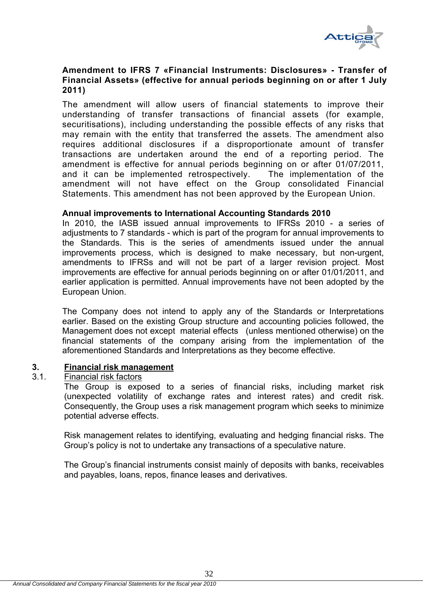

# **Amendment to IFRS 7 «Financial Instruments: Disclosures» - Transfer of Financial Assets» (effective for annual periods beginning on or after 1 July 2011)**

The amendment will allow users of financial statements to improve their understanding of transfer transactions of financial assets (for example, securitisations), including understanding the possible effects of any risks that may remain with the entity that transferred the assets. The amendment also requires additional disclosures if a disproportionate amount of transfer transactions are undertaken around the end of a reporting period. The amendment is effective for annual periods beginning on or after 01/07/2011, and it can be implemented retrospectively. The implementation of the amendment will not have effect on the Group consolidated Financial Statements. This amendment has not been approved by the European Union.

### **Annual improvements to International Accounting Standards 2010**

In 2010, the IASB issued annual improvements to IFRSs 2010 - a series of adjustments to 7 standards - which is part of the program for annual improvements to the Standards. This is the series of amendments issued under the annual improvements process, which is designed to make necessary, but non-urgent, amendments to IFRSs and will not be part of a larger revision project. Most improvements are effective for annual periods beginning on or after 01/01/2011, and earlier application is permitted. Annual improvements have not been adopted by the European Union.

The Company does not intend to apply any of the Standards or Interpretations earlier. Based on the existing Group structure and accounting policies followed, the Management does not except material effects (unless mentioned otherwise) on the financial statements of the company arising from the implementation of the aforementioned Standards and Interpretations as they become effective.

# **3. Financial risk management**

# 3.1. Financial risk factors

The Group is exposed to a series of financial risks, including market risk (unexpected volatility of exchange rates and interest rates) and credit risk. Consequently, the Group uses a risk management program which seeks to minimize potential adverse effects.

Risk management relates to identifying, evaluating and hedging financial risks. The Group's policy is not to undertake any transactions of a speculative nature.

The Group's financial instruments consist mainly of deposits with banks, receivables and payables, loans, repos, finance leases and derivatives.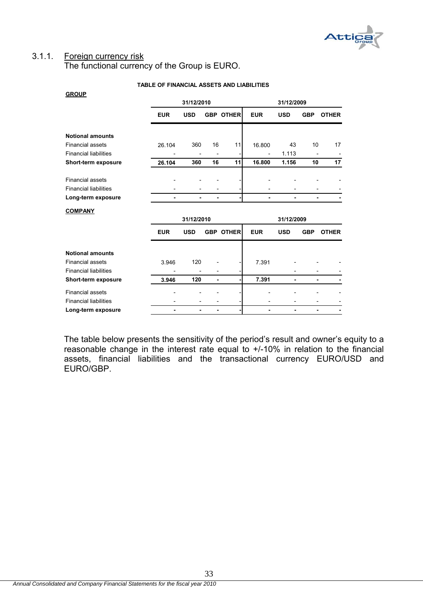

# 3.1.1. Foreign currency risk

**GROUP**

The functional currency of the Group is EURO.

|                              | 31/12/2010     |                          |                              |                  | 31/12/2009 |            |            |              |  |
|------------------------------|----------------|--------------------------|------------------------------|------------------|------------|------------|------------|--------------|--|
|                              | <b>EUR</b>     | <b>USD</b>               |                              | <b>GBP OTHER</b> | <b>EUR</b> | <b>USD</b> | <b>GBP</b> | <b>OTHER</b> |  |
| <b>Notional amounts</b>      |                |                          |                              |                  |            |            |            |              |  |
| <b>Financial assets</b>      | 26.104         | 360                      | 16                           | 11               | 16.800     | 43         | 10         | 17           |  |
| <b>Financial liabilities</b> |                |                          |                              |                  |            | 1.113      |            |              |  |
| Short-term exposure          | 26.104         | 360                      | 16                           | 11               | 16.800     | 1.156      | 10         | 17           |  |
|                              |                |                          |                              |                  |            |            |            |              |  |
| <b>Financial assets</b>      |                |                          |                              |                  |            |            |            |              |  |
| <b>Financial liabilities</b> |                |                          |                              |                  |            |            |            |              |  |
| Long-term exposure           | $\blacksquare$ | ۰                        | ۰                            |                  |            |            |            |              |  |
| <b>COMPANY</b>               |                |                          |                              |                  |            |            |            |              |  |
|                              | 31/12/2010     |                          |                              |                  | 31/12/2009 |            |            |              |  |
|                              | <b>EUR</b>     | <b>USD</b>               |                              | <b>GBP OTHER</b> | <b>EUR</b> | <b>USD</b> | <b>GBP</b> | <b>OTHER</b> |  |
| <b>Notional amounts</b>      |                |                          |                              |                  |            |            |            |              |  |
| <b>Financial assets</b>      | 3.946          | 120                      |                              |                  | 7.391      |            |            |              |  |
| <b>Financial liabilities</b> |                | -                        |                              |                  |            |            |            |              |  |
|                              |                |                          | $\qquad \qquad$              |                  |            |            |            |              |  |
| Short-term exposure          | 3.946          | 120                      | ٠                            |                  | 7.391      | ٠          | ٠          |              |  |
| <b>Financial assets</b>      |                |                          |                              |                  |            |            |            |              |  |
| <b>Financial liabilities</b> |                | $\overline{\phantom{0}}$ | $\qquad \qquad \blacksquare$ |                  |            |            |            |              |  |

#### **TABLE OF FINANCIAL ASSETS AND LIABILITIES**

The table below presents the sensitivity of the period's result and owner's equity to a reasonable change in the interest rate equal to +/-10% in relation to the financial assets, financial liabilities and the transactional currency EURO/USD and EURO/GBP.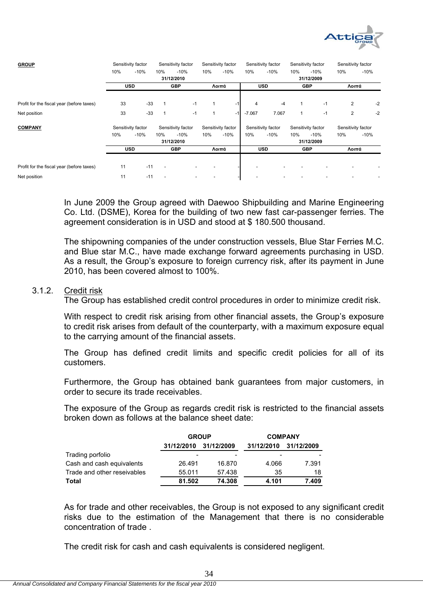

| <b>GROUP</b>                              |     | Sensitivity factor |     | Sensitivity factor |     | Sensitivity factor |          | Sensitivity factor |     | Sensitivity factor | Sensitivity factor |        |
|-------------------------------------------|-----|--------------------|-----|--------------------|-----|--------------------|----------|--------------------|-----|--------------------|--------------------|--------|
|                                           | 10% | $-10%$             | 10% | $-10%$             | 10% | $-10%$             | 10%      | $-10%$             | 10% | $-10%$             | 10%                | $-10%$ |
|                                           |     |                    |     | 31/12/2010         |     |                    |          |                    |     | 31/12/2009         |                    |        |
|                                           |     | <b>USD</b>         |     | <b>GBP</b>         |     | Λοιπά              |          | <b>USD</b>         |     | <b>GBP</b>         | Λοιπά              |        |
|                                           |     |                    |     |                    |     |                    |          |                    |     |                    |                    |        |
| Profit for the fiscal year (before taxes) | 33  | $-33$              |     | $-1$               |     | $-1$               | 4        | $-4$               |     | $-1$               | $\overline{2}$     | $-2$   |
| Net position                              | 33  | $-33$              |     | $-1$               | 1   | $-1$               | $-7.067$ | 7.067              |     | $-1$               | 2                  | $-2$   |
| <b>COMPANY</b>                            |     | Sensitivity factor |     | Sensitivity factor |     | Sensitivity factor |          | Sensitivity factor |     | Sensitivity factor | Sensitivity factor |        |
|                                           | 10% | $-10%$             | 10% | $-10%$             | 10% | $-10%$             | 10%      | $-10%$             | 10% | $-10%$             | 10%                | $-10%$ |
|                                           |     |                    |     | 31/12/2010         |     |                    |          |                    |     | 31/12/2009         |                    |        |
|                                           |     | <b>USD</b>         |     | <b>GBP</b>         |     | Λοιπά              |          | <b>USD</b>         |     | <b>GBP</b>         | Λοιπά              |        |
|                                           |     |                    |     |                    |     |                    |          |                    |     |                    |                    |        |
| Profit for the fiscal year (before taxes) | 11  | $-11$              |     |                    |     |                    |          |                    |     |                    |                    |        |
| Net position                              | 11  | $-11$              |     |                    |     |                    |          |                    |     |                    |                    |        |

In June 2009 the Group agreed with Daewoo Shipbuilding and Marine Engineering Co. Ltd. (DSME), Korea for the building of two new fast car-passenger ferries. The agreement consideration is in USD and stood at \$ 180.500 thousand.

The shipowning companies of the under construction vessels, Blue Star Ferries M.C. and Blue star M.C., have made exchange forward agreements purchasing in USD. As a result, the Group's exposure to foreign currency risk, after its payment in June 2010, has been covered almost to 100%.

#### 3.1.2. Credit risk

The Group has established credit control procedures in order to minimize credit risk.

With respect to credit risk arising from other financial assets, the Group's exposure to credit risk arises from default of the counterparty, with a maximum exposure equal to the carrying amount of the financial assets.

The Group has defined credit limits and specific credit policies for all of its customers.

Furthermore, the Group has obtained bank guarantees from major customers, in order to secure its trade receivables.

The exposure of the Group as regards credit risk is restricted to the financial assets broken down as follows at the balance sheet date:

|                             | <b>GROUP</b> |            | <b>COMPANY</b> |            |  |  |
|-----------------------------|--------------|------------|----------------|------------|--|--|
|                             | 31/12/2010   | 31/12/2009 | 31/12/2010     | 31/12/2009 |  |  |
| Trading porfolio            | -            | -          | -              |            |  |  |
| Cash and cash equivalents   | 26.491       | 16.870     | 4.066          | 7.391      |  |  |
| Trade and other reseivables | 55.011       | 57.438     | 35             | 18         |  |  |
| Total                       | 81.502       | 74.308     | 4.101          | 7.409      |  |  |

As for trade and other receivables, the Group is not exposed to any significant credit risks due to the estimation of the Management that there is no considerable concentration of trade .

The credit risk for cash and cash equivalents is considered negligent.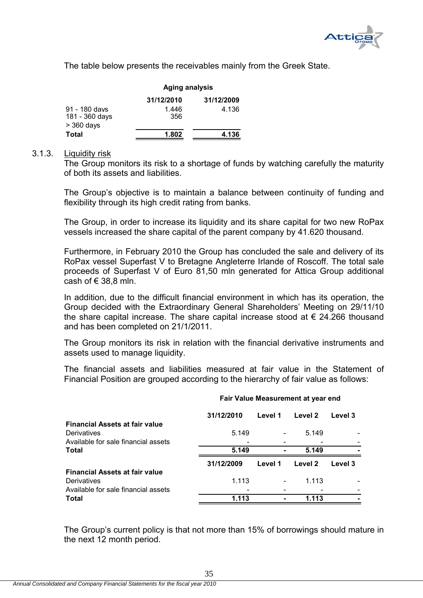

The table below presents the receivables mainly from the Greek State.

|                                                 | <b>Aging analysis</b> |            |  |  |  |  |
|-------------------------------------------------|-----------------------|------------|--|--|--|--|
|                                                 | 31/12/2010            | 31/12/2009 |  |  |  |  |
| 91 - 180 days<br>181 - 360 days<br>$>$ 360 days | 1.446<br>356          | 4.136      |  |  |  |  |
| Total                                           | 1.802                 | 4.136      |  |  |  |  |

#### 3.1.3. Liquidity risk

The Group monitors its risk to a shortage of funds by watching carefully the maturity of both its assets and liabilities.

The Group's objective is to maintain a balance between continuity of funding and flexibility through its high credit rating from banks.

The Group, in order to increase its liquidity and its share capital for two new RoPax vessels increased the share capital of the parent company by 41.620 thousand.

Furthermore, in February 2010 the Group has concluded the sale and delivery of its RoPax vessel Superfast V to Bretagne Angleterre Irlande of Roscoff. The total sale proceeds of Superfast V of Euro 81,50 mln generated for Attica Group additional cash of  $\in$  38.8 mln.

In addition, due to the difficult financial environment in which has its operation, the Group decided with the Extraordinary General Shareholders' Meeting on 29/11/10 the share capital increase. The share capital increase stood at  $\epsilon$  24.266 thousand and has been completed on 21/1/2011.

The Group monitors its risk in relation with the financial derivative instruments and assets used to manage liquidity.

The financial assets and liabilities measured at fair value in the Statement of Financial Position are grouped according to the hierarchy of fair value as follows:

| <b>Financial Assets at fair value</b>                                                       | 31/12/2010 | Level 1 | Level 2 | Level 3 |
|---------------------------------------------------------------------------------------------|------------|---------|---------|---------|
| Derivatives<br>Available for sale financial assets                                          | 5.149      |         | 5.149   |         |
| <b>Total</b>                                                                                | 5.149      |         | 5.149   |         |
|                                                                                             | 31/12/2009 | Level 1 | Level 2 | Level 3 |
|                                                                                             |            |         |         |         |
| <b>Financial Assets at fair value</b><br>Derivatives<br>Available for sale financial assets | 1.113      |         | 1.113   |         |

#### **Fair Value Measurement at year end**

The Group's current policy is that not more than 15% of borrowings should mature in the next 12 month period.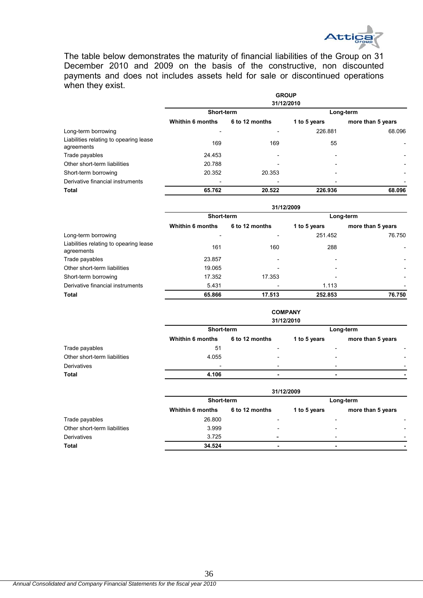

The table below demonstrates the maturity of financial liabilities of the Group on 31 December 2010 and 2009 on the basis of the constructive, non discounted payments and does not includes assets held for sale or discontinued operations when they exist.

|                                                      | <b>GROUP</b><br>31/12/2010 |                |                          |                          |  |  |  |
|------------------------------------------------------|----------------------------|----------------|--------------------------|--------------------------|--|--|--|
|                                                      | Short-term                 |                |                          | Long-term                |  |  |  |
|                                                      | <b>Whithin 6 months</b>    | 6 to 12 months | 1 to 5 years             | more than 5 years        |  |  |  |
| Long-term borrowing                                  | $\overline{\phantom{0}}$   |                | 226.881                  | 68.096                   |  |  |  |
| Liabilities relating to opearing lease<br>agreements | 169                        | 169            | 55                       |                          |  |  |  |
| Trade payables                                       | 24.453                     |                | $\overline{\phantom{a}}$ | $\overline{\phantom{a}}$ |  |  |  |
| Other short-term liabilities                         | 20.788                     |                | $\overline{\phantom{0}}$ | $\overline{\phantom{a}}$ |  |  |  |
| Short-term borrowing                                 | 20.352                     | 20.353         | $\overline{\phantom{a}}$ | $\overline{\phantom{a}}$ |  |  |  |
| Derivative financial instruments                     | $\overline{\phantom{0}}$   |                | $\overline{\phantom{a}}$ |                          |  |  |  |
| <b>Total</b>                                         | 65.762                     | 20.522         | 226.936                  | 68.096                   |  |  |  |

|                                                      |                          |                | 31/12/2009               |                          |
|------------------------------------------------------|--------------------------|----------------|--------------------------|--------------------------|
|                                                      | Short-term               |                |                          | Long-term                |
|                                                      | <b>Whithin 6 months</b>  | 6 to 12 months | 1 to 5 years             | more than 5 years        |
| Long-term borrowing                                  | $\overline{\phantom{a}}$ |                | 251.452                  | 76.750                   |
| Liabilities relating to opearing lease<br>agreements | 161                      | 160            | 288                      |                          |
| Trade payables                                       | 23.857                   |                |                          | $\overline{\phantom{0}}$ |
| Other short-term liabilities                         | 19.065                   |                | $\overline{\phantom{0}}$ | $\overline{\phantom{a}}$ |
| Short-term borrowing                                 | 17.352                   | 17.353         | $\overline{\phantom{0}}$ | -                        |
| Derivative financial instruments                     | 5.431                    |                | 1.113                    | $\overline{\phantom{0}}$ |
| <b>Total</b>                                         | 65.866                   | 17.513         | 252.853                  | 76.750                   |

**COMPANY 31/12/2010**

|                              |                          |                          | 31/12/2010               |                   |                          |
|------------------------------|--------------------------|--------------------------|--------------------------|-------------------|--------------------------|
|                              | Short-term               |                          | Long-term                |                   |                          |
|                              | <b>Whithin 6 months</b>  | 6 to 12 months           | 1 to 5 years             | more than 5 years |                          |
| Trade payables               | 51                       | $\overline{\phantom{a}}$ | $\overline{\phantom{a}}$ |                   | $\overline{\phantom{0}}$ |
| Other short-term liabilities | 4.055                    |                          | $\overline{\phantom{a}}$ |                   | $\overline{\phantom{a}}$ |
| Derivatives                  | $\overline{\phantom{0}}$ | $\overline{\phantom{0}}$ | $\overline{\phantom{0}}$ |                   | $\overline{\phantom{a}}$ |
| Total                        | 4.106                    |                          |                          |                   |                          |
|                              |                          |                          |                          |                   |                          |
|                              |                          |                          | 31/12/2009               |                   |                          |

|                              |                  |                              | -            |                                                      |  |  |
|------------------------------|------------------|------------------------------|--------------|------------------------------------------------------|--|--|
|                              | Short-term       |                              | Long-term    |                                                      |  |  |
|                              | Whithin 6 months | 6 to 12 months               | 1 to 5 years | more than 5 years                                    |  |  |
| Trade payables               | 26.800           |                              |              | -                                                    |  |  |
| Other short-term liabilities | 3.999            | $\overline{\phantom{0}}$     |              | $\overline{\phantom{0}}$<br>$\overline{\phantom{0}}$ |  |  |
| Derivatives                  | 3.725            | $\qquad \qquad \blacksquare$ |              | $\overline{\phantom{0}}$<br>$\overline{\phantom{0}}$ |  |  |
| Total                        | 34.524           |                              |              |                                                      |  |  |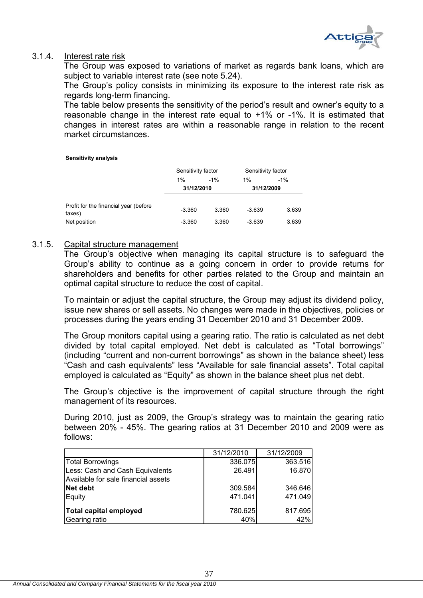

## 3.1.4. Interest rate risk

The Group was exposed to variations of market as regards bank loans, which are subject to variable interest rate (see note 5.24).

The Group's policy consists in minimizing its exposure to the interest rate risk as regards long-term financing.

The table below presents the sensitivity of the period's result and owner's equity to a reasonable change in the interest rate equal to +1% or -1%. It is estimated that changes in interest rates are within a reasonable range in relation to the recent market circumstances.

### **Sensitivity analysis**

|                                                  | Sensitivity factor |        | Sensitivity factor |        |  |
|--------------------------------------------------|--------------------|--------|--------------------|--------|--|
|                                                  | $1\%$              | $-1\%$ | 1%                 | $-1\%$ |  |
|                                                  | 31/12/2010         |        | 31/12/2009         |        |  |
| Profit for the financial year (before)<br>taxes) | $-3.360$           | 3.360  | $-3.639$           | 3.639  |  |
| Net position                                     | $-3.360$           | 3.360  | $-3.639$           | 3.639  |  |

### 3.1.5. Capital structure management

The Group's objective when managing its capital structure is to safeguard the Group's ability to continue as a going concern in order to provide returns for shareholders and benefits for other parties related to the Group and maintain an optimal capital structure to reduce the cost of capital.

To maintain or adjust the capital structure, the Group may adjust its dividend policy, issue new shares or sell assets. No changes were made in the objectives, policies or processes during the years ending 31 December 2010 and 31 December 2009.

The Group monitors capital using a gearing ratio. The ratio is calculated as net debt divided by total capital employed. Net debt is calculated as "Total borrowings" (including "current and non-current borrowings" as shown in the balance sheet) less "Cash and cash equivalents" less "Available for sale financial assets". Total capital employed is calculated as "Equity" as shown in the balance sheet plus net debt.

The Group's objective is the improvement of capital structure through the right management of its resources.

During 2010, just as 2009, the Group's strategy was to maintain the gearing ratio between 20% - 45%. The gearing ratios at 31 December 2010 and 2009 were as follows:

|                                     | 31/12/2010 | 31/12/2009 |
|-------------------------------------|------------|------------|
| <b>Total Borrowings</b>             | 336.075    | 363.516    |
| Less: Cash and Cash Equivalents     | 26.491     | 16.870     |
| Available for sale financial assets |            |            |
| Net debt                            | 309.584    | 346.646    |
| Equity                              | 471.041    | 471.049    |
| <b>Total capital employed</b>       | 780.625    | 817.695    |
| Gearing ratio                       | 40%        | 42%        |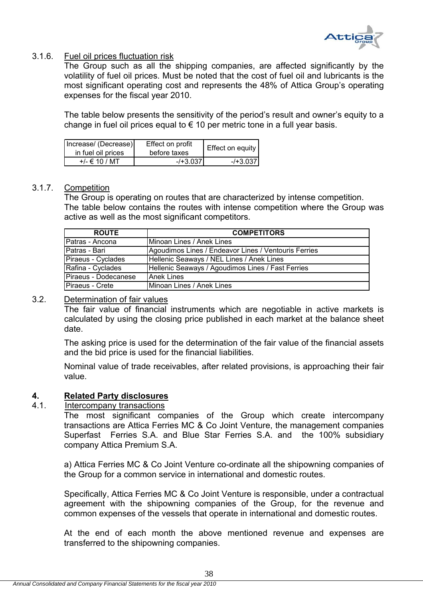

# 3.1.6. Fuel oil prices fluctuation risk

The Group such as all the shipping companies, are affected significantly by the volatility of fuel oil prices. Must be noted that the cost of fuel oil and lubricants is the most significant operating cost and represents the 48% of Attica Group's operating expenses for the fiscal year 2010.

The table below presents the sensitivity of the period's result and owner's equity to a change in fuel oil prices equal to  $\epsilon$  10 per metric tone in a full year basis.

| Increase/ (Decrease)<br>in fuel oil prices | Effect on profit<br>before taxes | Effect on equity |
|--------------------------------------------|----------------------------------|------------------|
| +/- € 10 / MT                              | $-1 + 3.037$                     | $-43.037$        |

## 3.1.7. Competition

The Group is operating on routes that are characterized by intense competition. The table below contains the routes with intense competition where the Group was active as well as the most significant competitors.

| <b>ROUTE</b>         | <b>COMPETITORS</b>                                   |
|----------------------|------------------------------------------------------|
| Patras - Ancona      | Minoan Lines / Anek Lines                            |
| Patras - Bari        | Agoudimos Lines / Endeavor Lines / Ventouris Ferries |
| Piraeus - Cyclades   | Hellenic Seaways / NEL Lines / Anek Lines            |
| Rafina - Cyclades    | Hellenic Seaways / Agoudimos Lines / Fast Ferries    |
| Piraeus - Dodecanese | <b>Anek Lines</b>                                    |
| Piraeus - Crete      | Minoan Lines / Anek Lines                            |

### 3.2. Determination of fair values

The fair value of financial instruments which are negotiable in active markets is calculated by using the closing price published in each market at the balance sheet date.

The asking price is used for the determination of the fair value of the financial assets and the bid price is used for the financial liabilities.

Nominal value of trade receivables, after related provisions, is approaching their fair value.

# **4. Related Party disclosures**

### 4.1. Intercompany transactions

The most significant companies of the Group which create intercompany transactions are Attica Ferries MC & Co Joint Venture, the management companies Superfast Ferries S.A. and Blue Star Ferries S.A. and the 100% subsidiary company Attica Premium S.A.

a) Attica Ferries MC & Co Joint Venture co-ordinate all the shipowning companies of the Group for a common service in international and domestic routes.

Specifically, Attica Ferries MC & Co Joint Venture is responsible, under a contractual agreement with the shipowning companies of the Group, for the revenue and common expenses of the vessels that operate in international and domestic routes.

At the end of each month the above mentioned revenue and expenses are transferred to the shipowning companies.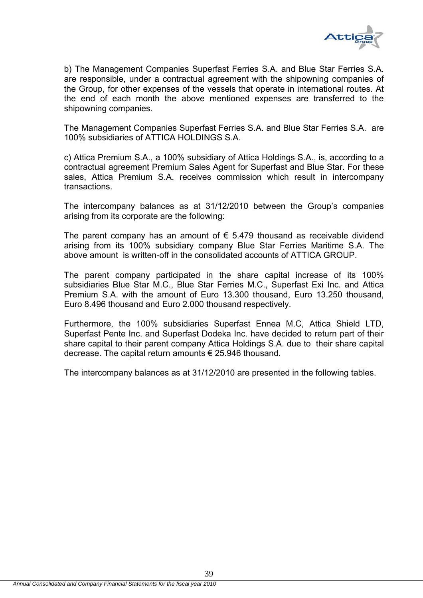

b) The Management Companies Superfast Ferries S.A. and Blue Star Ferries S.A. are responsible, under a contractual agreement with the shipowning companies of the Group, for other expenses of the vessels that operate in international routes. At the end of each month the above mentioned expenses are transferred to the shipowning companies.

The Management Companies Superfast Ferries S.A. and Blue Star Ferries S.A. are 100% subsidiaries of ATTICA HOLDINGS S.A.

c) Attica Premium S.A., a 100% subsidiary of Attica Holdings S.A., is, according to a contractual agreement Premium Sales Agent for Superfast and Blue Star. For these sales, Attica Premium S.A. receives commission which result in intercompany transactions.

The intercompany balances as at 31/12/2010 between the Group's companies arising from its corporate are the following:

The parent company has an amount of  $\epsilon$  5.479 thousand as receivable dividend arising from its 100% subsidiary company Blue Star Ferries Maritime S.A. The above amount is written-off in the consolidated accounts of ATTICA GROUP.

The parent company participated in the share capital increase of its 100% subsidiaries Blue Star M.C., Blue Star Ferries M.C., Superfast Exi Inc. and Attica Premium S.A. with the amount of Euro 13.300 thousand, Euro 13.250 thousand, Euro 8.496 thousand and Euro 2.000 thousand respectively.

Furthermore, the 100% subsidiaries Superfast Ennea M.C, Attica Shield LTD, Superfast Pente Inc. and Superfast Dodeka Inc. have decided to return part of their share capital to their parent company Attica Holdings S.A. due to their share capital decrease. The capital return amounts € 25.946 thousand.

The intercompany balances as at 31/12/2010 are presented in the following tables.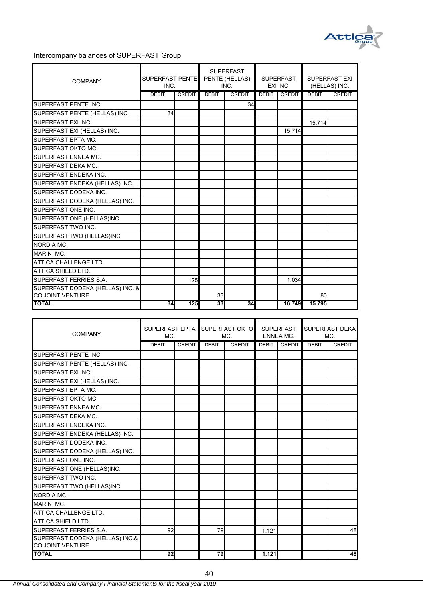

### Intercompany balances of SUPERFAST Group

| <b>COMPANY</b>                   | SUPERFAST PENTE<br>INC. |               | <b>SUPERFAST</b><br>PENTE (HELLAS)<br>INC. |               | <b>SUPERFAST</b><br>EXI INC. |               | <b>SUPERFAST EXI</b><br>(HELLAS) INC. |               |
|----------------------------------|-------------------------|---------------|--------------------------------------------|---------------|------------------------------|---------------|---------------------------------------|---------------|
|                                  | <b>DEBIT</b>            | <b>CREDIT</b> | <b>DEBIT</b>                               | <b>CREDIT</b> | <b>DEBIT</b>                 | <b>CREDIT</b> | <b>DEBIT</b>                          | <b>CREDIT</b> |
| SUPERFAST PENTE INC.             |                         |               |                                            | 34            |                              |               |                                       |               |
| SUPERFAST PENTE (HELLAS) INC.    | 34                      |               |                                            |               |                              |               |                                       |               |
| SUPERFAST EXI INC.               |                         |               |                                            |               |                              |               | 15.714                                |               |
| SUPERFAST EXI (HELLAS) INC.      |                         |               |                                            |               |                              | 15.714        |                                       |               |
| <b>SUPERFAST EPTA MC.</b>        |                         |               |                                            |               |                              |               |                                       |               |
| <b>SUPERFAST OKTO MC.</b>        |                         |               |                                            |               |                              |               |                                       |               |
| SUPERFAST ENNEA MC.              |                         |               |                                            |               |                              |               |                                       |               |
| SUPERFAST DEKA MC.               |                         |               |                                            |               |                              |               |                                       |               |
| SUPERFAST ENDEKA INC.            |                         |               |                                            |               |                              |               |                                       |               |
| SUPERFAST ENDEKA (HELLAS) INC.   |                         |               |                                            |               |                              |               |                                       |               |
| SUPERFAST DODEKA INC.            |                         |               |                                            |               |                              |               |                                       |               |
| SUPERFAST DODEKA (HELLAS) INC.   |                         |               |                                            |               |                              |               |                                       |               |
| SUPERFAST ONE INC.               |                         |               |                                            |               |                              |               |                                       |               |
| SUPERFAST ONE (HELLAS)INC.       |                         |               |                                            |               |                              |               |                                       |               |
| SUPERFAST TWO INC.               |                         |               |                                            |               |                              |               |                                       |               |
| SUPERFAST TWO (HELLAS)INC.       |                         |               |                                            |               |                              |               |                                       |               |
| NORDIA MC                        |                         |               |                                            |               |                              |               |                                       |               |
| MARIN MC.                        |                         |               |                                            |               |                              |               |                                       |               |
| ATTICA CHALLENGE LTD.            |                         |               |                                            |               |                              |               |                                       |               |
| ATTICA SHIELD LTD.               |                         |               |                                            |               |                              |               |                                       |               |
| SUPERFAST FERRIES S.A.           |                         | 125           |                                            |               |                              | 1.034         |                                       |               |
| SUPERFAST DODEKA (HELLAS) INC. & |                         |               |                                            |               |                              |               |                                       |               |
| <b>CO JOINT VENTURE</b>          |                         |               | 33                                         |               |                              |               | 80                                    |               |
| <b>TOTAL</b>                     | 34                      | 125           | 33                                         | 34            |                              | 16.749        | 15.795                                |               |

| <b>COMPANY</b>                                      | SUPERFAST EPTA<br>MC. |               |              | SUPERFAST OKTO<br>MC. |              | <b>SUPERFAST</b><br><b>ENNEA MC.</b> |              | SUPERFAST DEKA<br>MC. |  |
|-----------------------------------------------------|-----------------------|---------------|--------------|-----------------------|--------------|--------------------------------------|--------------|-----------------------|--|
|                                                     | <b>DEBIT</b>          | <b>CREDIT</b> | <b>DEBIT</b> | <b>CREDIT</b>         | <b>DEBIT</b> | <b>CREDIT</b>                        | <b>DEBIT</b> | <b>CREDIT</b>         |  |
| SUPERFAST PENTE INC.                                |                       |               |              |                       |              |                                      |              |                       |  |
| SUPERFAST PENTE (HELLAS) INC.                       |                       |               |              |                       |              |                                      |              |                       |  |
| SUPERFAST EXI INC.                                  |                       |               |              |                       |              |                                      |              |                       |  |
| SUPERFAST EXI (HELLAS) INC.                         |                       |               |              |                       |              |                                      |              |                       |  |
| SUPERFAST EPTA MC.                                  |                       |               |              |                       |              |                                      |              |                       |  |
| SUPERFAST OKTO MC.                                  |                       |               |              |                       |              |                                      |              |                       |  |
| SUPERFAST ENNEA MC.                                 |                       |               |              |                       |              |                                      |              |                       |  |
| SUPERFAST DEKA MC.                                  |                       |               |              |                       |              |                                      |              |                       |  |
| SUPERFAST ENDEKA INC.                               |                       |               |              |                       |              |                                      |              |                       |  |
| SUPERFAST ENDEKA (HELLAS) INC.                      |                       |               |              |                       |              |                                      |              |                       |  |
| SUPERFAST DODEKA INC.                               |                       |               |              |                       |              |                                      |              |                       |  |
| SUPERFAST DODEKA (HELLAS) INC.                      |                       |               |              |                       |              |                                      |              |                       |  |
| SUPERFAST ONE INC.                                  |                       |               |              |                       |              |                                      |              |                       |  |
| SUPERFAST ONE (HELLAS)INC.                          |                       |               |              |                       |              |                                      |              |                       |  |
| SUPERFAST TWO INC.                                  |                       |               |              |                       |              |                                      |              |                       |  |
| SUPERFAST TWO (HELLAS)INC.                          |                       |               |              |                       |              |                                      |              |                       |  |
| NORDIA MC.                                          |                       |               |              |                       |              |                                      |              |                       |  |
| MARIN MC.                                           |                       |               |              |                       |              |                                      |              |                       |  |
| ATTICA CHALLENGE LTD.                               |                       |               |              |                       |              |                                      |              |                       |  |
| ATTICA SHIELD LTD.                                  |                       |               |              |                       |              |                                      |              |                       |  |
| SUPERFAST FERRIES S.A.                              | 92                    |               | 79           |                       | 1.121        |                                      |              | 48                    |  |
| SUPERFAST DODEKA (HELLAS) INC.&<br>CO JOINT VENTURE |                       |               |              |                       |              |                                      |              |                       |  |
| <b>TOTAL</b>                                        | 92                    |               | 79           |                       | 1.121        |                                      |              | 48                    |  |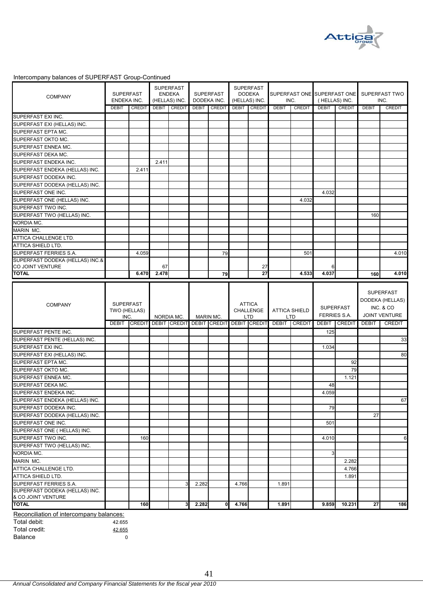

### Intercompany balances of SUPERFAST Group-Continued

| <b>COMPANY</b>                                                                                                                  | <b>SUPERFAST</b><br>ENDEKA INC. |               |              | <b>SUPERFAST</b><br><b>ENDEKA</b><br>(HELLAS) INC. |              | <b>SUPERFAST</b><br>DODEKA INC. |              | <b>SUPERFAST</b><br><b>DODEKA</b><br>(HELLAS) INC. |              | SUPERFAST ONE SUPERFAST ONE<br>INC. | (HELLAS) INC. |                                         |              | SUPERFAST TWO<br>INC. |
|---------------------------------------------------------------------------------------------------------------------------------|---------------------------------|---------------|--------------|----------------------------------------------------|--------------|---------------------------------|--------------|----------------------------------------------------|--------------|-------------------------------------|---------------|-----------------------------------------|--------------|-----------------------|
|                                                                                                                                 | <b>DEBIT</b>                    | CREDIT        | <b>DEBIT</b> | <b>CREDIT</b>                                      | <b>DEBIT</b> | <b>CREDIT</b>                   | <b>DEBIT</b> | <b>CREDIT</b>                                      | <b>DEBIT</b> | <b>CREDIT</b>                       | <b>DEBIT</b>  | <b>CREDIT</b>                           | <b>DEBIT</b> | <b>CREDIT</b>         |
| SUPERFAST EXI INC.                                                                                                              |                                 |               |              |                                                    |              |                                 |              |                                                    |              |                                     |               |                                         |              |                       |
| SUPERFAST EXI (HELLAS) INC.                                                                                                     |                                 |               |              |                                                    |              |                                 |              |                                                    |              |                                     |               |                                         |              |                       |
| SUPERFAST EPTA MC.                                                                                                              |                                 |               |              |                                                    |              |                                 |              |                                                    |              |                                     |               |                                         |              |                       |
| SUPERFAST OKTO MC.                                                                                                              |                                 |               |              |                                                    |              |                                 |              |                                                    |              |                                     |               |                                         |              |                       |
| SUPERFAST ENNEA MC.                                                                                                             |                                 |               |              |                                                    |              |                                 |              |                                                    |              |                                     |               |                                         |              |                       |
| SUPERFAST DEKA MC.                                                                                                              |                                 |               |              |                                                    |              |                                 |              |                                                    |              |                                     |               |                                         |              |                       |
| SUPERFAST ENDEKA INC.                                                                                                           |                                 |               | 2.411        |                                                    |              |                                 |              |                                                    |              |                                     |               |                                         |              |                       |
| SUPERFAST ENDEKA (HELLAS) INC.                                                                                                  |                                 | 2.411         |              |                                                    |              |                                 |              |                                                    |              |                                     |               |                                         |              |                       |
| SUPERFAST DODEKA INC.                                                                                                           |                                 |               |              |                                                    |              |                                 |              |                                                    |              |                                     |               |                                         |              |                       |
| SUPERFAST DODEKA (HELLAS) INC.                                                                                                  |                                 |               |              |                                                    |              |                                 |              |                                                    |              |                                     |               |                                         |              |                       |
| SUPERFAST ONE INC.                                                                                                              |                                 |               |              |                                                    |              |                                 |              |                                                    |              |                                     | 4.032         |                                         |              |                       |
| SUPERFAST ONE (HELLAS) INC.                                                                                                     |                                 |               |              |                                                    |              |                                 |              |                                                    |              | 4.032                               |               |                                         |              |                       |
| SUPERFAST TWO INC.                                                                                                              |                                 |               |              |                                                    |              |                                 |              |                                                    |              |                                     |               |                                         |              |                       |
| SUPERFAST TWO (HELLAS) INC.                                                                                                     |                                 |               |              |                                                    |              |                                 |              |                                                    |              |                                     |               |                                         | 160          |                       |
| NORDIA MC.                                                                                                                      |                                 |               |              |                                                    |              |                                 |              |                                                    |              |                                     |               |                                         |              |                       |
| MARIN MC.                                                                                                                       |                                 |               |              |                                                    |              |                                 |              |                                                    |              |                                     |               |                                         |              |                       |
| ATTICA CHALLENGE LTD.                                                                                                           |                                 |               |              |                                                    |              |                                 |              |                                                    |              |                                     |               |                                         |              |                       |
| ATTICA SHIELD LTD.                                                                                                              |                                 |               |              |                                                    |              |                                 |              |                                                    |              |                                     |               |                                         |              |                       |
| SUPERFAST FERRIES S.A.                                                                                                          |                                 | 4.059         |              |                                                    |              | 79                              |              |                                                    |              | 501                                 |               |                                         |              | 4.010                 |
| SUPERFAST DODEKA (HELLAS) INC.&                                                                                                 |                                 |               |              |                                                    |              |                                 |              |                                                    |              |                                     |               |                                         |              |                       |
| CO JOINT VENTURE                                                                                                                |                                 |               | 67           |                                                    |              |                                 |              | 27                                                 |              |                                     | 6             |                                         |              |                       |
| <b>TOTAL</b>                                                                                                                    |                                 | 6.470         | 2.478        |                                                    |              | 79                              |              | 27                                                 |              | 4.533                               | 4.037         |                                         | 160          | 4.010                 |
|                                                                                                                                 |                                 |               |              |                                                    |              |                                 |              |                                                    |              |                                     |               |                                         |              |                       |
|                                                                                                                                 | INC.                            | TWO (HELLAS)  |              | NORDIA MC.                                         |              | MARIN MC.                       |              | CHALLENGE<br><b>LTD</b>                            |              | <b>ATTICA SHIELD</b><br><b>LTD</b>  |               | <b>SUPERFAST</b><br><b>FERRIES S.A.</b> | INC. & CO    | <b>JOINT VENTURE</b>  |
|                                                                                                                                 | <b>DEBIT</b>                    | <b>CREDIT</b> |              | <b>DEBIT CREDIT</b>                                |              | <b>DEBIT CREDIT</b>             |              | <b>DEBIT CREDIT</b>                                | <b>DEBIT</b> | <b>CREDIT</b>                       |               | <b>DEBIT CREDIT</b>                     | <b>DEBIT</b> | <b>CREDIT</b>         |
| SUPERFAST PENTE INC.                                                                                                            |                                 |               |              |                                                    |              |                                 |              |                                                    |              |                                     | 125           |                                         |              |                       |
| SUPERFAST PENTE (HELLAS) INC.                                                                                                   |                                 |               |              |                                                    |              |                                 |              |                                                    |              |                                     |               |                                         |              | 33                    |
|                                                                                                                                 |                                 |               |              |                                                    |              |                                 |              |                                                    |              |                                     | 1.034         |                                         |              |                       |
| SUPERFAST EXI (HELLAS) INC.                                                                                                     |                                 |               |              |                                                    |              |                                 |              |                                                    |              |                                     |               |                                         |              | 80                    |
| SUPERFAST EPTA MC.                                                                                                              |                                 |               |              |                                                    |              |                                 |              |                                                    |              |                                     |               | 92                                      |              |                       |
| SUPERFAST OKTO MC.                                                                                                              |                                 |               |              |                                                    |              |                                 |              |                                                    |              |                                     |               | 79                                      |              |                       |
| SUPERFAST ENNEA MC.                                                                                                             |                                 |               |              |                                                    |              |                                 |              |                                                    |              |                                     |               | 1.121                                   |              |                       |
| SUPERFAST DEKA MC.                                                                                                              |                                 |               |              |                                                    |              |                                 |              |                                                    |              |                                     | 48            |                                         |              |                       |
| SUPERFAST ENDEKA INC.                                                                                                           |                                 |               |              |                                                    |              |                                 |              |                                                    |              |                                     | 4.059         |                                         |              |                       |
| SUPERFAST ENDEKA (HELLAS) INC.                                                                                                  |                                 |               |              |                                                    |              |                                 |              |                                                    |              |                                     |               |                                         |              | 67                    |
| SUPERFAST DODEKA INC.                                                                                                           |                                 |               |              |                                                    |              |                                 |              |                                                    |              |                                     | 79            |                                         |              |                       |
|                                                                                                                                 |                                 |               |              |                                                    |              |                                 |              |                                                    |              |                                     |               |                                         | 27           |                       |
|                                                                                                                                 |                                 |               |              |                                                    |              |                                 |              |                                                    |              |                                     | 501           |                                         |              |                       |
|                                                                                                                                 |                                 |               |              |                                                    |              |                                 |              |                                                    |              |                                     |               |                                         |              |                       |
| SUPERFAST EXI INC.<br>SUPERFAST DODEKA (HELLAS) INC.<br>SUPERFAST ONE INC.<br>SUPERFAST ONE (HELLAS) INC.<br>SUPERFAST TWO INC. |                                 | 160           |              |                                                    |              |                                 |              |                                                    |              |                                     | 4.010         |                                         |              | 6                     |
| SUPERFAST TWO (HELLAS) INC.                                                                                                     |                                 |               |              |                                                    |              |                                 |              |                                                    |              |                                     |               |                                         |              |                       |
| NORDIA MC.                                                                                                                      |                                 |               |              |                                                    |              |                                 |              |                                                    |              |                                     | 3             |                                         |              |                       |
|                                                                                                                                 |                                 |               |              |                                                    |              |                                 |              |                                                    |              |                                     |               | 2.282                                   |              |                       |
| MARIN MC.<br>ATTICA CHALLENGE LTD.                                                                                              |                                 |               |              |                                                    |              |                                 |              |                                                    |              |                                     |               | 4.766                                   |              |                       |
|                                                                                                                                 |                                 |               |              |                                                    |              |                                 |              |                                                    |              |                                     |               | 1.891                                   |              |                       |
| ATTICA SHIELD LTD.<br>SUPERFAST FERRIES S.A.<br>SUPERFAST DODEKA (HELLAS) INC.                                                  |                                 |               |              |                                                    | 2.282        |                                 | 4.766        |                                                    | 1.891        |                                     |               |                                         |              |                       |
| & CO JOINT VENTURE                                                                                                              |                                 |               |              |                                                    |              |                                 |              |                                                    |              |                                     |               |                                         |              |                       |
| <b>TOTAL</b><br>Reconciliation of intercompany balances:                                                                        |                                 | 160           |              | 3                                                  | 2.282        | $\mathbf 0$                     | 4.766        |                                                    | 1.891        |                                     | 9.859         | 10.231                                  | 27           | 186                   |

Total debit: 42.655

| i vuu uvuit.  | TL.UUJ |
|---------------|--------|
| Total credit: | 42.655 |
| Balance       |        |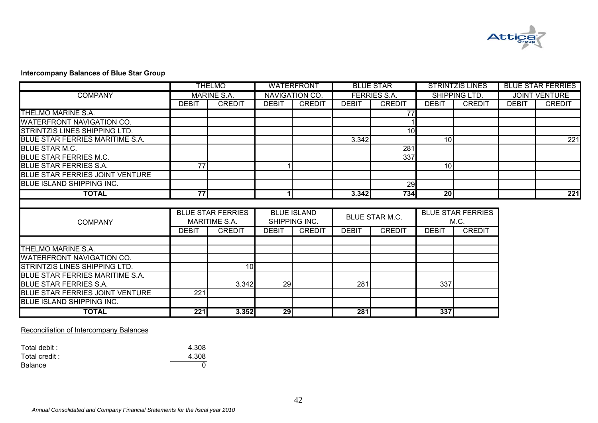

## **Intercompany Balances of Blue Star Group**

|                                        |                 | THELMO                   |                 | <b>WATERFRONT</b>  |              | <b>BLUE STAR</b>    |                 | <b>STRINTZIS LINES</b>   |              | <b>BLUE STAR FERRIES</b> |
|----------------------------------------|-----------------|--------------------------|-----------------|--------------------|--------------|---------------------|-----------------|--------------------------|--------------|--------------------------|
| <b>COMPANY</b>                         |                 | <b>MARINE S.A.</b>       |                 | NAVIGATION CO.     |              | <b>FERRIES S.A.</b> |                 | SHIPPING LTD.            |              | <b>JOINT VENTURE</b>     |
|                                        | <b>DEBIT</b>    | <b>CREDIT</b>            | <b>DEBIT</b>    | <b>CREDIT</b>      | <b>DEBIT</b> | <b>CREDIT</b>       | <b>DEBIT</b>    | <b>CREDIT</b>            | <b>DEBIT</b> | <b>CREDIT</b>            |
| THELMO MARINE S.A.                     |                 |                          |                 |                    |              | 77                  |                 |                          |              |                          |
| <b>WATERFRONT NAVIGATION CO.</b>       |                 |                          |                 |                    |              |                     |                 |                          |              |                          |
| <b>STRINTZIS LINES SHIPPING LTD.</b>   |                 |                          |                 |                    |              | 10                  |                 |                          |              |                          |
| BLUE STAR FERRIES MARITIME S.A.        |                 |                          |                 |                    | 3.342        |                     | 10 <sup>1</sup> |                          |              | 221                      |
| <b>BLUE STAR M.C.</b>                  |                 |                          |                 |                    |              | 281                 |                 |                          |              |                          |
| <b>BLUE STAR FERRIES M.C.</b>          |                 |                          |                 |                    |              | 337                 |                 |                          |              |                          |
| <b>BLUE STAR FERRIES S.A.</b>          | $\overline{77}$ |                          |                 |                    |              |                     | 10 <sup>1</sup> |                          |              |                          |
| <b>BLUE STAR FERRIES JOINT VENTURE</b> |                 |                          |                 |                    |              |                     |                 |                          |              |                          |
| <b>BLUE ISLAND SHIPPING INC.</b>       |                 |                          |                 |                    |              | 29                  |                 |                          |              |                          |
| <b>TOTAL</b>                           | 77              |                          | 1I              |                    | 3.342        | 734                 | 20              |                          |              | 221                      |
|                                        |                 |                          |                 |                    |              |                     |                 |                          |              |                          |
|                                        |                 | <b>BLUE STAR FERRIES</b> |                 | <b>BLUE ISLAND</b> |              |                     |                 | <b>BLUE STAR FERRIES</b> |              |                          |
| <b>COMPANY</b>                         |                 | <b>MARITIME S.A.</b>     |                 | SHIPPING INC.      |              | BLUE STAR M.C.      |                 | M.C.                     |              |                          |
|                                        | <b>DEBIT</b>    | <b>CREDIT</b>            | <b>DEBIT</b>    | <b>CREDIT</b>      | <b>DEBIT</b> | <b>CREDIT</b>       | <b>DEBIT</b>    | <b>CREDIT</b>            |              |                          |
|                                        |                 |                          |                 |                    |              |                     |                 |                          |              |                          |
| THELMO MARINE S.A.                     |                 |                          |                 |                    |              |                     |                 |                          |              |                          |
| <b>WATERFRONT NAVIGATION CO.</b>       |                 |                          |                 |                    |              |                     |                 |                          |              |                          |
| STRINTZIS LINES SHIPPING LTD.          |                 | 10                       |                 |                    |              |                     |                 |                          |              |                          |
| <b>BLUE STAR FERRIES MARITIME S.A.</b> |                 |                          |                 |                    |              |                     |                 |                          |              |                          |
| <b>BLUE STAR FERRIES S.A.</b>          |                 | 3.342                    | $\overline{29}$ |                    | 281          |                     | 337             |                          |              |                          |
| <b>BLUE STAR FERRIES JOINT VENTURE</b> | 221             |                          |                 |                    |              |                     |                 |                          |              |                          |
| <b>BLUE ISLAND SHIPPING INC.</b>       |                 |                          |                 |                    |              |                     |                 |                          |              |                          |
| <b>TOTAL</b>                           | 221             | 3.352                    | 29              |                    | 281          |                     | 337             |                          |              |                          |

## Reconciliation of Intercompany Balances

| Total debit : | 4.308 |
|---------------|-------|
| Total credit: | 4.308 |
| Balance       |       |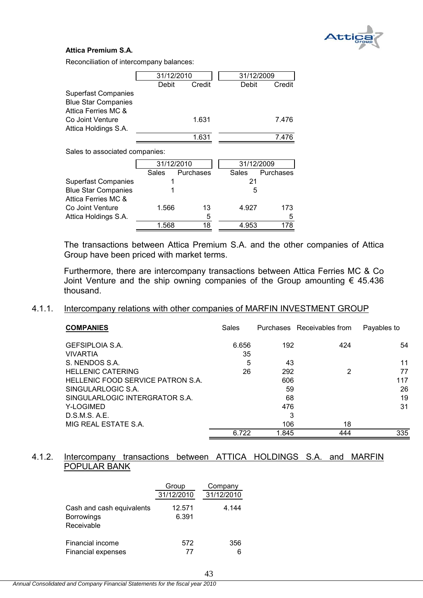

# **Attica Premium S.A.**

Reconciliation of intercompany balances:

|                                |       | 31/12/2010 | 31/12/2009 |           |  |
|--------------------------------|-------|------------|------------|-----------|--|
|                                | Debit | Credit     | Debit      | Credit    |  |
| <b>Superfast Companies</b>     |       |            |            |           |  |
| <b>Blue Star Companies</b>     |       |            |            |           |  |
| Attica Ferries MC &            |       |            |            |           |  |
| Co Joint Venture               |       | 1.631      |            | 7.476     |  |
| Attica Holdings S.A.           |       |            |            |           |  |
|                                |       |            |            |           |  |
|                                |       | 1.631      |            | 7.476     |  |
| Sales to associated companies: |       |            |            |           |  |
|                                |       |            |            |           |  |
|                                |       | 31/12/2010 | 31/12/2009 |           |  |
|                                | Sales | Purchases  | Sales      | Purchases |  |
| <b>Superfast Companies</b>     | 1     |            | 21         |           |  |
| <b>Blue Star Companies</b>     |       |            | 5          |           |  |
| Attica Ferries MC &            |       |            |            |           |  |

|                      | 1.568 | 18 | 4.953 | 178 |
|----------------------|-------|----|-------|-----|
| Attica Holdings S.A. |       |    |       | 5   |
| Co Joint Venture     | 1.566 | 13 | 4.927 | 173 |
| AUUU RUUUS IVIO U    |       |    |       |     |

The transactions between Attica Premium S.A. and the other companies of Attica Group have been priced with market terms.

Furthermore, there are intercompany transactions between Attica Ferries MC & Co Joint Venture and the ship owning companies of the Group amounting  $\epsilon$  45.436 thousand.

# 4.1.1. Intercompany relations with other companies of MARFIN INVESTMENT GROUP

| <b>COMPANIES</b>                  | Sales |       | Purchases Receivables from | Payables to |
|-----------------------------------|-------|-------|----------------------------|-------------|
| <b>GEFSIPLOIA S.A.</b>            | 6.656 | 192   | 424                        | 54          |
| <b>VIVARTIA</b>                   | 35    |       |                            |             |
| S. NENDOS S.A.                    | 5     | 43    |                            | 11          |
| <b>HELLENIC CATERING</b>          | 26    | 292   | 2                          | 77          |
| HELLENIC FOOD SERVICE PATRON S.A. |       | 606   |                            | 117         |
| SINGULARLOGIC S.A.                |       | 59    |                            | 26          |
| SINGULARLOGIC INTERGRATOR S.A.    |       | 68    |                            | 19          |
| Y-LOGIMED                         |       | 476   |                            | 31          |
| D.S.M.S. A.E.                     |       | 3     |                            |             |
| MIG REAL ESTATE S.A.              |       | 106   | 18                         |             |
|                                   | 6.722 | 1.845 | 444                        | 335         |

## 4.1.2. Intercompany transactions between ATTICA HOLDINGS S.A. and MARFIN POPULAR BANK

|                                                              | Group<br>31/12/2010 | Company<br>31/12/2010 |
|--------------------------------------------------------------|---------------------|-----------------------|
| Cash and cash equivalents<br><b>Borrowings</b><br>Receivable | 12.571<br>6.391     | 4.144                 |
| Financial income<br><b>Financial expenses</b>                | 572<br>77           | 356<br>6              |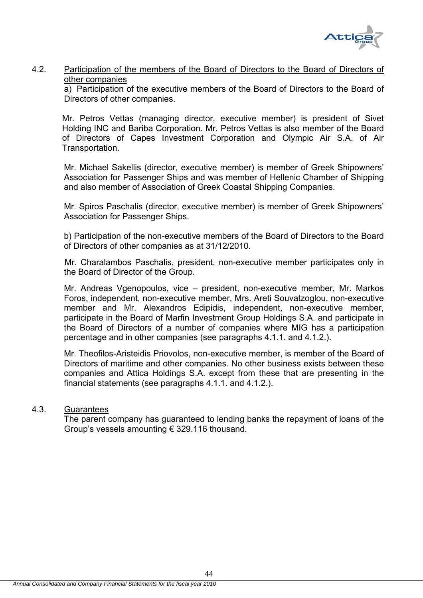

## 4.2. Participation of the members of the Board of Directors to the Board of Directors of other companies

 a) Participation of the executive members of the Board of Directors to the Board of Directors of other companies.

Mr. Petros Vettas (managing director, executive member) is president of Sivet Holding INC and Bariba Corporation. Mr. Petros Vettas is also member of the Board of Directors of Capes Investment Corporation and Olympic Air S.A. of Air Transportation.

Mr. Michael Sakellis (director, executive member) is member of Greek Shipowners' Association for Passenger Ships and was member of Hellenic Chamber of Shipping and also member of Association of Greek Coastal Shipping Companies.

Mr. Spiros Paschalis (director, executive member) is member of Greek Shipowners' Association for Passenger Ships.

b) Participation of the non-executive members of the Board of Directors to the Board of Directors of other companies as at 31/12/2010.

 Mr. Charalambos Paschalis, president, non-executive member participates only in the Board of Director of the Group.

Mr. Andreas Vgenopoulos, vice – president, non-executive member, Mr. Markos Foros, independent, non-executive member, Mrs. Areti Souvatzoglou, non-executive member and Mr. Alexandros Edipidis, independent, non-executive member, participate in the Board of Marfin Investment Group Holdings S.A. and participate in the Board of Directors of a number of companies where MIG has a participation percentage and in other companies (see paragraphs 4.1.1. and 4.1.2.).

Mr. Theofilos-Aristeidis Priovolos, non-executive member, is member of the Board of Directors of maritime and other companies. No other business exists between these companies and Attica Holdings S.A. except from these that are presenting in the financial statements (see paragraphs 4.1.1. and 4.1.2.).

# 4.3. Guarantees

 The parent company has guaranteed to lending banks the repayment of loans of the Group's vessels amounting € 329.116 thousand.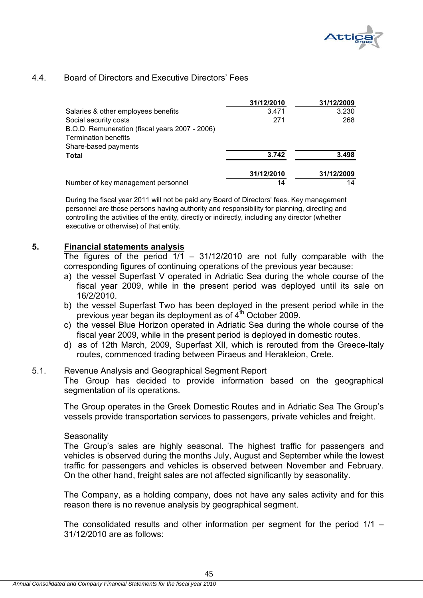

# 4.4. Board of Directors and Executive Directors' Fees

|                                                | 31/12/2010 | 31/12/2009 |
|------------------------------------------------|------------|------------|
| Salaries & other employees benefits            | 3.471      | 3.230      |
| Social security costs                          | 271        | 268        |
| B.O.D. Remuneration (fiscal years 2007 - 2006) |            |            |
| <b>Termination benefits</b>                    |            |            |
| Share-based payments                           |            |            |
| <b>Total</b>                                   | 3.742      | 3.498      |
|                                                | 31/12/2010 | 31/12/2009 |
| Number of key management personnel             | 14         | 14         |

During the fiscal year 2011 will not be paid any Board of Directors' fees. Key management personnel are those persons having authority and responsibility for planning, directing and controlling the activities of the entity, directly or indirectly, including any director (whether executive or otherwise) of that entity.

## **5. Financial statements analysis**

The figures of the period  $1/1 - 31/12/2010$  are not fully comparable with the corresponding figures of continuing operations of the previous year because:

- a) the vessel Superfast V operated in Adriatic Sea during the whole course of the fiscal year 2009, while in the present period was deployed until its sale on 16/2/2010.
- b) the vessel Superfast Two has been deployed in the present period while in the previous year began its deployment as of  $4<sup>th</sup>$  October 2009.
- c) the vessel Blue Horizon operated in Adriatic Sea during the whole course of the fiscal year 2009, while in the present period is deployed in domestic routes.
- d) as of 12th March, 2009, Superfast XII, which is rerouted from the Greece-Italy routes, commenced trading between Piraeus and Herakleion, Crete.

## 5.1. Revenue Analysis and Geographical Segment Report

The Group has decided to provide information based on the geographical segmentation of its operations.

The Group operates in the Greek Domestic Routes and in Adriatic Sea The Group's vessels provide transportation services to passengers, private vehicles and freight.

### **Seasonality**

The Group's sales are highly seasonal. The highest traffic for passengers and vehicles is observed during the months July, August and September while the lowest traffic for passengers and vehicles is observed between November and February. On the other hand, freight sales are not affected significantly by seasonality.

The Company, as a holding company, does not have any sales activity and for this reason there is no revenue analysis by geographical segment.

The consolidated results and other information per segment for the period  $1/1 -$ 31/12/2010 are as follows: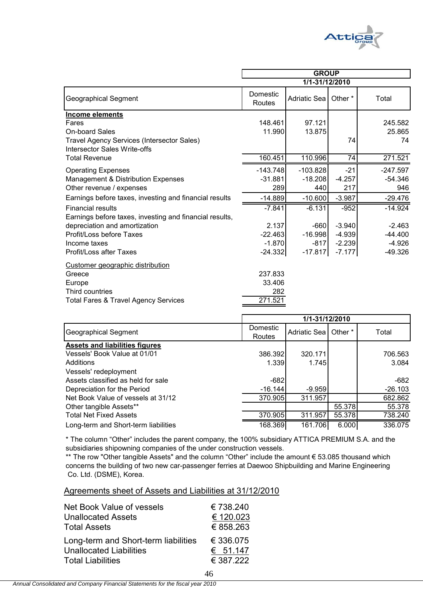

|                                                                                                                            | <b>GROUP</b>                        |                                |                          |                                |  |
|----------------------------------------------------------------------------------------------------------------------------|-------------------------------------|--------------------------------|--------------------------|--------------------------------|--|
|                                                                                                                            | 1/1-31/12/2010                      |                                |                          |                                |  |
| Geographical Segment                                                                                                       | Domestic<br>Routes                  | <b>Adriatic Seal</b>           | Other <sup>*</sup>       | Total                          |  |
| <b>Income elements</b>                                                                                                     |                                     |                                |                          |                                |  |
| Fares                                                                                                                      | 148.461                             | 97.121                         |                          | 245.582                        |  |
| <b>On-board Sales</b>                                                                                                      | 11.990                              | 13.875                         |                          | 25.865                         |  |
| Travel Agency Services (Intersector Sales)<br><b>Intersector Sales Write-offs</b>                                          |                                     |                                | 74                       | 74                             |  |
| <b>Total Revenue</b>                                                                                                       | 160.451                             | 110.996                        | 74                       | 271.521                        |  |
| <b>Operating Expenses</b><br>Management & Distribution Expenses<br>Other revenue / expenses                                | $-143.748$<br>$-31.881$<br>289      | $-103.828$<br>$-18.208$<br>440 | $-21$<br>$-4.257$<br>217 | $-247.597$<br>$-54.346$<br>946 |  |
| Earnings before taxes, investing and financial results                                                                     | $-14.889$                           | $-10.600$                      | $-3.987$                 | $-29.476$                      |  |
| <b>Financial results</b><br>Earnings before taxes, investing and financial results,                                        | $-7.841$                            | $-6.131$                       | $-952$                   | $-14.924$                      |  |
| depreciation and amortization                                                                                              | 2.137                               | $-660$                         | $-3.940$                 | $-2.463$                       |  |
| Profit/Loss before Taxes                                                                                                   | $-22.463$                           | $-16.998$                      | $-4.939$                 | $-44.400$                      |  |
| Income taxes                                                                                                               | $-1.870$                            | $-817$                         | $-2.239$                 | $-4.926$                       |  |
| Profit/Loss after Taxes                                                                                                    | $-24.332$                           | $-17.817$                      | $-7.177$                 | $-49.326$                      |  |
| Customer geographic distribution<br>Greece<br>Europe<br>Third countries<br><b>Total Fares &amp; Travel Agency Services</b> | 237.833<br>33.406<br>282<br>271.521 |                                |                          |                                |  |

|                                       | 1/1-31/12/2010     |              |         |           |
|---------------------------------------|--------------------|--------------|---------|-----------|
| Geographical Segment                  | Domestic<br>Routes | Adriatic Sea | Other * | Total     |
| <b>Assets and liabilities figures</b> |                    |              |         |           |
| Vessels' Book Value at 01/01          | 386.392            | 320.171      |         | 706.563   |
| Additions                             | 1.339              | 1.745        |         | 3.084     |
| Vessels' redeployment                 |                    |              |         |           |
| Assets classified as held for sale    | $-682$             |              |         | -682      |
| Depreciation for the Period           | $-16.144$          | $-9.959$     |         | $-26.103$ |
| Net Book Value of vessels at 31/12    | 370.905            | 311.957      |         | 682.862   |
| Other tangible Assets**               |                    |              | 55.378  | 55.378    |
| <b>Total Net Fixed Assets</b>         | 370.905            | 311.957      | 55.378  | 738.240   |
| Long-term and Short-term liabilities  | 168.369            | 161.706      | 6.000   | 336.075   |

\* The column "Other" includes the parent company, the 100% subsidiary ATTICA PREMIUM S.A. and the subsidiaries shipowning companies of the under construction vessels.

 Co. Ltd. (DSME), Korea. \*\* The row "Other tangible Assets" and the column "Other" include the amount € 53.085 thousand which concerns the building of two new car-passenger ferries at Daewoo Shipbuilding and Marine Engineering

46

### Agreements sheet of Assets and Liabilities at 31/12/2010

| Net Book Value of vessels            | € 738.240 |
|--------------------------------------|-----------|
| <b>Unallocated Assets</b>            | € 120.023 |
| <b>Total Assets</b>                  | € 858.263 |
| Long-term and Short-term liabilities | € 336.075 |
| <b>Unallocated Liabilities</b>       | € 51.147  |
| <b>Total Liabilities</b>             | € 387.222 |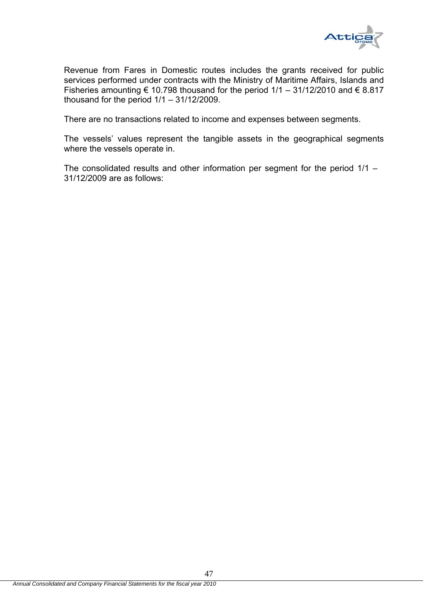

Revenue from Fares in Domestic routes includes the grants received for public services performed under contracts with the Ministry of Maritime Affairs, Islands and Fisheries amounting  $\epsilon$  10.798 thousand for the period 1/1 – 31/12/2010 and  $\epsilon$  8.817 thousand for the period  $1/1 - 31/12/2009$ .

There are no transactions related to income and expenses between segments.

The vessels' values represent the tangible assets in the geographical segments where the vessels operate in.

The consolidated results and other information per segment for the period 1/1 – 31/12/2009 are as follows: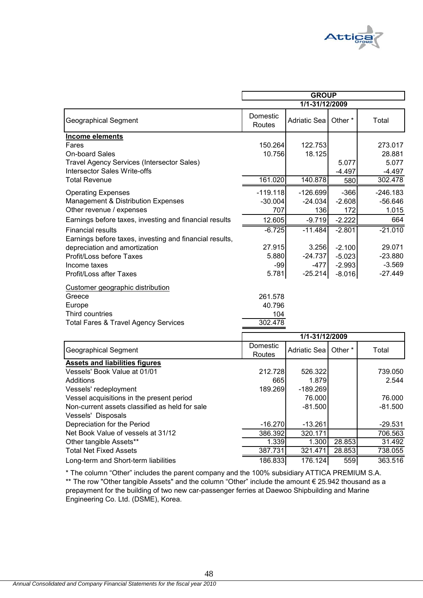

|                                                         | <b>GROUP</b>       |                     |                    |            |
|---------------------------------------------------------|--------------------|---------------------|--------------------|------------|
|                                                         |                    | 1/1-31/12/2009      |                    |            |
| <b>Geographical Segment</b>                             | Domestic<br>Routes | <b>Adriatic Sea</b> | Other <sup>*</sup> | Total      |
| <b>Income elements</b>                                  |                    |                     |                    |            |
| Fares                                                   | 150.264            | 122.753             |                    | 273.017    |
| <b>On-board Sales</b>                                   | 10.756             | 18.125              |                    | 28.881     |
| Travel Agency Services (Intersector Sales)              |                    |                     | 5.077              | 5.077      |
| <b>Intersector Sales Write-offs</b>                     |                    |                     | $-4.497$           | $-4.497$   |
| <b>Total Revenue</b>                                    | 161.020            | 140.878             | 580                | 302.478    |
| <b>Operating Expenses</b>                               | $-119.118$         | $-126.699$          | $-366$             | $-246.183$ |
| Management & Distribution Expenses                      | $-30.004$          | $-24.034$           | $-2.608$           | $-56.646$  |
| Other revenue / expenses                                | 707                | 136                 | 172                | 1.015      |
| Earnings before taxes, investing and financial results  | 12.605             | $-9.719$            | $-2.222$           | 664        |
| <b>Financial results</b>                                | $-6.725$           | $-11.484$           | $-2.801$           | $-21.010$  |
| Earnings before taxes, investing and financial results, |                    |                     |                    |            |
| depreciation and amortization                           | 27.915             | 3.256               | $-2.100$           | 29.071     |
| Profit/Loss before Taxes                                | 5.880              | $-24.737$           | $-5.023$           | $-23.880$  |
| Income taxes                                            | $-99$              | $-477$              | $-2.993$           | $-3.569$   |
| Profit/Loss after Taxes                                 | 5.781              | $-25.214$           | $-8.016$           | $-27.449$  |
| Customer geographic distribution                        |                    |                     |                    |            |
| Greece                                                  | 261.578            |                     |                    |            |
| Europe                                                  | 40.796             |                     |                    |            |
| Third countries                                         | 104                |                     |                    |            |
| <b>Total Fares &amp; Travel Agency Services</b>         | 302.478            |                     |                    |            |
|                                                         |                    | 1/1-31/12/2009      |                    |            |
| <b>Geographical Segment</b>                             | Domestic<br>Routes | <b>Adriatic Sea</b> | Other*             | Total      |
| <b>Assets and liabilities figures</b>                   |                    |                     |                    |            |
| Vessels' Book Value at 01/01                            | 212.728            | 526.322             |                    | 739.050    |
| Additions                                               | 665                | 1.879               |                    | 2.544      |
| Vessels' redeployment                                   | 189.269            | $-189.269$          |                    |            |
| Vessel acquisitions in the present period               |                    | 76.000              |                    | 76.000     |
| Non-current assets classified as held for sale          |                    | $-81.500$           |                    | $-81.500$  |
| Vessels' Disposals                                      |                    |                     |                    |            |

Other tangible Assets\*\* 1.339 1.300 28.853 31.492 Total Net Fixed Assets 387.731 321.471 28.853 Long-term and Short-term liabilities 186.833 176.124 559 363.516 Engineering Co. Ltd. (DSME), Korea. prepayment for the building of two new car-passenger ferries at Daewoo Shipbuilding and Marine \* The column "Other" includes the parent company and the 100% subsidiary ATTICA PREMIUM S.A. \*\* The row "Other tangible Assets" and the column "Other" include the amount € 25.942 thousand as a

Depreciation for the Period **COV** -16.270 -13.261 -13.261 -13.261 -29.531 Net Book Value of vessels at 31/12<br>
Other tangible Assets\*\* discussed: 1.339 1.339 1.300 28.853 31.492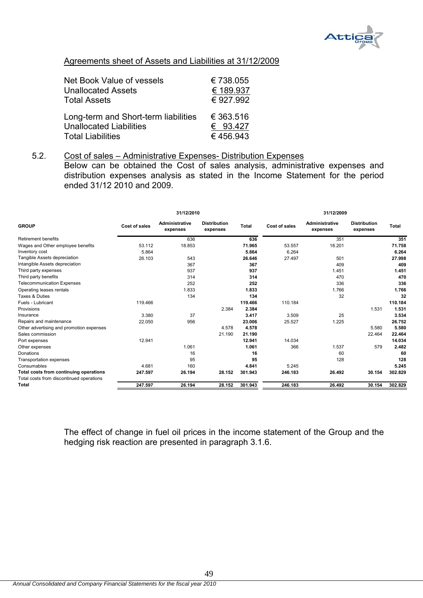

# Agreements sheet of Assets and Liabilities at 31/12/2009

| <b>Net Book Value of vessels</b>     | €738.055  |
|--------------------------------------|-----------|
| <b>Unallocated Assets</b>            | € 189.937 |
| <b>Total Assets</b>                  | € 927.992 |
| Long-term and Short-term liabilities | € 363.516 |
| <b>Unallocated Liabilities</b>       | € 93.427  |
| <b>Total Liabilities</b>             | €456.943  |

# 5.2. Cost of sales – Administrative Expenses- Distribution Expenses

Below can be obtained the Cost of sales analysis, administrative expenses and distribution expenses analysis as stated in the Income Statement for the period ended 31/12 2010 and 2009.

| <b>GROUP</b><br><b>Retirement benefits</b> |               | 31/12/2010                 |                                 |              |               | 31/12/2009                        |                                 |              |
|--------------------------------------------|---------------|----------------------------|---------------------------------|--------------|---------------|-----------------------------------|---------------------------------|--------------|
|                                            | Cost of sales | Administrative<br>expenses | <b>Distribution</b><br>expenses | <b>Total</b> | Cost of sales | <b>Administrative</b><br>expenses | <b>Distribution</b><br>expenses | <b>Total</b> |
|                                            |               | 636                        |                                 | 636          |               | 351                               |                                 | 351          |
| Wages and Other employee benefits          | 53.112        | 18.853                     |                                 | 71.965       | 53.557        | 18.201                            |                                 | 71.758       |
| Inventory cost                             | 5.864         |                            |                                 | 5.864        | 6.264         |                                   |                                 | 6.264        |
| Tangible Assets depreciation               | 26.103        | 543                        |                                 | 26.646       | 27.497        | 501                               |                                 | 27.998       |
| Intangible Assets depreciation             |               | 367                        |                                 | 367          |               | 409                               |                                 | 409          |
| Third party expenses                       |               | 937                        |                                 | 937          |               | 1.451                             |                                 | 1.451        |
| Third party benefits                       |               | 314                        |                                 | 314          |               | 470                               |                                 | 470          |
| <b>Telecommunication Expenses</b>          |               | 252                        |                                 | 252          |               | 336                               |                                 | 336          |
| Operating leases rentals                   |               | 1.833                      |                                 | 1.833        |               | 1.766                             |                                 | 1.766        |
| Taxes & Duties                             |               | 134                        |                                 | 134          |               | 32                                |                                 | 32           |
| Fuels - Lubricant                          | 119.466       |                            |                                 | 119.466      | 110.184       |                                   |                                 | 110.184      |
| Provisions                                 |               |                            | 2.384                           | 2.384        |               |                                   | 1.531                           | 1.531        |
| Insurance                                  | 3.380         | 37                         |                                 | 3.417        | 3.509         | 25                                |                                 | 3.534        |
| Repairs and maintenance                    | 22.050        | 956                        |                                 | 23.006       | 25.527        | 1.225                             |                                 | 26.752       |
| Other advertising and promotion expenses   |               |                            | 4.578                           | 4.578        |               |                                   | 5.580                           | 5.580        |
| Sales commission                           |               |                            | 21.190                          | 21.190       |               |                                   | 22.464                          | 22.464       |
| Port expenses                              | 12.941        |                            |                                 | 12.941       | 14.034        |                                   |                                 | 14.034       |
| Other expenses                             |               | 1.061                      |                                 | 1.061        | 366           | 1.537                             | 579                             | 2.482        |
| Donations                                  |               | 16                         |                                 | 16           |               | 60                                |                                 | 60           |
| Transportation expenses                    |               | 95                         |                                 | 95           |               | 128                               |                                 | 128          |
| Consumables                                | 4.681         | 160                        |                                 | 4.841        | 5.245         |                                   |                                 | 5.245        |
| Total costs from continuing operations     | 247.597       | 26.194                     | 28.152                          | 301.943      | 246.183       | 26.492                            | 30.154                          | 302.829      |
| Total costs from discontinued operations   |               |                            |                                 |              |               |                                   |                                 |              |
| <b>Total</b>                               | 247.597       | 26.194                     | 28.152                          | 301.943      | 246.183       | 26.492                            | 30.154                          | 302.829      |

The effect of change in fuel oil prices in the income statement of the Group and the hedging risk reaction are presented in paragraph 3.1.6.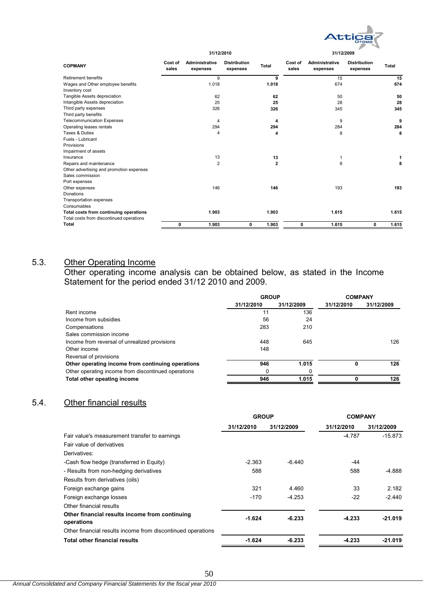

| <b>COPMANY</b>                           | Cost of<br>sales | Administrative<br>expenses | <b>Distribution</b><br>expenses | Total        | Cost of<br>sales | Administrative<br>expenses | <b>Distribution</b><br>expenses | <b>Total</b> |
|------------------------------------------|------------------|----------------------------|---------------------------------|--------------|------------------|----------------------------|---------------------------------|--------------|
| <b>Retirement benefits</b>               |                  | 9                          |                                 | 9            |                  | 15                         |                                 | 15           |
| Wages and Other employee benefits        |                  | 1.018                      |                                 | 1.018        |                  | 674                        |                                 | 674          |
| Inventory cost                           |                  |                            |                                 |              |                  |                            |                                 |              |
| Tangible Assets depreciation             |                  | 62                         |                                 | 62           |                  | 50                         |                                 | 50           |
| Intangible Assets depreciation           |                  | 25                         |                                 | 25           |                  | 28                         |                                 | 28           |
| Third party expenses                     |                  | 326                        |                                 | 326          |                  | 345                        |                                 | 345          |
| Third party benefits                     |                  |                            |                                 |              |                  |                            |                                 |              |
| <b>Telecommunication Expenses</b>        |                  | 4                          |                                 | 4            |                  | 9                          |                                 | 9            |
| Operating leases rentals                 |                  | 294                        |                                 | 294          |                  | 284                        |                                 | 284          |
| Taxes & Duties                           |                  | 4                          |                                 | 4            |                  | 8                          |                                 | 8            |
| Fuels - Lubricant                        |                  |                            |                                 |              |                  |                            |                                 |              |
| Provisions                               |                  |                            |                                 |              |                  |                            |                                 |              |
| Impairment of assets                     |                  |                            |                                 |              |                  |                            |                                 |              |
| Insurance                                |                  | 13                         |                                 | 13           |                  |                            |                                 | 1            |
| Repairs and maintenance                  |                  | $\overline{2}$             |                                 | $\mathbf{2}$ |                  | 8                          |                                 | 8            |
| Other advertising and promotion expenses |                  |                            |                                 |              |                  |                            |                                 |              |
| Sales commission                         |                  |                            |                                 |              |                  |                            |                                 |              |
| Port expenses                            |                  |                            |                                 |              |                  |                            |                                 |              |
| Other expenses                           |                  | 146                        |                                 | 146          |                  | 193                        |                                 | 193          |
| Donations                                |                  |                            |                                 |              |                  |                            |                                 |              |
| <b>Transportation expenses</b>           |                  |                            |                                 |              |                  |                            |                                 |              |
| Consumables                              |                  |                            |                                 |              |                  |                            |                                 |              |
| Total costs from continuing operations   |                  | 1.903                      |                                 | 1.903        |                  | 1.615                      |                                 | 1.615        |
| Total costs from discontinued operations |                  |                            |                                 |              |                  |                            |                                 |              |
| Total                                    | 0                | 1.903                      | 0                               | 1.903        | 0                | 1.615                      | 0                               | 1.615        |
|                                          |                  |                            |                                 |              |                  |                            |                                 |              |

# 5.3. Other Operating Income

Other operating income analysis can be obtained below, as stated in the Income Statement for the period ended 31/12 2010 and 2009.

|                                                     | <b>GROUP</b> |            |            | <b>COMPANY</b> |
|-----------------------------------------------------|--------------|------------|------------|----------------|
|                                                     | 31/12/2010   | 31/12/2009 | 31/12/2010 | 31/12/2009     |
| Rent income                                         | 11           | 136        |            |                |
| Income from subsidies                               | 56           | 24         |            |                |
| Compensations                                       | 283          | 210        |            |                |
| Sales commission income                             |              |            |            |                |
| Income from reversal of unrealized provisions       | 448          | 645        |            | 126            |
| Other income                                        | 148          |            |            |                |
| Reversal of provisions                              |              |            |            |                |
| Other operating income from continuing operations   | 946          | 1.015      | 0          | 126            |
| Other operating income from discontinued operations |              |            |            |                |
| Total other opeating income                         | 946          | 1.015      |            | 126            |
|                                                     |              |            |            |                |

# 5.4. Other financial results

|                                                              | <b>GROUP</b> |            | <b>COMPANY</b> |            |
|--------------------------------------------------------------|--------------|------------|----------------|------------|
|                                                              | 31/12/2010   | 31/12/2009 | 31/12/2010     | 31/12/2009 |
| Fair value's measurement transfer to earnings                |              |            | -4.787         | $-15.873$  |
| Fair value of derivatives                                    |              |            |                |            |
| Derivatives:                                                 |              |            |                |            |
| -Cash flow hedge (transferred in Equity)                     | $-2.363$     | $-6.440$   | -44            |            |
| - Results from non-hedging derivatives                       | 588          |            | 588            | $-4.888$   |
| Results from derivatives (oils)                              |              |            |                |            |
| Foreign exchange gains                                       | 321          | 4.460      | 33             | 2.182      |
| Foreign exchange losses                                      | $-170$       | $-4.253$   | $-22$          | $-2.440$   |
| Other financial results                                      |              |            |                |            |
| Other financial results income from continuing<br>operations | $-1.624$     | $-6.233$   | $-4.233$       | $-21.019$  |
| Other financial results income from discontinued operations  |              |            |                |            |
| <b>Total other financial results</b>                         | $-1.624$     | $-6.233$   | $-4.233$       | $-21.019$  |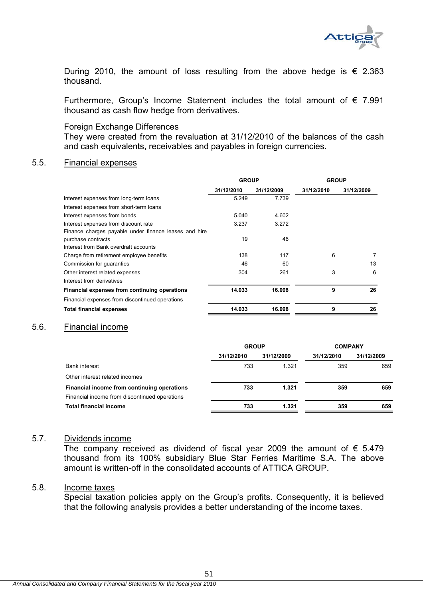

During 2010, the amount of loss resulting from the above hedge is  $\epsilon$  2.363 thousand.

Furthermore, Group's Income Statement includes the total amount of  $\epsilon$  7.991 thousand as cash flow hedge from derivatives.

### Foreign Exchange Differences

They were created from the revaluation at 31/12/2010 of the balances of the cash and cash equivalents, receivables and payables in foreign currencies.

### 5.5. Financial expenses

|                                                       | <b>GROUP</b> |            | <b>GROUP</b> |            |
|-------------------------------------------------------|--------------|------------|--------------|------------|
|                                                       | 31/12/2010   | 31/12/2009 | 31/12/2010   | 31/12/2009 |
| Interest expenses from long-term loans                | 5.249        | 7.739      |              |            |
| Interest expenses from short-term loans               |              |            |              |            |
| Interest expenses from bonds                          | 5.040        | 4.602      |              |            |
| Interest expenses from discount rate                  | 3.237        | 3.272      |              |            |
| Finance charges payable under finance leases and hire |              |            |              |            |
| purchase contracts                                    | 19           | 46         |              |            |
| Interest from Bank overdraft accounts                 |              |            |              |            |
| Charge from retirement employee benefits              | 138          | 117        | 6            | 7          |
| Commission for guaranties                             | 46           | 60         |              | 13         |
| Other interest related expenses                       | 304          | 261        | 3            | 6          |
| Interest from derivatives                             |              |            |              |            |
| Financial expenses from continuing operations         | 14.033       | 16.098     | 9            | 26         |
| Financial expenses from discontinued operations       |              |            |              |            |
| <b>Total financial expenses</b>                       | 14.033       | 16.098     | 9            | 26         |

# 5.6. Financial income

|                                               | <b>GROUP</b> |            | <b>COMPANY</b> |            |
|-----------------------------------------------|--------------|------------|----------------|------------|
|                                               | 31/12/2010   | 31/12/2009 | 31/12/2010     | 31/12/2009 |
| <b>Bank interest</b>                          | 733          | 1.321      | 359            | 659        |
| Other interest related incomes                |              |            |                |            |
| Financial income from continuing operations   | 733          | 1.321      | 359            | 659        |
| Financial income from discontinued operations |              |            |                |            |
| <b>Total financial income</b>                 | 733          | 1.321      | 359            | 659        |

### 5.7. Dividends income

The company received as dividend of fiscal year 2009 the amount of  $\epsilon$  5.479 thousand from its 100% subsidiary Blue Star Ferries Maritime S.A. The above amount is written-off in the consolidated accounts of ATTICA GROUP.

## 5.8. Income taxes

Special taxation policies apply on the Group's profits. Consequently, it is believed that the following analysis provides a better understanding of the income taxes.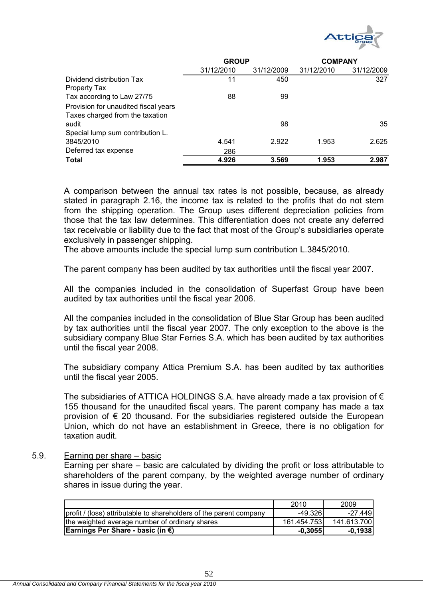

|                                      | <b>GROUP</b> |            | <b>COMPANY</b> |            |
|--------------------------------------|--------------|------------|----------------|------------|
|                                      | 31/12/2010   | 31/12/2009 | 31/12/2010     | 31/12/2009 |
| Dividend distribution Tax            | 11           | 450        |                | 327        |
| Property Tax                         |              |            |                |            |
| Tax according to Law 27/75           | 88           | 99         |                |            |
| Provision for unaudited fiscal years |              |            |                |            |
| Taxes charged from the taxation      |              |            |                |            |
| audit                                |              | 98         |                | 35         |
| Special lump sum contribution L.     |              |            |                |            |
| 3845/2010                            | 4.541        | 2.922      | 1.953          | 2.625      |
| Deferred tax expense                 | 286          |            |                |            |
| Total                                | 4.926        | 3.569      | 1.953          | 2.987      |
|                                      |              |            |                |            |

A comparison between the annual tax rates is not possible, because, as already stated in paragraph 2.16, the income tax is related to the profits that do not stem from the shipping operation. The Group uses different depreciation policies from those that the tax law determines. This differentiation does not create any deferred tax receivable or liability due to the fact that most of the Group's subsidiaries operate exclusively in passenger shipping.

The above amounts include the special lump sum contribution L.3845/2010.

The parent company has been audited by tax authorities until the fiscal year 2007.

All the companies included in the consolidation of Superfast Group have been audited by tax authorities until the fiscal year 2006.

All the companies included in the consolidation of Blue Star Group has been audited by tax authorities until the fiscal year 2007. The only exception to the above is the subsidiary company Blue Star Ferries S.A. which has been audited by tax authorities until the fiscal year 2008.

The subsidiary company Attica Premium S.A. has been audited by tax authorities until the fiscal year 2005.

The subsidiaries of ATTICA HOLDINGS S.A. have already made a tax provision of  $\epsilon$ 155 thousand for the unaudited fiscal years. The parent company has made a tax provision of  $\epsilon$  20 thousand. For the subsidiaries registered outside the European Union, which do not have an establishment in Greece, there is no obligation for taxation audit.

### 5.9. Earning per share – basic

Earning per share – basic are calculated by dividing the profit or loss attributable to shareholders of the parent company, by the weighted average number of ordinary shares in issue during the year.

|                                                                    | 2010        | 2009        |
|--------------------------------------------------------------------|-------------|-------------|
| profit / (loss) attributable to shareholders of the parent company | $-49.326$   | -27.4491    |
| the weighted average number of ordinary shares                     | 161.454.753 | 141.613.700 |
| Earnings Per Share - basic (in €)                                  | $-0.3055$   | $-0.1938$   |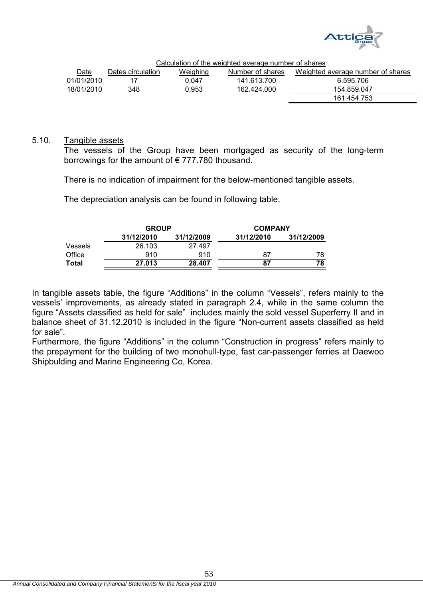

161.454.753

|            | Calculation of the weighted average number of shares |          |                  |                                   |  |  |  |  |  |  |
|------------|------------------------------------------------------|----------|------------------|-----------------------------------|--|--|--|--|--|--|
| Date       | Dates circulation                                    | Weighing | Number of shares | Weighted average number of shares |  |  |  |  |  |  |
| 01/01/2010 |                                                      | 0.047    | 141.613.700      | 6.595.706                         |  |  |  |  |  |  |
| 18/01/2010 | 348                                                  | 0.953    | 162.424.000      | 154.859.047                       |  |  |  |  |  |  |

### 5.10. Tangible assets

The vessels of the Group have been mortgaged as security of the long-term borrowings for the amount of € 777.780 thousand.

There is no indication of impairment for the below-mentioned tangible assets.

The depreciation analysis can be found in following table.

|         | <b>GROUP</b> |            | <b>COMPANY</b> |            |
|---------|--------------|------------|----------------|------------|
|         | 31/12/2010   | 31/12/2009 | 31/12/2010     | 31/12/2009 |
| Vessels | 26.103       | 27.497     |                |            |
| Office  | 910          | 910        | 87             | 78         |
| Total   | 27.013       | 28.407     | 87             | 78         |

In tangible assets table, the figure "Additions" in the column "Vessels", refers mainly to the vessels' improvements, as already stated in paragraph 2.4, while in the same column the figure "Assets classified as held for sale" includes mainly the sold vessel Superferry II and in balance sheet of 31.12.2010 is included in the figure "Non-current assets classified as held for sale".

Furthermore, the figure "Additions" in the column "Construction in progress" refers mainly to the prepayment for the building of two monohull-type, fast car-passenger ferries at Daewoo Shipbulding and Marine Engineering Co, Korea.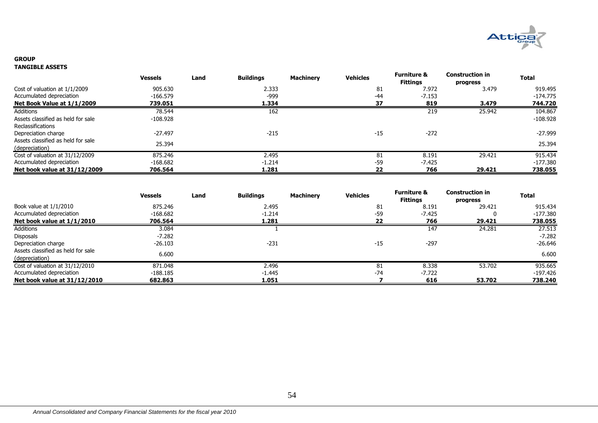

#### **GROUP TANGIBLE ASSETS**

|                                                      | <b>Vessels</b> | Land | <b>Buildings</b> | <b>Machinery</b> | <b>Vehicles</b> | <b>Furniture &amp;</b><br><b>Fittings</b> | <b>Construction in</b><br>progress | <b>Total</b> |
|------------------------------------------------------|----------------|------|------------------|------------------|-----------------|-------------------------------------------|------------------------------------|--------------|
| Cost of valuation at 1/1/2009                        | 905.630        |      | 2.333            |                  | 81              | 7.972                                     | 3.479                              | 919.495      |
| Accumulated depreciation                             | $-166.579$     |      | $-999$           |                  | $-44$           | $-7.153$                                  |                                    | $-174.775$   |
| Net Book Value at 1/1/2009                           | 739.051        |      | 1.334            |                  | 37              | 819                                       | 3.479                              | 744.720      |
| Additions                                            | 78.544         |      | 162              |                  |                 | 219                                       | 25.942                             | 104.867      |
| Assets classified as held for sale                   | -108.928       |      |                  |                  |                 |                                           |                                    | $-108.928$   |
| Reclassifications                                    |                |      |                  |                  |                 |                                           |                                    |              |
| Depreciation charge                                  | $-27.497$      |      | $-215$           |                  | $-15$           | $-272$                                    |                                    | $-27.999$    |
| Assets classified as held for sale<br>(depreciation) | 25.394         |      |                  |                  |                 |                                           |                                    | 25.394       |
| Cost of valuation at 31/12/2009                      | 875.246        |      | 2.495            |                  | 81              | 8.191                                     | 29.421                             | 915.434      |
| Accumulated depreciation                             | $-168.682$     |      | $-1.214$         |                  | $-59$           | $-7.425$                                  |                                    | -177.380     |
| Net book value at 31/12/2009                         | 706.564        |      | 1.281            |                  | 22              | 766                                       | 29.421                             | 738.055      |

|                                                      | <b>Vessels</b> | Land | <b>Buildings</b> | <b>Machinery</b> | <b>Vehicles</b> | <b>Furniture &amp;</b><br><b>Fittinas</b> | Construction in<br>progress | <b>Total</b> |
|------------------------------------------------------|----------------|------|------------------|------------------|-----------------|-------------------------------------------|-----------------------------|--------------|
| Book value at $1/1/2010$                             | 875.246        |      | 2.495            |                  | 81              | 8.191                                     | 29.421                      | 915.434      |
| Accumulated depreciation                             | -168.682       |      | $-1.214$         |                  | $-59$           | $-7.425$                                  |                             | $-177.380$   |
| Net book value at 1/1/2010                           | 706.564        |      | 1.281            |                  | 22              | 766                                       | 29.421                      | 738.055      |
| Additions                                            | 3.084          |      |                  |                  |                 | 147                                       | 24.281                      | 27.513       |
| Disposals                                            | $-7.282$       |      |                  |                  |                 |                                           |                             | $-7.282$     |
| Depreciation charge                                  | $-26.103$      |      | $-231$           |                  | $-15$           | $-297$                                    |                             | $-26.646$    |
| Assets classified as held for sale<br>(depreciation) | 6.600          |      |                  |                  |                 |                                           |                             | 6.600        |
| Cost of valuation at 31/12/2010                      | 871.048        |      | 2.496            |                  | 81              | 8.338                                     | 53.702                      | 935.665      |
| Accumulated depreciation                             | -188.185       |      | $-1.445$         |                  | $-74$           | $-7.722$                                  |                             | -197.426     |
| Net book value at 31/12/2010                         | 682.863        |      | 1.051            |                  |                 | 616                                       | 53.702                      | 738.240      |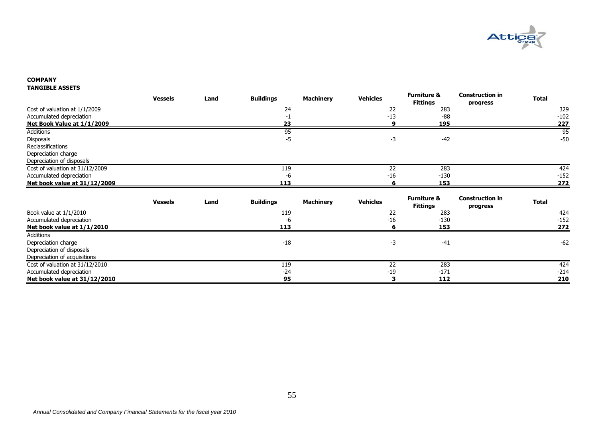

### **COMPANY TANGIBLE ASSETS**

|                                 | <b>Vessels</b> | Land | <b>Buildings</b> | <b>Machinery</b> | <b>Vehicles</b> | <b>Furniture &amp;</b><br><b>Fittings</b> | <b>Construction in</b><br>progress | <b>Total</b>  |
|---------------------------------|----------------|------|------------------|------------------|-----------------|-------------------------------------------|------------------------------------|---------------|
| Cost of valuation at 1/1/2009   |                |      | 24               |                  | 22              | 283                                       |                                    | 329           |
| Accumulated depreciation        |                |      | -1               |                  | $-13$           | $-88$                                     |                                    | $-102$        |
| Net Book Value at 1/1/2009      |                |      | 23               |                  | q               | 195                                       |                                    | 227           |
| <b>Additions</b>                |                |      | 95               |                  |                 |                                           |                                    | 95            |
| Disposals                       |                |      | $-5$             |                  | $-3$            | $-42$                                     |                                    | $-50$         |
| Reclassifications               |                |      |                  |                  |                 |                                           |                                    |               |
| Depreciation charge             |                |      |                  |                  |                 |                                           |                                    |               |
| Depreciation of disposals       |                |      |                  |                  |                 |                                           |                                    |               |
| Cost of valuation at 31/12/2009 |                |      | 119              |                  | 22              | 283                                       |                                    | 424           |
| Accumulated depreciation        |                |      | -6               |                  | $-16$           | $-130$                                    |                                    | $-152$        |
| Net book value at 31/12/2009    |                |      | 113              |                  |                 | 153                                       |                                    | 272           |
|                                 |                |      |                  |                  |                 |                                           |                                    |               |
|                                 |                |      |                  |                  |                 |                                           |                                    |               |
|                                 | <b>Vessels</b> | Land | <b>Buildings</b> | <b>Machinery</b> | <b>Vehicles</b> | <b>Furniture &amp;</b><br><b>Fittings</b> | <b>Construction in</b><br>progress | <b>Total</b>  |
| Book value at 1/1/2010          |                |      | 119              |                  | 22              | 283                                       |                                    | 424           |
| Accumulated depreciation        |                |      | -6               |                  | $-16$           | $-130$                                    |                                    | $-152$        |
| Net book value at 1/1/2010      |                |      | 113              |                  | 6               | 153                                       |                                    | 272           |
| Additions                       |                |      |                  |                  |                 |                                           |                                    |               |
| Depreciation charge             |                |      | $-18$            |                  | $-3$            | $-41$                                     |                                    | $-62$         |
| Depreciation of disposals       |                |      |                  |                  |                 |                                           |                                    |               |
| Depreciation of acquisitions    |                |      |                  |                  |                 |                                           |                                    |               |
| Cost of valuation at 31/12/2010 |                |      | 119              |                  | $\overline{22}$ | 283                                       |                                    | 424           |
| Accumulated depreciation        |                |      | $-24$            |                  | $-19$           | $-171$                                    |                                    | $-214$<br>210 |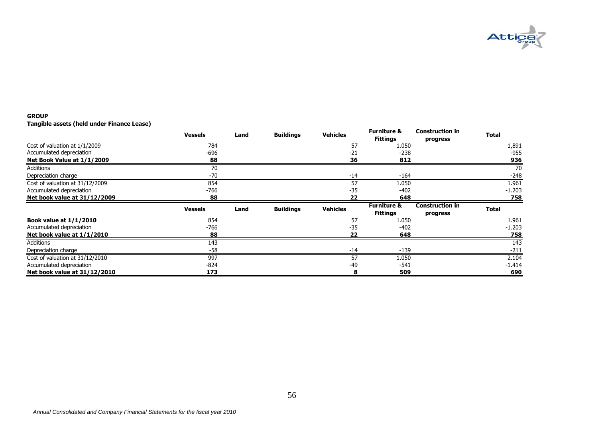

#### **GROUP**

**Tangible assets (held under Finance Lease)**

|                                 | <b>Vessels</b> | Land | <b>Buildings</b> | <b>Vehicles</b> | <b>Furniture &amp;</b><br><b>Fittings</b> | <b>Construction in</b><br>progress | <b>Total</b>     |
|---------------------------------|----------------|------|------------------|-----------------|-------------------------------------------|------------------------------------|------------------|
| Cost of valuation at 1/1/2009   | 784            |      |                  | 57              | 1.050                                     |                                    | 1,891            |
| Accumulated depreciation        | -696           |      |                  | $-21$           | $-238$                                    |                                    | -955             |
| Net Book Value at 1/1/2009      | 88             |      |                  | 36              | 812                                       |                                    | <u>936</u>       |
| Additions                       | 70             |      |                  |                 |                                           |                                    | 70               |
| Depreciation charge             | -70            |      |                  | $-14$           | $-164$                                    |                                    | $-248$           |
| Cost of valuation at 31/12/2009 | 854            |      |                  | 57              | 1.050                                     |                                    | 1.961            |
| Accumulated depreciation        | -766           |      |                  | $-35$           | $-402$                                    |                                    | $-1.203$         |
| Net book value at 31/12/2009    | 88             |      |                  | 22              | 648                                       |                                    | <u>758</u>       |
|                                 |                |      |                  |                 |                                           |                                    |                  |
|                                 | <b>Vessels</b> | Land | <b>Buildings</b> | <b>Vehicles</b> | <b>Furniture &amp;</b><br><b>Fittings</b> | <b>Construction in</b><br>progress | <b>Total</b>     |
| <b>Book value at 1/1/2010</b>   | 854            |      |                  | 57              | 1.050                                     |                                    | 1.961            |
| Accumulated depreciation        | $-766$         |      |                  | $-35$           | $-402$                                    |                                    | $-1.203$         |
| Net book value at $1/1/2010$    | 88             |      |                  | 22              | 648                                       |                                    | <u>758</u>       |
| Additions                       | 143            |      |                  |                 |                                           |                                    | $\overline{143}$ |
| Depreciation charge             | $-58$          |      |                  | $-14$           | $-139$                                    |                                    | $-211$           |
| Cost of valuation at 31/12/2010 | 997            |      |                  | 57              | 1.050                                     |                                    | 2.104            |
| Accumulated depreciation        | -824           |      |                  | $-49$           | $-541$                                    |                                    | $-1.414$         |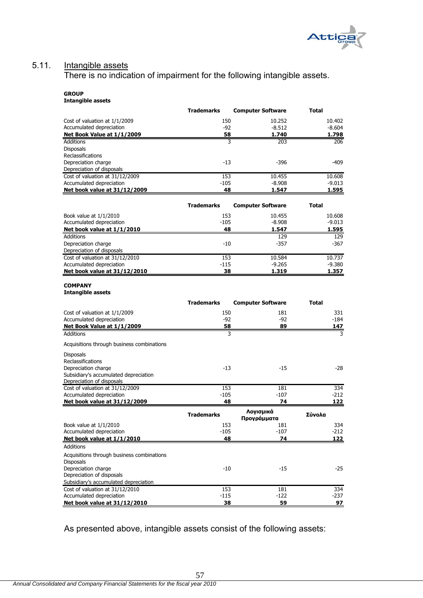

# 5.11. Intangible assets

There is no indication of impairment for the following intangible assets.

#### **GROUP Intangible assets**

| 150<br>Cost of valuation at 1/1/2009<br>10.252<br>10.402<br>Accumulated depreciation<br>-92<br>$-8.604$<br>$-8.512$<br>Net Book Value at 1/1/2009<br>58<br>1.740<br>1.798<br>Additions<br>3<br>203<br>206<br><b>Disposals</b><br>Reclassifications<br>Depreciation charge<br>$-13$<br>-409<br>-396<br>Depreciation of disposals<br>153<br>Cost of valuation at 31/12/2009<br>10.455<br>10.608<br>Accumulated depreciation<br>$-8.908$<br>-105<br>$-9.013$<br>Net book value at 31/12/2009<br>48<br>1.595<br>1.547<br><b>Trademarks</b><br><b>Computer Software</b><br>Total<br>Book value at 1/1/2010<br>153<br>10.455<br>10.608<br>Accumulated depreciation<br>$-105$<br>$-9.013$<br>$-8.908$<br>Net book value at 1/1/2010<br>48<br>1.547<br>1.595<br><b>Additions</b><br>129<br>129<br>$-10$<br>Depreciation charge<br>$-357$<br>-367<br>Depreciation of disposals<br>Cost of valuation at 31/12/2010<br>10.737<br>153<br>10.584<br>Accumulated depreciation<br>$-115$<br>$-9.265$<br>$-9.380$<br>Net book value at 31/12/2010<br>38<br>1.357<br>1.319<br><b>COMPANY</b><br><b>Intangible assets</b><br><b>Trademarks</b><br><b>Computer Software</b><br>Total<br>331<br>Cost of valuation at 1/1/2009<br>150<br>181<br>Accumulated depreciation<br>-92<br>-92<br>$-184$<br>89<br>Net Book Value at 1/1/2009<br>58<br>147<br>Additions<br>3<br>3<br>Acquisitions through business combinations<br><b>Disposals</b><br>Reclassifications<br>Depreciation charge<br>-13<br>$-15$<br>-28<br>Subsidiary's accumulated depreciation<br>Depreciation of disposals<br>Cost of valuation at 31/12/2009<br>153<br>181<br>334<br>Accumulated depreciation<br>$-105$<br>$-107$<br>$-212$<br>Net book value at 31/12/2009<br>48<br>74<br>122<br>Λογισμικά<br>Σύνολα<br><b>Trademarks</b><br>Προγράμματα<br>Book value at 1/1/2010<br>334<br>153<br>181<br>Accumulated depreciation<br>$-105$<br>$-107$<br>$-212$<br>Net book value at 1/1/2010<br>74<br>122<br>48<br><b>Additions</b><br>Acquisitions through business combinations<br><b>Disposals</b><br>Depreciation charge<br>$-10$<br>-15<br>-25<br>Depreciation of disposals<br>Subsidiary's accumulated depreciation<br>Cost of valuation at 31/12/2010<br>153<br>181<br>334<br>Accumulated depreciation<br>$-115$<br>$-122$<br>$-237$<br>Net book value at 31/12/2010<br>59<br>38 | <b>Trademarks</b> | <b>Computer Software</b> | Total |
|----------------------------------------------------------------------------------------------------------------------------------------------------------------------------------------------------------------------------------------------------------------------------------------------------------------------------------------------------------------------------------------------------------------------------------------------------------------------------------------------------------------------------------------------------------------------------------------------------------------------------------------------------------------------------------------------------------------------------------------------------------------------------------------------------------------------------------------------------------------------------------------------------------------------------------------------------------------------------------------------------------------------------------------------------------------------------------------------------------------------------------------------------------------------------------------------------------------------------------------------------------------------------------------------------------------------------------------------------------------------------------------------------------------------------------------------------------------------------------------------------------------------------------------------------------------------------------------------------------------------------------------------------------------------------------------------------------------------------------------------------------------------------------------------------------------------------------------------------------------------------------------------------------------------------------------------------------------------------------------------------------------------------------------------------------------------------------------------------------------------------------------------------------------------------------------------------------------------------------------------------------------------------------------------------------------------------------|-------------------|--------------------------|-------|
|                                                                                                                                                                                                                                                                                                                                                                                                                                                                                                                                                                                                                                                                                                                                                                                                                                                                                                                                                                                                                                                                                                                                                                                                                                                                                                                                                                                                                                                                                                                                                                                                                                                                                                                                                                                                                                                                                                                                                                                                                                                                                                                                                                                                                                                                                                                                  |                   |                          |       |
| 97                                                                                                                                                                                                                                                                                                                                                                                                                                                                                                                                                                                                                                                                                                                                                                                                                                                                                                                                                                                                                                                                                                                                                                                                                                                                                                                                                                                                                                                                                                                                                                                                                                                                                                                                                                                                                                                                                                                                                                                                                                                                                                                                                                                                                                                                                                                               |                   |                          |       |
|                                                                                                                                                                                                                                                                                                                                                                                                                                                                                                                                                                                                                                                                                                                                                                                                                                                                                                                                                                                                                                                                                                                                                                                                                                                                                                                                                                                                                                                                                                                                                                                                                                                                                                                                                                                                                                                                                                                                                                                                                                                                                                                                                                                                                                                                                                                                  |                   |                          |       |
|                                                                                                                                                                                                                                                                                                                                                                                                                                                                                                                                                                                                                                                                                                                                                                                                                                                                                                                                                                                                                                                                                                                                                                                                                                                                                                                                                                                                                                                                                                                                                                                                                                                                                                                                                                                                                                                                                                                                                                                                                                                                                                                                                                                                                                                                                                                                  |                   |                          |       |
|                                                                                                                                                                                                                                                                                                                                                                                                                                                                                                                                                                                                                                                                                                                                                                                                                                                                                                                                                                                                                                                                                                                                                                                                                                                                                                                                                                                                                                                                                                                                                                                                                                                                                                                                                                                                                                                                                                                                                                                                                                                                                                                                                                                                                                                                                                                                  |                   |                          |       |
|                                                                                                                                                                                                                                                                                                                                                                                                                                                                                                                                                                                                                                                                                                                                                                                                                                                                                                                                                                                                                                                                                                                                                                                                                                                                                                                                                                                                                                                                                                                                                                                                                                                                                                                                                                                                                                                                                                                                                                                                                                                                                                                                                                                                                                                                                                                                  |                   |                          |       |
|                                                                                                                                                                                                                                                                                                                                                                                                                                                                                                                                                                                                                                                                                                                                                                                                                                                                                                                                                                                                                                                                                                                                                                                                                                                                                                                                                                                                                                                                                                                                                                                                                                                                                                                                                                                                                                                                                                                                                                                                                                                                                                                                                                                                                                                                                                                                  |                   |                          |       |
|                                                                                                                                                                                                                                                                                                                                                                                                                                                                                                                                                                                                                                                                                                                                                                                                                                                                                                                                                                                                                                                                                                                                                                                                                                                                                                                                                                                                                                                                                                                                                                                                                                                                                                                                                                                                                                                                                                                                                                                                                                                                                                                                                                                                                                                                                                                                  |                   |                          |       |
|                                                                                                                                                                                                                                                                                                                                                                                                                                                                                                                                                                                                                                                                                                                                                                                                                                                                                                                                                                                                                                                                                                                                                                                                                                                                                                                                                                                                                                                                                                                                                                                                                                                                                                                                                                                                                                                                                                                                                                                                                                                                                                                                                                                                                                                                                                                                  |                   |                          |       |
|                                                                                                                                                                                                                                                                                                                                                                                                                                                                                                                                                                                                                                                                                                                                                                                                                                                                                                                                                                                                                                                                                                                                                                                                                                                                                                                                                                                                                                                                                                                                                                                                                                                                                                                                                                                                                                                                                                                                                                                                                                                                                                                                                                                                                                                                                                                                  |                   |                          |       |
|                                                                                                                                                                                                                                                                                                                                                                                                                                                                                                                                                                                                                                                                                                                                                                                                                                                                                                                                                                                                                                                                                                                                                                                                                                                                                                                                                                                                                                                                                                                                                                                                                                                                                                                                                                                                                                                                                                                                                                                                                                                                                                                                                                                                                                                                                                                                  |                   |                          |       |
|                                                                                                                                                                                                                                                                                                                                                                                                                                                                                                                                                                                                                                                                                                                                                                                                                                                                                                                                                                                                                                                                                                                                                                                                                                                                                                                                                                                                                                                                                                                                                                                                                                                                                                                                                                                                                                                                                                                                                                                                                                                                                                                                                                                                                                                                                                                                  |                   |                          |       |
|                                                                                                                                                                                                                                                                                                                                                                                                                                                                                                                                                                                                                                                                                                                                                                                                                                                                                                                                                                                                                                                                                                                                                                                                                                                                                                                                                                                                                                                                                                                                                                                                                                                                                                                                                                                                                                                                                                                                                                                                                                                                                                                                                                                                                                                                                                                                  |                   |                          |       |
|                                                                                                                                                                                                                                                                                                                                                                                                                                                                                                                                                                                                                                                                                                                                                                                                                                                                                                                                                                                                                                                                                                                                                                                                                                                                                                                                                                                                                                                                                                                                                                                                                                                                                                                                                                                                                                                                                                                                                                                                                                                                                                                                                                                                                                                                                                                                  |                   |                          |       |
|                                                                                                                                                                                                                                                                                                                                                                                                                                                                                                                                                                                                                                                                                                                                                                                                                                                                                                                                                                                                                                                                                                                                                                                                                                                                                                                                                                                                                                                                                                                                                                                                                                                                                                                                                                                                                                                                                                                                                                                                                                                                                                                                                                                                                                                                                                                                  |                   |                          |       |
|                                                                                                                                                                                                                                                                                                                                                                                                                                                                                                                                                                                                                                                                                                                                                                                                                                                                                                                                                                                                                                                                                                                                                                                                                                                                                                                                                                                                                                                                                                                                                                                                                                                                                                                                                                                                                                                                                                                                                                                                                                                                                                                                                                                                                                                                                                                                  |                   |                          |       |
|                                                                                                                                                                                                                                                                                                                                                                                                                                                                                                                                                                                                                                                                                                                                                                                                                                                                                                                                                                                                                                                                                                                                                                                                                                                                                                                                                                                                                                                                                                                                                                                                                                                                                                                                                                                                                                                                                                                                                                                                                                                                                                                                                                                                                                                                                                                                  |                   |                          |       |
|                                                                                                                                                                                                                                                                                                                                                                                                                                                                                                                                                                                                                                                                                                                                                                                                                                                                                                                                                                                                                                                                                                                                                                                                                                                                                                                                                                                                                                                                                                                                                                                                                                                                                                                                                                                                                                                                                                                                                                                                                                                                                                                                                                                                                                                                                                                                  |                   |                          |       |
|                                                                                                                                                                                                                                                                                                                                                                                                                                                                                                                                                                                                                                                                                                                                                                                                                                                                                                                                                                                                                                                                                                                                                                                                                                                                                                                                                                                                                                                                                                                                                                                                                                                                                                                                                                                                                                                                                                                                                                                                                                                                                                                                                                                                                                                                                                                                  |                   |                          |       |
|                                                                                                                                                                                                                                                                                                                                                                                                                                                                                                                                                                                                                                                                                                                                                                                                                                                                                                                                                                                                                                                                                                                                                                                                                                                                                                                                                                                                                                                                                                                                                                                                                                                                                                                                                                                                                                                                                                                                                                                                                                                                                                                                                                                                                                                                                                                                  |                   |                          |       |
|                                                                                                                                                                                                                                                                                                                                                                                                                                                                                                                                                                                                                                                                                                                                                                                                                                                                                                                                                                                                                                                                                                                                                                                                                                                                                                                                                                                                                                                                                                                                                                                                                                                                                                                                                                                                                                                                                                                                                                                                                                                                                                                                                                                                                                                                                                                                  |                   |                          |       |
|                                                                                                                                                                                                                                                                                                                                                                                                                                                                                                                                                                                                                                                                                                                                                                                                                                                                                                                                                                                                                                                                                                                                                                                                                                                                                                                                                                                                                                                                                                                                                                                                                                                                                                                                                                                                                                                                                                                                                                                                                                                                                                                                                                                                                                                                                                                                  |                   |                          |       |
|                                                                                                                                                                                                                                                                                                                                                                                                                                                                                                                                                                                                                                                                                                                                                                                                                                                                                                                                                                                                                                                                                                                                                                                                                                                                                                                                                                                                                                                                                                                                                                                                                                                                                                                                                                                                                                                                                                                                                                                                                                                                                                                                                                                                                                                                                                                                  |                   |                          |       |
|                                                                                                                                                                                                                                                                                                                                                                                                                                                                                                                                                                                                                                                                                                                                                                                                                                                                                                                                                                                                                                                                                                                                                                                                                                                                                                                                                                                                                                                                                                                                                                                                                                                                                                                                                                                                                                                                                                                                                                                                                                                                                                                                                                                                                                                                                                                                  |                   |                          |       |
|                                                                                                                                                                                                                                                                                                                                                                                                                                                                                                                                                                                                                                                                                                                                                                                                                                                                                                                                                                                                                                                                                                                                                                                                                                                                                                                                                                                                                                                                                                                                                                                                                                                                                                                                                                                                                                                                                                                                                                                                                                                                                                                                                                                                                                                                                                                                  |                   |                          |       |
|                                                                                                                                                                                                                                                                                                                                                                                                                                                                                                                                                                                                                                                                                                                                                                                                                                                                                                                                                                                                                                                                                                                                                                                                                                                                                                                                                                                                                                                                                                                                                                                                                                                                                                                                                                                                                                                                                                                                                                                                                                                                                                                                                                                                                                                                                                                                  |                   |                          |       |
|                                                                                                                                                                                                                                                                                                                                                                                                                                                                                                                                                                                                                                                                                                                                                                                                                                                                                                                                                                                                                                                                                                                                                                                                                                                                                                                                                                                                                                                                                                                                                                                                                                                                                                                                                                                                                                                                                                                                                                                                                                                                                                                                                                                                                                                                                                                                  |                   |                          |       |
|                                                                                                                                                                                                                                                                                                                                                                                                                                                                                                                                                                                                                                                                                                                                                                                                                                                                                                                                                                                                                                                                                                                                                                                                                                                                                                                                                                                                                                                                                                                                                                                                                                                                                                                                                                                                                                                                                                                                                                                                                                                                                                                                                                                                                                                                                                                                  |                   |                          |       |
|                                                                                                                                                                                                                                                                                                                                                                                                                                                                                                                                                                                                                                                                                                                                                                                                                                                                                                                                                                                                                                                                                                                                                                                                                                                                                                                                                                                                                                                                                                                                                                                                                                                                                                                                                                                                                                                                                                                                                                                                                                                                                                                                                                                                                                                                                                                                  |                   |                          |       |
|                                                                                                                                                                                                                                                                                                                                                                                                                                                                                                                                                                                                                                                                                                                                                                                                                                                                                                                                                                                                                                                                                                                                                                                                                                                                                                                                                                                                                                                                                                                                                                                                                                                                                                                                                                                                                                                                                                                                                                                                                                                                                                                                                                                                                                                                                                                                  |                   |                          |       |
|                                                                                                                                                                                                                                                                                                                                                                                                                                                                                                                                                                                                                                                                                                                                                                                                                                                                                                                                                                                                                                                                                                                                                                                                                                                                                                                                                                                                                                                                                                                                                                                                                                                                                                                                                                                                                                                                                                                                                                                                                                                                                                                                                                                                                                                                                                                                  |                   |                          |       |
|                                                                                                                                                                                                                                                                                                                                                                                                                                                                                                                                                                                                                                                                                                                                                                                                                                                                                                                                                                                                                                                                                                                                                                                                                                                                                                                                                                                                                                                                                                                                                                                                                                                                                                                                                                                                                                                                                                                                                                                                                                                                                                                                                                                                                                                                                                                                  |                   |                          |       |
|                                                                                                                                                                                                                                                                                                                                                                                                                                                                                                                                                                                                                                                                                                                                                                                                                                                                                                                                                                                                                                                                                                                                                                                                                                                                                                                                                                                                                                                                                                                                                                                                                                                                                                                                                                                                                                                                                                                                                                                                                                                                                                                                                                                                                                                                                                                                  |                   |                          |       |
|                                                                                                                                                                                                                                                                                                                                                                                                                                                                                                                                                                                                                                                                                                                                                                                                                                                                                                                                                                                                                                                                                                                                                                                                                                                                                                                                                                                                                                                                                                                                                                                                                                                                                                                                                                                                                                                                                                                                                                                                                                                                                                                                                                                                                                                                                                                                  |                   |                          |       |
|                                                                                                                                                                                                                                                                                                                                                                                                                                                                                                                                                                                                                                                                                                                                                                                                                                                                                                                                                                                                                                                                                                                                                                                                                                                                                                                                                                                                                                                                                                                                                                                                                                                                                                                                                                                                                                                                                                                                                                                                                                                                                                                                                                                                                                                                                                                                  |                   |                          |       |
|                                                                                                                                                                                                                                                                                                                                                                                                                                                                                                                                                                                                                                                                                                                                                                                                                                                                                                                                                                                                                                                                                                                                                                                                                                                                                                                                                                                                                                                                                                                                                                                                                                                                                                                                                                                                                                                                                                                                                                                                                                                                                                                                                                                                                                                                                                                                  |                   |                          |       |
|                                                                                                                                                                                                                                                                                                                                                                                                                                                                                                                                                                                                                                                                                                                                                                                                                                                                                                                                                                                                                                                                                                                                                                                                                                                                                                                                                                                                                                                                                                                                                                                                                                                                                                                                                                                                                                                                                                                                                                                                                                                                                                                                                                                                                                                                                                                                  |                   |                          |       |
|                                                                                                                                                                                                                                                                                                                                                                                                                                                                                                                                                                                                                                                                                                                                                                                                                                                                                                                                                                                                                                                                                                                                                                                                                                                                                                                                                                                                                                                                                                                                                                                                                                                                                                                                                                                                                                                                                                                                                                                                                                                                                                                                                                                                                                                                                                                                  |                   |                          |       |
|                                                                                                                                                                                                                                                                                                                                                                                                                                                                                                                                                                                                                                                                                                                                                                                                                                                                                                                                                                                                                                                                                                                                                                                                                                                                                                                                                                                                                                                                                                                                                                                                                                                                                                                                                                                                                                                                                                                                                                                                                                                                                                                                                                                                                                                                                                                                  |                   |                          |       |
|                                                                                                                                                                                                                                                                                                                                                                                                                                                                                                                                                                                                                                                                                                                                                                                                                                                                                                                                                                                                                                                                                                                                                                                                                                                                                                                                                                                                                                                                                                                                                                                                                                                                                                                                                                                                                                                                                                                                                                                                                                                                                                                                                                                                                                                                                                                                  |                   |                          |       |
|                                                                                                                                                                                                                                                                                                                                                                                                                                                                                                                                                                                                                                                                                                                                                                                                                                                                                                                                                                                                                                                                                                                                                                                                                                                                                                                                                                                                                                                                                                                                                                                                                                                                                                                                                                                                                                                                                                                                                                                                                                                                                                                                                                                                                                                                                                                                  |                   |                          |       |
|                                                                                                                                                                                                                                                                                                                                                                                                                                                                                                                                                                                                                                                                                                                                                                                                                                                                                                                                                                                                                                                                                                                                                                                                                                                                                                                                                                                                                                                                                                                                                                                                                                                                                                                                                                                                                                                                                                                                                                                                                                                                                                                                                                                                                                                                                                                                  |                   |                          |       |
|                                                                                                                                                                                                                                                                                                                                                                                                                                                                                                                                                                                                                                                                                                                                                                                                                                                                                                                                                                                                                                                                                                                                                                                                                                                                                                                                                                                                                                                                                                                                                                                                                                                                                                                                                                                                                                                                                                                                                                                                                                                                                                                                                                                                                                                                                                                                  |                   |                          |       |
|                                                                                                                                                                                                                                                                                                                                                                                                                                                                                                                                                                                                                                                                                                                                                                                                                                                                                                                                                                                                                                                                                                                                                                                                                                                                                                                                                                                                                                                                                                                                                                                                                                                                                                                                                                                                                                                                                                                                                                                                                                                                                                                                                                                                                                                                                                                                  |                   |                          |       |
|                                                                                                                                                                                                                                                                                                                                                                                                                                                                                                                                                                                                                                                                                                                                                                                                                                                                                                                                                                                                                                                                                                                                                                                                                                                                                                                                                                                                                                                                                                                                                                                                                                                                                                                                                                                                                                                                                                                                                                                                                                                                                                                                                                                                                                                                                                                                  |                   |                          |       |
|                                                                                                                                                                                                                                                                                                                                                                                                                                                                                                                                                                                                                                                                                                                                                                                                                                                                                                                                                                                                                                                                                                                                                                                                                                                                                                                                                                                                                                                                                                                                                                                                                                                                                                                                                                                                                                                                                                                                                                                                                                                                                                                                                                                                                                                                                                                                  |                   |                          |       |
|                                                                                                                                                                                                                                                                                                                                                                                                                                                                                                                                                                                                                                                                                                                                                                                                                                                                                                                                                                                                                                                                                                                                                                                                                                                                                                                                                                                                                                                                                                                                                                                                                                                                                                                                                                                                                                                                                                                                                                                                                                                                                                                                                                                                                                                                                                                                  |                   |                          |       |
|                                                                                                                                                                                                                                                                                                                                                                                                                                                                                                                                                                                                                                                                                                                                                                                                                                                                                                                                                                                                                                                                                                                                                                                                                                                                                                                                                                                                                                                                                                                                                                                                                                                                                                                                                                                                                                                                                                                                                                                                                                                                                                                                                                                                                                                                                                                                  |                   |                          |       |
|                                                                                                                                                                                                                                                                                                                                                                                                                                                                                                                                                                                                                                                                                                                                                                                                                                                                                                                                                                                                                                                                                                                                                                                                                                                                                                                                                                                                                                                                                                                                                                                                                                                                                                                                                                                                                                                                                                                                                                                                                                                                                                                                                                                                                                                                                                                                  |                   |                          |       |
|                                                                                                                                                                                                                                                                                                                                                                                                                                                                                                                                                                                                                                                                                                                                                                                                                                                                                                                                                                                                                                                                                                                                                                                                                                                                                                                                                                                                                                                                                                                                                                                                                                                                                                                                                                                                                                                                                                                                                                                                                                                                                                                                                                                                                                                                                                                                  |                   |                          |       |

As presented above, intangible assets consist of the following assets:

57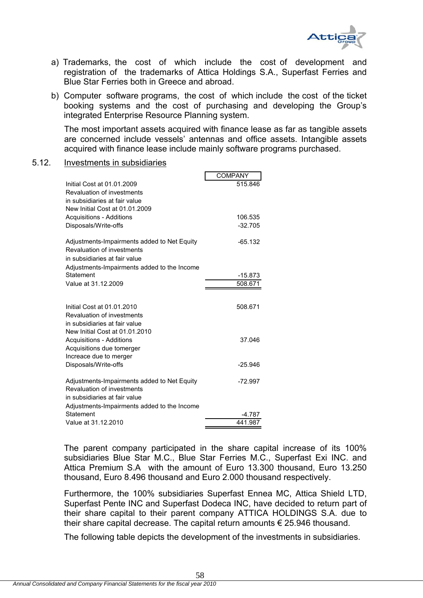

- a) Trademarks, the cost of which include the cost of development and registration of the trademarks of Attica Holdings S.A., Superfast Ferries and Blue Star Ferries both in Greece and abroad.
- b) Computer software programs, the cost of which include the cost of the ticket booking systems and the cost of purchasing and developing the Group's integrated Enterprise Resource Planning system.

The most important assets acquired with finance lease as far as tangible assets are concerned include vessels' antennas and office assets. Intangible assets acquired with finance lease include mainly software programs purchased.

### 5.12. Investments in subsidiaries

|                                             | <b>COMPANY</b> |
|---------------------------------------------|----------------|
| Initial Cost at 01.01.2009                  | 515.846        |
| Revaluation of investments                  |                |
| in subsidiaries at fair value               |                |
| New Initial Cost at 01.01.2009              |                |
| <b>Acquisitions - Additions</b>             | 106.535        |
| Disposals/Write-offs                        | $-32.705$      |
|                                             |                |
| Adjustments-Impairments added to Net Equity | $-65.132$      |
| Revaluation of investments                  |                |
| in subsidiaries at fair value               |                |
| Adjustments-Impairments added to the Income |                |
| Statement                                   | $-15.873$      |
| Value at 31.12.2009                         | 508.671        |
|                                             |                |
|                                             |                |
| Initial Cost at 01.01.2010                  | 508.671        |
| Revaluation of investments                  |                |
| in subsidiaries at fair value               |                |
| New Initial Cost at 01.01.2010              |                |
| <b>Acquisitions - Additions</b>             | 37.046         |
| Acquisitions due tomerger                   |                |
| Increace due to merger                      |                |
| Disposals/Write-offs                        | $-25.946$      |
|                                             |                |
| Adjustments-Impairments added to Net Equity | $-72.997$      |
| Revaluation of investments                  |                |
| in subsidiaries at fair value               |                |
| Adjustments-Impairments added to the Income |                |
| Statement                                   | $-4.787$       |
| Value at 31.12.2010                         | 441.987        |

The parent company participated in the share capital increase of its 100% subsidiaries Blue Star M.C., Blue Star Ferries M.C., Superfast Exi INC. and Attica Premium S.A with the amount of Euro 13.300 thousand, Euro 13.250 thousand, Euro 8.496 thousand and Euro 2.000 thousand respectively.

Furthermore, the 100% subsidiaries Superfast Ennea MC, Attica Shield LTD, Superfast Pente INC and Superfast Dodeca INC, have decided to return part of their share capital to their parent company ATTICA HOLDINGS S.A. due to their share capital decrease. The capital return amounts € 25.946 thousand.

The following table depicts the development of the investments in subsidiaries.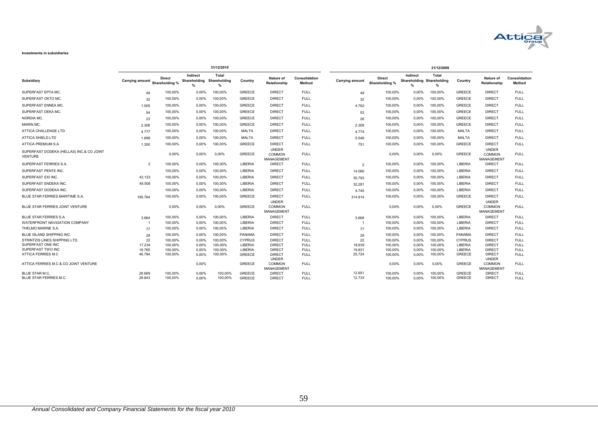

#### **Investments in subsidiaries**

|                                                            |                        |                                 |                                           | 31/12/2010                 |                    |                                             |                            |                        | 31/12/2009                      |                                               |                    |                    |                                                    |                            |
|------------------------------------------------------------|------------------------|---------------------------------|-------------------------------------------|----------------------------|--------------------|---------------------------------------------|----------------------------|------------------------|---------------------------------|-----------------------------------------------|--------------------|--------------------|----------------------------------------------------|----------------------------|
| Subsidiary                                                 | <b>Carrying amount</b> | <b>Direct</b><br>Shareholding % | Indirect<br>Shareholding<br>$\frac{9}{6}$ | Total<br>Shareholding<br>% | Country            | <b>Nature of</b><br>Relationship            | Consolidation<br>Method    | <b>Carrying amount</b> | <b>Direct</b><br>Shareholding % | Indirect<br>Shareholding Shareholding<br>$\%$ | Total<br>$\%$      | Country            | <b>Nature of</b><br>Relationship                   | Consolidation<br>Method    |
| SUPERFAST EPTA MC.                                         | 49                     | 100,00%                         | 0,00%                                     | 100,00%                    | <b>GREECE</b>      | <b>DIRECT</b>                               | <b>FULL</b>                | 49                     | 100,00%                         | 0,00%                                         | 100,00%            | <b>GREECE</b>      | <b>DIRECT</b>                                      | <b>FULL</b>                |
| SUPERFAST OKTO MC.                                         | 32                     | 100.00%                         | 0.00%                                     | 100.00%                    | <b>GREECE</b>      | <b>DIRECT</b>                               | <b>FULL</b>                | 32                     | 100,00%                         | 0.00%                                         | 100.00%            | <b>GREECE</b>      | <b>DIRECT</b>                                      | <b>FULL</b>                |
| SUPERFAST ENNEA MC.                                        | 1.005                  | 100.00%                         | 0.00%                                     | 100.00%                    | <b>GREECE</b>      | <b>DIRECT</b>                               | <b>FULL</b>                | 4.762                  | 100.00%                         | $0.00\%$                                      | 100.00%            | <b>GREECE</b>      | <b>DIRECT</b>                                      | <b>FULL</b>                |
| SUPERFAST DEKA MC.                                         | 54                     | 100.00%                         | 0.00%                                     | 100.00%                    | <b>GREECE</b>      | <b>DIRECT</b>                               | <b>FULL</b>                | 53                     | 100.00%                         | $0.00\%$                                      | 100.00%            | <b>GREECE</b>      | <b>DIRECT</b>                                      | <b>FULL</b>                |
| NORDIA MC.                                                 | 23                     | 100,00%                         | 0,00%                                     | 100,00%                    | <b>GREECE</b>      | <b>DIRECT</b>                               | <b>FULL</b>                | 26                     | 100,00%                         | 0,00%                                         | 100,00%            | <b>GREECE</b>      | <b>DIRECT</b>                                      | <b>FULL</b>                |
| MARIN MC.                                                  | 2.306                  | 100,00%                         | 0,00%                                     | 100,00%                    | <b>GREECE</b>      | <b>DIRECT</b>                               | <b>FULL</b>                | 2.309                  | 100,00%                         | 0,00%                                         | 100,00%            | <b>GREECE</b>      | <b>DIRECT</b>                                      | <b>FULL</b>                |
| ATTICA CHALLENGE LTD                                       | 4.777                  | 100,00%                         | 0,00%                                     | 100,00%                    | <b>MALTA</b>       | <b>DIRECT</b>                               | <b>FULL</b>                | 4.774                  | 100,00%                         | 0.00%                                         | 100,00%            | MALTA              | <b>DIRECT</b>                                      | <b>FULL</b>                |
| <b>ATTICA SHIELD LTD</b>                                   | 1.898                  | 100.00%                         | 0.00%                                     | 100,00%                    | <b>MALTA</b>       | <b>DIRECT</b>                               | <b>FULL</b>                | 5.548                  | 100,00%                         | 0.00%                                         | 100.00%            | <b>MALTA</b>       | <b>DIRECT</b>                                      | <b>FULL</b>                |
| ATTICA PREMIUM S.A.                                        | 1.350                  | 100.00%                         | $0.00\%$                                  | 100.00%                    | <b>GREECE</b>      | <b>DIRECT</b>                               | <b>FULL</b>                | 751                    | 100,00%                         | 0.00%                                         | 100.00%            | <b>GREECE</b>      | <b>DIRECT</b>                                      | <b>FULL</b>                |
| SUPERFAST DODEKA (HELLAS) INC.& CO JOINT<br><b>VENTURE</b> |                        | 0,00%                           | 0,00%                                     | 0,00%                      | <b>GREECE</b>      | <b>UNDER</b><br><b>COMMON</b><br>MANAGEMENT | <b>FULL</b>                |                        | 0,00%                           | 0.00%                                         | 0,00%              | <b>GREECE</b>      | <b>UNDER</b><br><b>COMMON</b><br><b>MANAGEMENT</b> | <b>FULL</b>                |
| SUPERFAST FERRIES S.A.                                     | $\overline{2}$         | 100,00%                         | 0.00%                                     | 100,00%                    | LIBERIA            | <b>DIRECT</b>                               | <b>FULL</b>                | $\overline{2}$         | 100,00%                         | $0.00\%$                                      | 100,00%            | LIBERIA            | <b>DIRECT</b>                                      | <b>FULL</b>                |
| SUPERFAST PENTE INC.                                       |                        | 100,00%                         | 0.00%                                     | 100,00%                    | LIBERIA            | <b>DIRECT</b>                               | <b>FULL</b>                | 14.060                 | 100,00%                         | 0.00%                                         | 100,00%            | LIBERIA            | <b>DIRECT</b>                                      | <b>FULL</b>                |
| SUPERFAST EXI INC.                                         | 42.123                 | 100.00%                         | 0.00%                                     | 100.00%                    | LIBERIA            | <b>DIRECT</b>                               | <b>FULL</b>                | 30.793                 | 100,00%                         | 0.00%                                         | 100.00%            | LIBERIA            | <b>DIRECT</b>                                      | <b>FULL</b>                |
| SUPERFAST ENDEKA INC.                                      | 48.508                 | 100.00%                         | 0.00%                                     | 100.00%                    | LIBERIA            | <b>DIRECT</b>                               | <b>FULL</b>                | 32,281                 | 100,00%                         | 0.00%                                         | 100.00%            | LIBERIA            | <b>DIRECT</b>                                      | <b>FULL</b>                |
| SUPERFAST DODEKA INC.                                      |                        | 100,00%                         | 0,00%                                     | 100,00%                    | LIBERIA            | <b>DIRECT</b>                               | <b>FULL</b>                | 4.745                  | 100,00%                         | 0,00%                                         | 100,00%            | LIBERIA            | <b>DIRECT</b>                                      | <b>FULL</b>                |
| BLUE STAR FERRIES MARITIME S.A.                            | 195.764                | 100,00%                         | 0,00%                                     | 100,00%                    | <b>GREECE</b>      | <b>DIRECT</b>                               | <b>FULL</b>                | 314.814                | 100,00%                         | 0,00%                                         | 100,00%            | <b>GREECE</b>      | <b>DIRECT</b>                                      | <b>FULL</b>                |
| BLUE STAR FERRIES JOINT VENTURE                            |                        | 0,00%                           | 0.00%                                     | 0,00%                      | <b>GREECE</b>      | <b>UNDER</b><br><b>COMMON</b><br>MANAGEMENT | <b>FULL</b>                |                        | 0,00%                           | 0.00%                                         | 0,00%              | <b>GREECE</b>      | <b>UNDER</b><br><b>COMMON</b><br><b>MANAGEMENT</b> | <b>FULL</b>                |
| BLUE STAR FERRIES S.A.                                     | 3.664                  | 100.00%                         | 0.00%                                     | 100.00%                    | <b>LIBERIA</b>     | <b>DIRECT</b>                               | <b>FULL</b>                | 3.668                  | 100,00%                         | 0.00%                                         | 100.00%            | LIBERIA            | <b>DIRECT</b>                                      | <b>FULL</b>                |
| WATERFRONT NAVIGATION COMPANY                              |                        | 100,00%                         | 0,00%                                     | 100,00%                    | LIBERIA            | <b>DIRECT</b>                               | <b>FULL</b>                |                        | 100,00%                         | 0,00%                                         | 100,00%            | LIBERIA            | <b>DIRECT</b>                                      | <b>FULL</b>                |
| THELMO MARINE S.A.                                         | 77                     | 100.00%                         | 0.00%                                     | 100.00%                    | LIBERIA            | <b>DIRECT</b>                               | <b>FULL</b>                | 77                     | 100.00%                         | 0.00%                                         | 100.00%            | LIBERIA            | <b>DIRECT</b>                                      | <b>FULL</b>                |
| BLUE ISLAND SHIPPING INC.                                  | 29                     | 100,00%                         | 0,00%                                     | 100,00%                    | PANAMA             | <b>DIRECT</b>                               | <b>FULL</b>                | 29                     | 100,00%                         | 0.00%                                         | 100.00%            | <b>PANAMA</b>      | <b>DIRECT</b>                                      | <b>FULL</b>                |
| STRINTZIS LINES SHIPPING LTD.<br>SUPERFAST ONE INC         | 22                     | 100.00%                         | 0.00%                                     | 100.00%                    | <b>CYPRUS</b>      | <b>DIRECT</b>                               | <b>FULL</b>                | 22                     | 100,00%                         | 0.00%                                         | 100.00%            | <b>CYPRUS</b>      | <b>DIRECT</b>                                      | <b>FULL</b>                |
| SUPERFAST TWO INC                                          | 17.234<br>18.765       | 100,00%<br>100.00%              | 0,00%<br>0.00%                            | 100,00%<br>100.00%         | LIBERIA<br>LIBERIA | <b>DIRECT</b><br><b>DIRECT</b>              | <b>FULL</b><br><b>FULL</b> | 18,939<br>19,831       | 100,00%<br>100,00%              | 0,00%<br>0.00%                                | 100,00%<br>100.00% | LIBERIA<br>LIBERIA | <b>DIRECT</b><br><b>DIRECT</b>                     | <b>FULL</b><br><b>FULL</b> |
| ATTICA FERRIES M.C                                         | 46.794                 | 100.00%                         | 0.00%                                     | 100.00%                    | <b>GREECE</b>      | <b>DIRECT</b>                               | <b>FULL</b>                | 25,724                 | 100,00%                         | 0.00%                                         | 100.00%            | <b>GREECE</b>      | <b>DIRECT</b>                                      | <b>FULL</b>                |
|                                                            |                        |                                 |                                           |                            |                    | <b>UNDER</b>                                |                            |                        |                                 |                                               |                    |                    | <b>UNDER</b>                                       |                            |
| ATTICA FERRIES M.C & CO JOINT VENTURE                      |                        |                                 | 0,00%                                     |                            | <b>GREECE</b>      | <b>COMMON</b><br>MANAGEMENT                 | <b>FULL</b>                |                        | 0,00%                           | 0.00%                                         | 0.00%              | <b>GREECE</b>      | <b>COMMON</b><br><b>MANAGEMENT</b>                 | <b>FULL</b>                |
| <b>BLUE STAR M.C.</b>                                      | 28.669                 | 100,00%                         | 0,00%                                     | 100,00%                    | <b>GREECE</b>      | <b>DIRECT</b>                               | <b>FULL</b>                | 12.651                 | 100,00%                         | 0.00%                                         | 100,00%            | <b>GREECE</b>      | <b>DIRECT</b>                                      | <b>FULL</b>                |
| BLUE STAR FERRIES M.C.                                     | 28.843                 | 100.00%                         | 0.00%                                     | 100.00%                    | <b>GREECE</b>      | <b>DIRECT</b>                               | <b>FULL</b>                | 12.733                 | 100.00%                         | $0.00\%$                                      | 100.00%            | <b>GREECE</b>      | <b>DIRECT</b>                                      | <b>FULL</b>                |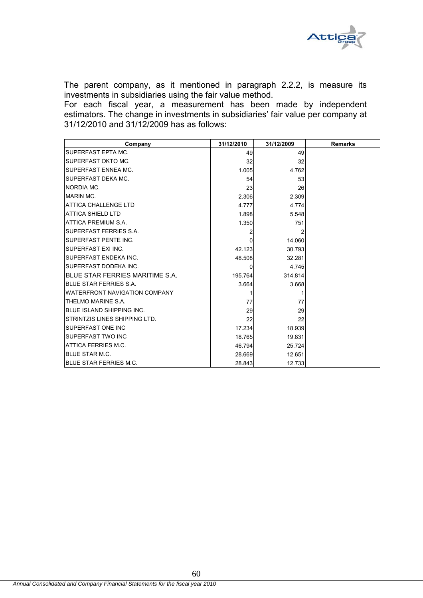

The parent company, as it mentioned in paragraph 2.2.2, is measure its investments in subsidiaries using the fair value method.

For each fiscal year, a measurement has been made by independent estimators. The change in investments in subsidiaries' fair value per company at 31/12/2010 and 31/12/2009 has as follows:

| Company                              | 31/12/2010 | 31/12/2009 | <b>Remarks</b> |
|--------------------------------------|------------|------------|----------------|
| SUPERFAST EPTA MC.                   | 49         | 49         |                |
| SUPERFAST OKTO MC.                   | 32         | 32         |                |
| SUPERFAST ENNEA MC.                  | 1.005      | 4.762      |                |
| SUPERFAST DEKA MC.                   | 54         | 53         |                |
| NORDIA MC.                           | 23         | 26         |                |
| <b>MARIN MC.</b>                     | 2.306      | 2.309      |                |
| ATTICA CHALLENGE LTD                 | 4.777      | 4.774      |                |
| <b>ATTICA SHIELD LTD</b>             | 1.898      | 5.548      |                |
| ATTICA PREMIUM S.A.                  | 1.350      | 751        |                |
| SUPERFAST FERRIES S.A.               |            | 2          |                |
| SUPERFAST PENTE INC.                 | O          | 14.060     |                |
| SUPERFAST EXI INC.                   | 42.123     | 30.793     |                |
| SUPERFAST ENDEKA INC.                | 48.508     | 32.281     |                |
| SUPERFAST DODEKA INC.                | 0          | 4.745      |                |
| BLUE STAR FERRIES MARITIME S.A.      | 195.764    | 314.814    |                |
| <b>BLUE STAR FERRIES S.A.</b>        | 3.664      | 3.668      |                |
| <b>WATERFRONT NAVIGATION COMPANY</b> |            |            |                |
| THELMO MARINE S.A.                   | 77         | 77         |                |
| BLUE ISLAND SHIPPING INC.            | 29         | 29         |                |
| STRINTZIS LINES SHIPPING LTD.        | 22         | 22         |                |
| SUPERFAST ONE INC                    | 17.234     | 18.939     |                |
| SUPERFAST TWO INC                    | 18.765     | 19.831     |                |
| ATTICA FERRIES M.C.                  | 46.794     | 25.724     |                |
| <b>BLUE STAR M.C.</b>                | 28.669     | 12.651     |                |
| <b>BLUE STAR FERRIES M.C.</b>        | 28.843     | 12.733     |                |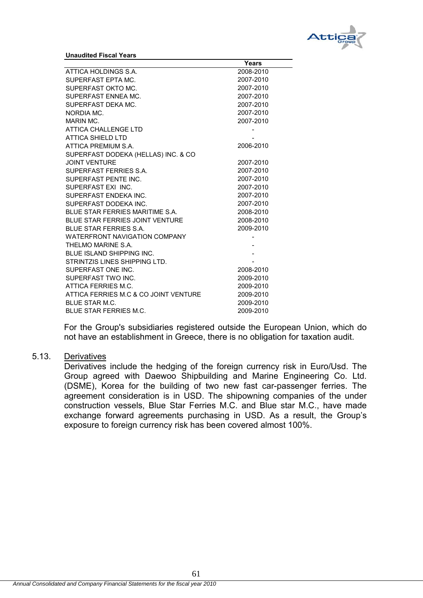

**Unaudited Fiscal Years**

|                                       | Years     |  |
|---------------------------------------|-----------|--|
| ATTICA HOLDINGS S.A.                  | 2008-2010 |  |
| SUPERFAST EPTA MC.                    | 2007-2010 |  |
| SUPERFAST OKTO MC.                    | 2007-2010 |  |
| SUPERFAST ENNEA MC.                   | 2007-2010 |  |
| SUPERFAST DEKA MC.                    | 2007-2010 |  |
| NORDIA MC.                            | 2007-2010 |  |
| MARIN MC.                             | 2007-2010 |  |
| ATTICA CHALLENGE LTD                  |           |  |
| <b>ATTICA SHIELD LTD</b>              |           |  |
| ATTICA PREMIUM S.A.                   | 2006-2010 |  |
| SUPERFAST DODEKA (HELLAS) INC. & CO   |           |  |
| <b>JOINT VENTURE</b>                  | 2007-2010 |  |
| SUPERFAST FERRIES S.A.                | 2007-2010 |  |
| SUPERFAST PENTE INC.                  | 2007-2010 |  |
| SUPERFAST EXI INC.                    | 2007-2010 |  |
| SUPERFAST ENDEKA INC.                 | 2007-2010 |  |
| SUPERFAST DODEKA INC.                 | 2007-2010 |  |
| BLUE STAR FERRIES MARITIME S.A.       | 2008-2010 |  |
| BLUE STAR FERRIES JOINT VENTURE       | 2008-2010 |  |
| <b>BLUE STAR FERRIES S.A.</b>         | 2009-2010 |  |
| <b>WATERFRONT NAVIGATION COMPANY</b>  |           |  |
| THELMO MARINE S.A.                    |           |  |
| BLUE ISLAND SHIPPING INC.             |           |  |
| STRINTZIS LINES SHIPPING LTD.         |           |  |
| SUPERFAST ONE INC.                    | 2008-2010 |  |
| SUPERFAST TWO INC.                    | 2009-2010 |  |
| ATTICA FERRIES M.C.                   | 2009-2010 |  |
| ATTICA FERRIES M.C & CO JOINT VENTURE | 2009-2010 |  |
| <b>BLUE STAR M.C.</b>                 | 2009-2010 |  |
| <b>BLUE STAR FERRIES M.C.</b>         | 2009-2010 |  |

For the Group's subsidiaries registered outside the European Union, which do not have an establishment in Greece, there is no obligation for taxation audit.

### 5.13. Derivatives

Derivatives include the hedging of the foreign currency risk in Euro/Usd. The Group agreed with Daewoo Shipbuilding and Marine Engineering Co. Ltd. (DSME), Korea for the building of two new fast car-passenger ferries. The agreement consideration is in USD. The shipowning companies of the under construction vessels, Blue Star Ferries M.C. and Blue star M.C., have made exchange forward agreements purchasing in USD. As a result, the Group's exposure to foreign currency risk has been covered almost 100%.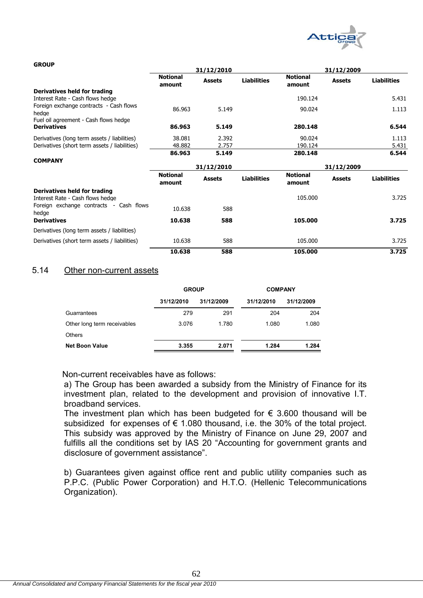

### **GROUP**

|                                                  |                           | 31/12/2010    |                    | 31/12/2009                |               |                    |
|--------------------------------------------------|---------------------------|---------------|--------------------|---------------------------|---------------|--------------------|
|                                                  | <b>Notional</b><br>amount | <b>Assets</b> | <b>Liabilities</b> | <b>Notional</b><br>amount | <b>Assets</b> | <b>Liabilities</b> |
| Derivatives held for trading                     |                           |               |                    |                           |               |                    |
| Interest Rate - Cash flows hedge                 |                           |               |                    | 190.124                   |               | 5.431              |
| Foreign exchange contracts - Cash flows<br>hedge | 86.963                    | 5.149         |                    | 90.024                    |               | 1.113              |
| Fuel oil agreement - Cash flows hedge            |                           |               |                    |                           |               |                    |
| <b>Derivatives</b>                               | 86.963                    | 5.149         |                    | 280.148                   |               | 6.544              |
| Derivatives (long term assets / liabilities)     | 38.081                    | 2.392         |                    | 90.024                    |               | 1.113              |
| Derivatives (short term assets / liabilities)    | 48.882                    | 2.757         |                    | 190.124                   |               | 5.431              |
|                                                  | 86.963                    | 5.149         |                    | 280.148                   |               | 6.544              |
| <b>COMPANY</b>                                   |                           |               |                    |                           |               |                    |
|                                                  |                           | 31/12/2010    |                    |                           | 31/12/2009    |                    |
|                                                  | <b>Notional</b><br>amount | <b>Assets</b> | <b>Liabilities</b> | <b>Notional</b><br>amount | <b>Assets</b> | <b>Liabilities</b> |
| Derivatives held for trading                     |                           |               |                    |                           |               |                    |
| Interest Rate - Cash flows hedge                 |                           |               |                    | 105.000                   |               | 3.725              |
| Foreign exchange contracts - Cash flows<br>hedge | 10.638                    | 588           |                    |                           |               |                    |
| <b>Derivatives</b>                               | 10.638                    | 588           |                    | 105.000                   |               | 3.725              |
| Derivatives (long term assets / liabilities)     |                           |               |                    |                           |               |                    |
| Derivatives (short term assets / liabilities)    | 10.638                    | 588           |                    | 105.000                   |               | 3.725              |
|                                                  | 10.638                    | 588           |                    | 105.000                   |               | 3.725              |

### 5.14 Other non-current assets

|                             | <b>GROUP</b> |            | <b>COMPANY</b> |            |  |  |
|-----------------------------|--------------|------------|----------------|------------|--|--|
|                             | 31/12/2010   | 31/12/2009 | 31/12/2010     | 31/12/2009 |  |  |
| Guarrantees                 | 279          | 291        | 204            | 204        |  |  |
| Other long term receivables | 3.076        | 1.780      | 1.080          | 1.080      |  |  |
| <b>Others</b>               |              |            |                |            |  |  |
| <b>Net Boon Value</b>       | 3.355        | 2.071      | 1.284          | 1.284      |  |  |

Non-current receivables have as follows:

a) The Group has been awarded a subsidy from the Ministry of Finance for its investment plan, related to the development and provision of innovative I.T. broadband services.

The investment plan which has been budgeted for  $\epsilon$  3.600 thousand will be subsidized for expenses of  $\epsilon$  1.080 thousand, i.e. the 30% of the total project. This subsidy was approved by the Ministry of Finance on June 29, 2007 and fulfills all the conditions set by IAS 20 "Accounting for government grants and disclosure of government assistance".

b) Guarantees given against office rent and public utility companies such as P.P.C. (Public Power Corporation) and H.T.O. (Hellenic Telecommunications Organization).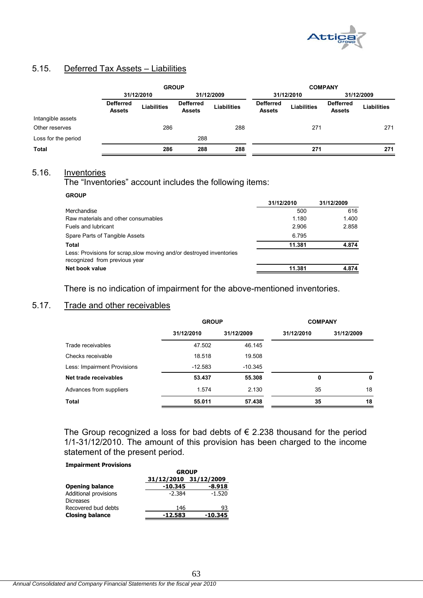

# 5.15. Deferred Tax Assets – Liabilities

|                     | <b>GROUP</b>                      |                    |                                   |                    | <b>COMPANY</b>                    |                    |                                   |                    |
|---------------------|-----------------------------------|--------------------|-----------------------------------|--------------------|-----------------------------------|--------------------|-----------------------------------|--------------------|
|                     |                                   | 31/12/2010         | 31/12/2009                        |                    | 31/12/2010                        |                    | 31/12/2009                        |                    |
|                     | <b>Defferred</b><br><b>Assets</b> | <b>Liabilities</b> | <b>Defferred</b><br><b>Assets</b> | <b>Liabilities</b> | <b>Defferred</b><br><b>Assets</b> | <b>Liabilities</b> | <b>Defferred</b><br><b>Assets</b> | <b>Liabilities</b> |
| Intangible assets   |                                   |                    |                                   |                    |                                   |                    |                                   |                    |
| Other reserves      |                                   | 286                |                                   | 288                |                                   | 271                |                                   | 271                |
| Loss for the period |                                   |                    | 288                               |                    |                                   |                    |                                   |                    |
| <b>Total</b>        |                                   | 286                | 288                               | 288                |                                   | 271                |                                   | 271                |

# 5.16. Inventories

The "Inventories" account includes the following items:

### **GROUP**

|                                                                                                       | 31/12/2010 | 31/12/2009 |
|-------------------------------------------------------------------------------------------------------|------------|------------|
| Merchandise                                                                                           | 500        | 616        |
| Raw materials and other consumables                                                                   | 1.180      | 1.400      |
| Fuels and lubricant                                                                                   | 2.906      | 2.858      |
| Spare Parts of Tangible Assets                                                                        | 6.795      |            |
| Total                                                                                                 | 11.381     | 4.874      |
| Less: Provisions for scrap, slow moving and/or destroyed inventories<br>recognized from previous year |            |            |
| Net book value                                                                                        | 11.381     | 4.874      |
|                                                                                                       |            |            |

There is no indication of impairment for the above-mentioned inventories.

# 5.17. Trade and other receivables

|                             | <b>GROUP</b> |            | <b>COMPANY</b> |            |
|-----------------------------|--------------|------------|----------------|------------|
|                             | 31/12/2010   | 31/12/2009 | 31/12/2010     | 31/12/2009 |
| Trade receivables           | 47.502       | 46.145     |                |            |
| Checks receivable           | 18.518       | 19.508     |                |            |
| Less: Impairment Provisions | $-12.583$    | $-10.345$  |                |            |
| Net trade receivables       | 53.437       | 55.308     | 0              | 0          |
| Advances from suppliers     | 1.574        | 2.130      | 35             | 18         |
| Total                       | 55.011       | 57.438     | 35             | 18         |

The Group recognized a loss for bad debts of  $\epsilon$  2.238 thousand for the period 1/1-31/12/2010. The amount of this provision has been charged to the income statement of the present period.

### **Impairment Provisions**

|                                           | <b>GROUP</b>          |          |  |  |
|-------------------------------------------|-----------------------|----------|--|--|
|                                           | 31/12/2010 31/12/2009 |          |  |  |
| <b>Opening balance</b>                    | -10.345               | $-8.918$ |  |  |
| Additional provisions<br><b>Dicreases</b> | $-2.384$              | $-1.520$ |  |  |
| Recovered bud debts                       | 146                   | 93       |  |  |
| <b>Closing balance</b>                    | $-12.583$             | -10.345  |  |  |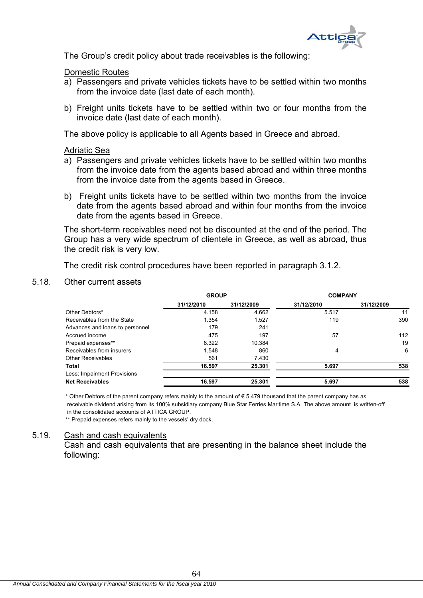

The Group's credit policy about trade receivables is the following:

### Domestic Routes

- a) Passengers and private vehicles tickets have to be settled within two months from the invoice date (last date of each month).
- b) Freight units tickets have to be settled within two or four months from the invoice date (last date of each month).

The above policy is applicable to all Agents based in Greece and abroad.

### Adriatic Sea

- a) Passengers and private vehicles tickets have to be settled within two months from the invoice date from the agents based abroad and within three months from the invoice date from the agents based in Greece.
- b) Freight units tickets have to be settled within two months from the invoice date from the agents based abroad and within four months from the invoice date from the agents based in Greece.

The short-term receivables need not be discounted at the end of the period. The Group has a very wide spectrum of clientele in Greece, as well as abroad, thus the credit risk is very low.

The credit risk control procedures have been reported in paragraph 3.1.2.

### 5.18. Other current assets

|                                 | <b>GROUP</b> |            | <b>COMPANY</b> |            |
|---------------------------------|--------------|------------|----------------|------------|
|                                 | 31/12/2010   | 31/12/2009 | 31/12/2010     | 31/12/2009 |
| Other Debtors*                  | 4.158        | 4.662      | 5.517          | 11         |
| Receivables from the State      | 1.354        | 1.527      | 119            | 390        |
| Advances and loans to personnel | 179          | 241        |                |            |
| Accrued income                  | 475          | 197        | 57             | 112        |
| Prepaid expenses**              | 8.322        | 10.384     |                | 19         |
| Receivables from insurers       | 1.548        | 860        | 4              | 6          |
| <b>Other Receivables</b>        | 561          | 7.430      |                |            |
| Total                           | 16.597       | 25.301     | 5.697          | 538        |
| Less: Impairment Provisions     |              |            |                |            |
| <b>Net Receivables</b>          | 16.597       | 25.301     | 5.697          | 538        |

\* Other Debtors of the parent company refers mainly to the amount of € 5.479 thousand that the parent company has as receivable dividend arising from its 100% subsidiary company Blue Star Ferries Maritime S.A. The above amount is written-off in the consolidated accounts of ATTICA GROUP.

\*\* Prepaid expenses refers mainly to the vessels' dry dock.

### 5.19. Cash and cash equivalents

Cash and cash equivalents that are presenting in the balance sheet include the following: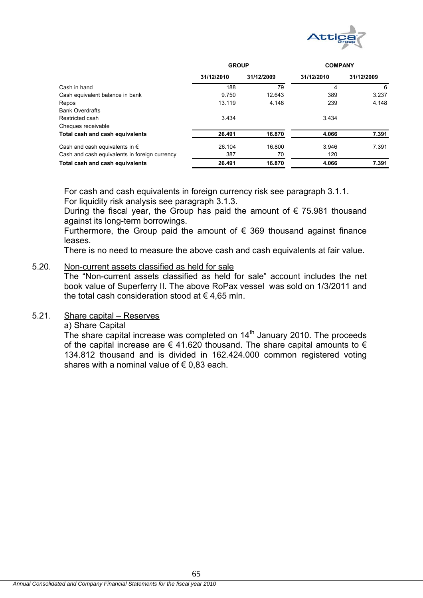

|                                               | <b>GROUP</b> |            | <b>COMPANY</b> |            |
|-----------------------------------------------|--------------|------------|----------------|------------|
|                                               | 31/12/2010   | 31/12/2009 | 31/12/2010     | 31/12/2009 |
| Cash in hand                                  | 188          | 79         | 4              | -6         |
| Cash equivalent balance in bank               | 9.750        | 12.643     | 389            | 3.237      |
| Repos                                         | 13.119       | 4.148      | 239            | 4.148      |
| <b>Bank Overdrafts</b>                        |              |            |                |            |
| Restricted cash                               | 3.434        |            | 3.434          |            |
| Cheques receivable                            |              |            |                |            |
| Total cash and cash equivalents               | 26.491       | 16.870     | 4.066          | 7.391      |
| Cash and cash equivalents in $\epsilon$       | 26.104       | 16.800     | 3.946          | 7.391      |
| Cash and cash equivalents in foreign currency | 387          | 70         | 120            |            |
| Total cash and cash equivalents               | 26.491       | 16.870     | 4.066          | 7.391      |

For cash and cash equivalents in foreign currency risk see paragraph 3.1.1. For liquidity risk analysis see paragraph 3.1.3.

During the fiscal year, the Group has paid the amount of  $\epsilon$  75.981 thousand against its long-term borrowings.

Furthermore, the Group paid the amount of  $\epsilon$  369 thousand against finance leases.

There is no need to measure the above cash and cash equivalents at fair value.

### 5.20. Non-current assets classified as held for sale

The "Non-current assets classified as held for sale" account includes the net book value of Superferry ΙΙ. The above RoPax vessel was sold on 1/3/2011 and the total cash consideration stood at  $\epsilon$  4.65 mln.

## 5.21. Share capital – Reserves

### a) Share Capital

If the share capital increase was completed on 14<sup>th</sup> January 2010. The proceeds of the capital increase are  $\epsilon$  41.620 thousand. The share capital amounts to  $\epsilon$ 134.812 thousand and is divided in 162.424.000 common registered voting shares with a nominal value of  $\epsilon$  0.83 each.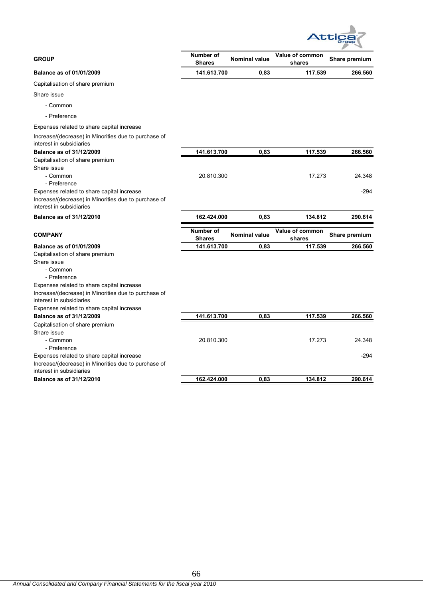

| <b>GROUP</b>                                                                     | <b>Number of</b><br><b>Shares</b> | <b>Nominal value</b> | Value of common<br>shares | Share premium |
|----------------------------------------------------------------------------------|-----------------------------------|----------------------|---------------------------|---------------|
| Balance as of 01/01/2009                                                         | 141.613.700                       | 0,83                 | 117.539                   | 266.560       |
| Capitalisation of share premium                                                  |                                   |                      |                           |               |
| Share issue                                                                      |                                   |                      |                           |               |
| - Common                                                                         |                                   |                      |                           |               |
| - Preference                                                                     |                                   |                      |                           |               |
| Expenses related to share capital increase                                       |                                   |                      |                           |               |
| Increase/(decrease) in Minorities due to purchase of<br>interest in subsidiaries |                                   |                      |                           |               |
| Balance as of 31/12/2009                                                         | 141.613.700                       | 0,83                 | 117.539                   | 266.560       |
| Capitalisation of share premium                                                  |                                   |                      |                           |               |
| Share issue                                                                      |                                   |                      |                           |               |
| - Common                                                                         | 20.810.300                        |                      | 17.273                    | 24.348        |
| - Preference                                                                     |                                   |                      |                           |               |
| Expenses related to share capital increase                                       |                                   |                      |                           | -294          |
| Increase/(decrease) in Minorities due to purchase of<br>interest in subsidiaries |                                   |                      |                           |               |
|                                                                                  |                                   |                      |                           |               |
| Balance as of 31/12/2010                                                         | 162.424.000                       | 0,83                 | 134.812                   | 290.614       |
| <b>COMPANY</b>                                                                   | <b>Number of</b><br><b>Shares</b> | <b>Nominal value</b> | Value of common<br>shares | Share premium |
| Balance as of 01/01/2009                                                         | 141.613.700                       | 0.83                 | 117.539                   | 266.560       |
| Capitalisation of share premium                                                  |                                   |                      |                           |               |
| Share issue                                                                      |                                   |                      |                           |               |
| - Common                                                                         |                                   |                      |                           |               |
| - Preference                                                                     |                                   |                      |                           |               |
| Expenses related to share capital increase                                       |                                   |                      |                           |               |
| Increase/(decrease) in Minorities due to purchase of<br>interest in subsidiaries |                                   |                      |                           |               |
| Expenses related to share capital increase                                       |                                   |                      |                           |               |
| Balance as of 31/12/2009                                                         | 141.613.700                       | 0,83                 | 117.539                   | 266.560       |
| Capitalisation of share premium                                                  |                                   |                      |                           |               |
| Share issue                                                                      |                                   |                      |                           |               |
| - Common                                                                         | 20.810.300                        |                      | 17.273                    | 24.348        |
| - Preference                                                                     |                                   |                      |                           |               |
| Expenses related to share capital increase                                       |                                   |                      |                           | $-294$        |
| Increase/(decrease) in Minorities due to purchase of<br>interest in subsidiaries |                                   |                      |                           |               |
| Balance as of 31/12/2010                                                         | 162.424.000                       | 0,83                 | 134.812                   | 290.614       |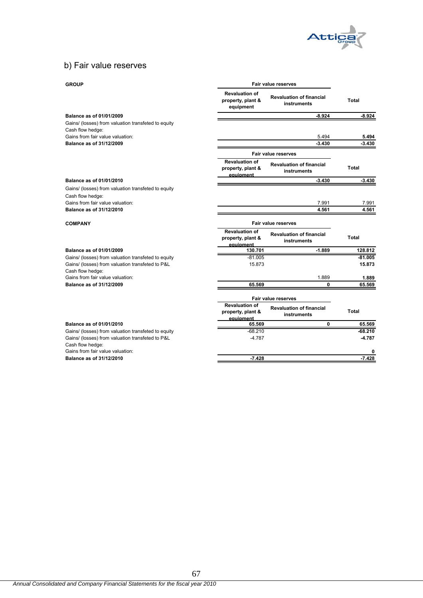

# b) Fair value reserves

## **GROUP**

| <b>GROUP</b>                                         | Fair value reserves                                     |                                                |              |
|------------------------------------------------------|---------------------------------------------------------|------------------------------------------------|--------------|
|                                                      | <b>Revaluation of</b><br>property, plant &<br>equipment | <b>Revaluation of financial</b><br>instruments | <b>Total</b> |
| Balance as of 01/01/2009                             |                                                         | $-8.924$                                       | $-8.924$     |
| Gains/ (losses) from valuation transfeted to equity  |                                                         |                                                |              |
| Cash flow hedge:<br>Gains from fair value valuation: |                                                         | 5.494                                          | 5.494        |
| Balance as of 31/12/2009                             |                                                         | $-3.430$                                       | $-3.430$     |
|                                                      |                                                         | Fair value reserves                            |              |
|                                                      | <b>Revaluation of</b>                                   |                                                |              |
|                                                      | property, plant &<br>equipment                          | <b>Revaluation of financial</b><br>instruments | Total        |
| Balance as of 01/01/2010                             |                                                         | $-3.430$                                       | $-3.430$     |
| Gains/ (losses) from valuation transfeted to equity  |                                                         |                                                |              |
| Cash flow hedge:                                     |                                                         |                                                |              |
| Gains from fair value valuation:                     |                                                         | 7.991                                          | 7.991        |
| Balance as of 31/12/2010                             |                                                         | 4.561                                          | 4.561        |
| <b>COMPANY</b>                                       | Fair value reserves                                     |                                                |              |
|                                                      | <b>Revaluation of</b><br>property, plant &<br>equipment | <b>Revaluation of financial</b><br>instruments | Total        |
| Balance as of 01/01/2009                             | 130.701                                                 | $-1.889$                                       | 128.812      |
| Gains/ (losses) from valuation transfeted to equity  | $-81.005$                                               |                                                | $-81.005$    |
| Gains/ (losses) from valuation transfeted to P&L     | 15.873                                                  |                                                | 15.873       |
| Cash flow hedge:                                     |                                                         |                                                |              |
| Gains from fair value valuation:                     |                                                         | 1.889                                          | 1.889        |
| Balance as of 31/12/2009                             | 65.569                                                  | 0                                              | 65.569       |
|                                                      | Fair value reserves                                     |                                                |              |
|                                                      | <b>Revaluation of</b><br>property, plant &<br>equipment | <b>Revaluation of financial</b><br>instruments | Total        |
| Balance as of 01/01/2010                             | 65.569                                                  | 0                                              | 65.569       |
| Gains/ (losses) from valuation transfeted to equity  | $-68.210$                                               |                                                | $-68.210$    |
| Gains/ (losses) from valuation transfeted to P&L     | $-4.787$                                                |                                                | -4.787       |
| Cash flow hedge:<br>Gains from fair value valuation: |                                                         |                                                | 0            |
| Balance as of 31/12/2010                             | $-7.428$                                                |                                                | $-7.428$     |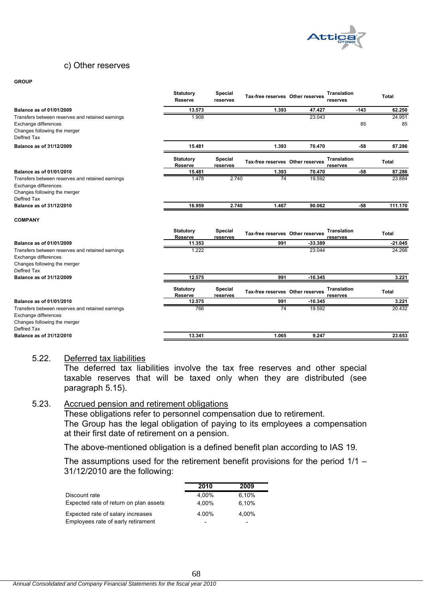

### c) Other reserves

#### **GROUP**

| 62.250<br>13.573<br>1.393<br>47.427<br>Balance as of 01/01/2009<br>$-143$<br>1.908<br>23.043<br>24.951<br>Transfers between reserves and retained earnings<br>85<br>Exchange differences<br>85<br>Changes following the merger<br>Deffred Tax<br>Balance as of 31/12/2009<br>15.481<br>1.393<br>70.470<br>$-58$<br>87.286<br><b>Special</b><br><b>Translation</b><br><b>Statutory</b><br>Tax-free reserves Other reserves<br><b>Total</b><br><b>Reserve</b><br>reserves<br>reserves<br>$-58$<br>87.286<br>Balance as of 01/01/2010<br>15.481<br>1.393<br>70.470<br>1.478<br>2.740<br>$\overline{74}$<br>19.592<br>23.884<br>Transfers between reserves and retained earnings<br>Exchange differences<br>Changes following the merger<br>Deffred Tax<br>Balance as of 31/12/2010<br>111.170<br>16.959<br>2.740<br>1.467<br>90.062<br>$-58$<br><b>COMPANY</b><br><b>Statutory</b><br><b>Special</b><br><b>Translation</b><br>Tax-free reserves Other reserves<br><b>Total</b><br><b>Reserve</b><br>reserves<br>reserves<br>Balance as of 01/01/2009<br>11.353<br>991<br>-33.389<br>$-21.045$<br>24.266<br>1.222<br>23.044<br>Transfers between reserves and retained earnings<br>Exchange differences<br>Changes following the merger<br>Deffred Tax<br>12.575<br>991<br>$-10.345$<br>3.221<br>Balance as of 31/12/2009<br>Special<br><b>Translation</b><br><b>Statutory</b><br>Tax-free reserves Other reserves<br><b>Total</b><br><b>Reserve</b><br>reserves<br>reserves<br>12.575<br>$-10.345$<br>3.221<br><b>Balance as of 01/01/2010</b><br>991<br>20.432<br>$\overline{74}$<br>19.592<br>766<br>Transfers between reserves and retained earnings<br>Exchange differences<br>Changes following the merger<br>Deffred Tax<br>Balance as of 31/12/2010<br>13.341<br>1.065<br>9.247<br>23.653 | <b>Statutory</b><br><b>Reserve</b> | Special<br>reserves | Tax-free reserves Other reserves | <b>Translation</b><br>reserves | <b>Total</b> |
|-----------------------------------------------------------------------------------------------------------------------------------------------------------------------------------------------------------------------------------------------------------------------------------------------------------------------------------------------------------------------------------------------------------------------------------------------------------------------------------------------------------------------------------------------------------------------------------------------------------------------------------------------------------------------------------------------------------------------------------------------------------------------------------------------------------------------------------------------------------------------------------------------------------------------------------------------------------------------------------------------------------------------------------------------------------------------------------------------------------------------------------------------------------------------------------------------------------------------------------------------------------------------------------------------------------------------------------------------------------------------------------------------------------------------------------------------------------------------------------------------------------------------------------------------------------------------------------------------------------------------------------------------------------------------------------------------------------------------------------------------------------------------------------------------|------------------------------------|---------------------|----------------------------------|--------------------------------|--------------|
|                                                                                                                                                                                                                                                                                                                                                                                                                                                                                                                                                                                                                                                                                                                                                                                                                                                                                                                                                                                                                                                                                                                                                                                                                                                                                                                                                                                                                                                                                                                                                                                                                                                                                                                                                                                               |                                    |                     |                                  |                                |              |
|                                                                                                                                                                                                                                                                                                                                                                                                                                                                                                                                                                                                                                                                                                                                                                                                                                                                                                                                                                                                                                                                                                                                                                                                                                                                                                                                                                                                                                                                                                                                                                                                                                                                                                                                                                                               |                                    |                     |                                  |                                |              |
|                                                                                                                                                                                                                                                                                                                                                                                                                                                                                                                                                                                                                                                                                                                                                                                                                                                                                                                                                                                                                                                                                                                                                                                                                                                                                                                                                                                                                                                                                                                                                                                                                                                                                                                                                                                               |                                    |                     |                                  |                                |              |
|                                                                                                                                                                                                                                                                                                                                                                                                                                                                                                                                                                                                                                                                                                                                                                                                                                                                                                                                                                                                                                                                                                                                                                                                                                                                                                                                                                                                                                                                                                                                                                                                                                                                                                                                                                                               |                                    |                     |                                  |                                |              |
|                                                                                                                                                                                                                                                                                                                                                                                                                                                                                                                                                                                                                                                                                                                                                                                                                                                                                                                                                                                                                                                                                                                                                                                                                                                                                                                                                                                                                                                                                                                                                                                                                                                                                                                                                                                               |                                    |                     |                                  |                                |              |
|                                                                                                                                                                                                                                                                                                                                                                                                                                                                                                                                                                                                                                                                                                                                                                                                                                                                                                                                                                                                                                                                                                                                                                                                                                                                                                                                                                                                                                                                                                                                                                                                                                                                                                                                                                                               |                                    |                     |                                  |                                |              |
|                                                                                                                                                                                                                                                                                                                                                                                                                                                                                                                                                                                                                                                                                                                                                                                                                                                                                                                                                                                                                                                                                                                                                                                                                                                                                                                                                                                                                                                                                                                                                                                                                                                                                                                                                                                               |                                    |                     |                                  |                                |              |
|                                                                                                                                                                                                                                                                                                                                                                                                                                                                                                                                                                                                                                                                                                                                                                                                                                                                                                                                                                                                                                                                                                                                                                                                                                                                                                                                                                                                                                                                                                                                                                                                                                                                                                                                                                                               |                                    |                     |                                  |                                |              |
|                                                                                                                                                                                                                                                                                                                                                                                                                                                                                                                                                                                                                                                                                                                                                                                                                                                                                                                                                                                                                                                                                                                                                                                                                                                                                                                                                                                                                                                                                                                                                                                                                                                                                                                                                                                               |                                    |                     |                                  |                                |              |
|                                                                                                                                                                                                                                                                                                                                                                                                                                                                                                                                                                                                                                                                                                                                                                                                                                                                                                                                                                                                                                                                                                                                                                                                                                                                                                                                                                                                                                                                                                                                                                                                                                                                                                                                                                                               |                                    |                     |                                  |                                |              |
|                                                                                                                                                                                                                                                                                                                                                                                                                                                                                                                                                                                                                                                                                                                                                                                                                                                                                                                                                                                                                                                                                                                                                                                                                                                                                                                                                                                                                                                                                                                                                                                                                                                                                                                                                                                               |                                    |                     |                                  |                                |              |
|                                                                                                                                                                                                                                                                                                                                                                                                                                                                                                                                                                                                                                                                                                                                                                                                                                                                                                                                                                                                                                                                                                                                                                                                                                                                                                                                                                                                                                                                                                                                                                                                                                                                                                                                                                                               |                                    |                     |                                  |                                |              |
|                                                                                                                                                                                                                                                                                                                                                                                                                                                                                                                                                                                                                                                                                                                                                                                                                                                                                                                                                                                                                                                                                                                                                                                                                                                                                                                                                                                                                                                                                                                                                                                                                                                                                                                                                                                               |                                    |                     |                                  |                                |              |
|                                                                                                                                                                                                                                                                                                                                                                                                                                                                                                                                                                                                                                                                                                                                                                                                                                                                                                                                                                                                                                                                                                                                                                                                                                                                                                                                                                                                                                                                                                                                                                                                                                                                                                                                                                                               |                                    |                     |                                  |                                |              |
|                                                                                                                                                                                                                                                                                                                                                                                                                                                                                                                                                                                                                                                                                                                                                                                                                                                                                                                                                                                                                                                                                                                                                                                                                                                                                                                                                                                                                                                                                                                                                                                                                                                                                                                                                                                               |                                    |                     |                                  |                                |              |
|                                                                                                                                                                                                                                                                                                                                                                                                                                                                                                                                                                                                                                                                                                                                                                                                                                                                                                                                                                                                                                                                                                                                                                                                                                                                                                                                                                                                                                                                                                                                                                                                                                                                                                                                                                                               |                                    |                     |                                  |                                |              |
|                                                                                                                                                                                                                                                                                                                                                                                                                                                                                                                                                                                                                                                                                                                                                                                                                                                                                                                                                                                                                                                                                                                                                                                                                                                                                                                                                                                                                                                                                                                                                                                                                                                                                                                                                                                               |                                    |                     |                                  |                                |              |

### 5.22. Deferred tax liabilities

The deferred tax liabilities involve the tax free reserves and other special taxable reserves that will be taxed only when they are distributed (see paragraph 5.15).

## 5.23. Accrued pension and retirement obligations

These obligations refer to personnel compensation due to retirement. The Group has the legal obligation of paying to its employees a compensation at their first date of retirement on a pension.

The above-mentioned obligation is a defined benefit plan according to IAS 19.

The assumptions used for the retirement benefit provisions for the period 1/1 – 31/12/2010 are the following:

|                                        | 2010                     | 2009                     |
|----------------------------------------|--------------------------|--------------------------|
| Discount rate                          | 4.00%                    | 6,10%                    |
| Expected rate of return on plan assets | 4.00%                    | 6.10%                    |
| Expected rate of salary increases      | 4.00%                    | 4.00%                    |
| Employees rate of early retirament     | $\overline{\phantom{0}}$ | $\overline{\phantom{0}}$ |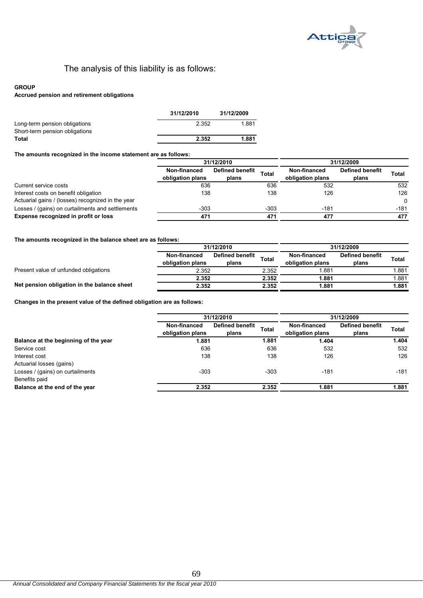

# The analysis of this liability is as follows:

### **GROUP**

### **Accrued pension and retirement obligations**

|                                                                 | 31/12/2010 | 31/12/2009 |
|-----------------------------------------------------------------|------------|------------|
| Long-term pension obligations<br>Short-term pension obligations | 2.352      | 1.881      |
| Total                                                           | 2.352      | 1.881      |

### **The amounts recognized in the income statement are as follows:**

|                                                   | 31/12/2010                       |                                 |              | 31/12/2009                       |                                 |          |
|---------------------------------------------------|----------------------------------|---------------------------------|--------------|----------------------------------|---------------------------------|----------|
|                                                   | Non-financed<br>obligation plans | <b>Defined benefit</b><br>plans | <b>Total</b> | Non-financed<br>obligation plans | <b>Defined benefit</b><br>plans | Total    |
| Current service costs                             | 636                              |                                 | 636          | 532                              |                                 | 532      |
| Interest costs on benefit obligation              | 138                              |                                 | 138          | 126                              |                                 | 126      |
| Actuarial gains / (losses) recognized in the year |                                  |                                 |              |                                  |                                 | $\Omega$ |
| Losses / (gains) on curtailments and settlements  | $-303$                           |                                 | $-303$       | $-181$                           |                                 | $-181$   |
| Expense recognized in profit or loss              | 471                              |                                 | 471          | 477                              |                                 | 477      |

### **The amounts recognized in the balance sheet are as follows:**

|                                             | 31/12/2010                       |                                 | 31/12/2009 |                                  |                                 |              |
|---------------------------------------------|----------------------------------|---------------------------------|------------|----------------------------------|---------------------------------|--------------|
|                                             | Non-financed<br>obligation plans | <b>Defined benefit</b><br>plans | Total      | Non-financed<br>obligation plans | <b>Defined benefit</b><br>plans | <b>Total</b> |
| Present value of unfunded obligations       | 2.352                            |                                 | 2.352      | .881                             |                                 | .881         |
|                                             | 2.352                            |                                 | 2.352      | 1.881                            |                                 | . 881        |
| Net pension obligation in the balance sheet | 2.352                            |                                 | 2.352      | 1.881                            |                                 | 1.881        |

**Changes in the present value of the defined obligation are as follows:**

|                                      |                                  | 31/12/2010                      |              | 31/12/2009                       |                                 |        |  |
|--------------------------------------|----------------------------------|---------------------------------|--------------|----------------------------------|---------------------------------|--------|--|
|                                      | Non-financed<br>obligation plans | <b>Defined benefit</b><br>plans | <b>Total</b> | Non-financed<br>obligation plans | <b>Defined benefit</b><br>plans | Total  |  |
| Balance at the beginning of the year | 1.881                            |                                 | 1.881        | 1.404                            |                                 | 1.404  |  |
| Service cost                         | 636                              |                                 | 636          | 532                              |                                 | 532    |  |
| Interest cost                        | 138                              |                                 | 138          | 126                              |                                 | 126    |  |
| Actuarial losses (gains)             |                                  |                                 |              |                                  |                                 |        |  |
| Losses / (gains) on curtailments     | $-303$                           |                                 | $-303$       | $-181$                           |                                 | $-181$ |  |
| Benefits paid                        |                                  |                                 |              |                                  |                                 |        |  |
| Balance at the end of the year       | 2.352                            |                                 | 2.352        | 1.881                            |                                 | 1.881  |  |
|                                      |                                  |                                 |              |                                  |                                 |        |  |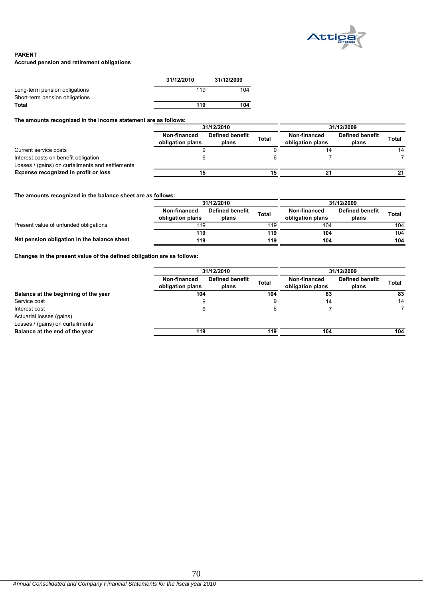

### **PARENT**

**Accrued pension and retirement obligations**

|                                | 31/12/2010 | 31/12/2009 |
|--------------------------------|------------|------------|
| Long-term pension obligations  | 119        | 104        |
| Short-term pension obligations |            |            |
| <b>Total</b>                   | 119        | 104        |

**The amounts recognized in the income statement are as follows:**

|                                                                                          | 31/12/2010                       |                          |              | 31/12/2009                       |                                 |       |  |
|------------------------------------------------------------------------------------------|----------------------------------|--------------------------|--------------|----------------------------------|---------------------------------|-------|--|
|                                                                                          | Non-financed<br>obligation plans | Defined benefit<br>plans | <b>Total</b> | Non-financed<br>obligation plans | <b>Defined benefit</b><br>plans | Total |  |
| Current service costs                                                                    |                                  |                          |              | 14                               |                                 | 14    |  |
| Interest costs on benefit obligation<br>Losses / (gains) on curtailments and settlements |                                  |                          |              |                                  |                                 |       |  |
| Expense recognized in profit or loss                                                     | 15                               |                          |              | 21                               |                                 | 21    |  |

**The amounts recognized in the balance sheet are as follows:**

|                                             | 31/12/2010                       |                          |              | 31/12/2009                       |                          |       |  |
|---------------------------------------------|----------------------------------|--------------------------|--------------|----------------------------------|--------------------------|-------|--|
|                                             | Non-financed<br>obligation plans | Defined benefit<br>plans | <b>Total</b> | Non-financed<br>obligation plans | Defined benefit<br>plans | Total |  |
| Present value of unfunded obligations       | 119                              |                          | 119          | 104                              |                          | 104   |  |
|                                             | 119                              |                          | 119          | 104                              |                          | 104   |  |
| Net pension obligation in the balance sheet | 119                              |                          | 119          | 104                              |                          | 104   |  |

**Changes in the present value of the defined obligation are as follows:**

|                                      |                                  | 31/12/2010               |              |                                  | 31/12/2009               |              |  |  |
|--------------------------------------|----------------------------------|--------------------------|--------------|----------------------------------|--------------------------|--------------|--|--|
|                                      | Non-financed<br>obligation plans | Defined benefit<br>plans | <b>Total</b> | Non-financed<br>obligation plans | Defined benefit<br>plans | <b>Total</b> |  |  |
| Balance at the beginning of the year |                                  | 104                      |              | 104<br>83                        |                          | 83           |  |  |
| Service cost                         | చ                                |                          |              | 14                               |                          | 14           |  |  |
| Interest cost                        |                                  |                          |              |                                  |                          |              |  |  |
| Actuarial losses (gains)             |                                  |                          |              |                                  |                          |              |  |  |
| Losses / (gains) on curtailments     |                                  |                          |              |                                  |                          |              |  |  |
| Balance at the end of the year       | 119                              |                          | 119          | 104                              |                          | 104          |  |  |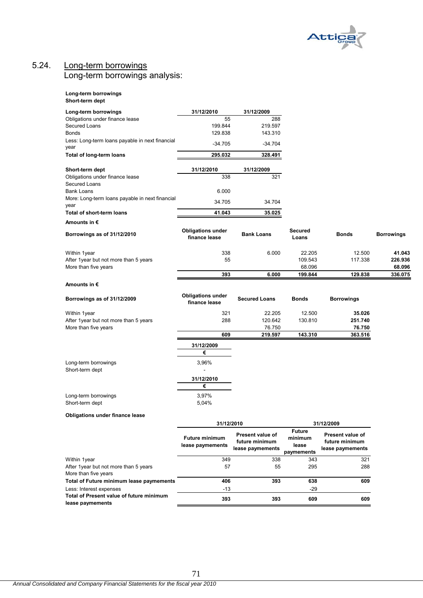

## 5.24. Long-term borrowings Long-term borrowings analysis:

#### **Long-term borrowings Short-term dept**

| Long-term borrowings                                    | 31/12/2010                                | 31/12/2009                         |                         |                                    |                   |  |
|---------------------------------------------------------|-------------------------------------------|------------------------------------|-------------------------|------------------------------------|-------------------|--|
| Obligations under finance lease                         | 55                                        | 288                                |                         |                                    |                   |  |
| Secured Loans                                           | 199.844                                   | 219.597                            |                         |                                    |                   |  |
| <b>Bonds</b>                                            | 129.838                                   | 143.310                            |                         |                                    |                   |  |
| Less: Long-term loans payable in next financial<br>year | $-34.705$                                 | $-34.704$                          |                         |                                    |                   |  |
| Total of long-term loans                                | 295.032                                   | 328.491                            |                         |                                    |                   |  |
| Short-term dept                                         | 31/12/2010                                | 31/12/2009                         |                         |                                    |                   |  |
| Obligations under finance lease<br>Secured Loans        | 338                                       | 321                                |                         |                                    |                   |  |
| <b>Bank Loans</b>                                       | 6.000                                     |                                    |                         |                                    |                   |  |
| More: Long-term loans payable in next financial<br>year | 34.705                                    | 34.704                             |                         |                                    |                   |  |
| Total of short-term loans                               | 41.043                                    | 35.025                             |                         |                                    |                   |  |
| Amounts in €                                            |                                           |                                    |                         |                                    |                   |  |
| Borrowings as of 31/12/2010                             | <b>Obligations under</b><br>finance lease | <b>Bank Loans</b>                  | <b>Secured</b><br>Loans | <b>Bonds</b>                       | <b>Borrowings</b> |  |
| Within 1year                                            | 338                                       | 6.000                              | 22.205                  | 12.500                             | 41.043            |  |
| After 1 year but not more than 5 years                  | 55                                        |                                    | 109.543                 | 117.338                            | 226.936           |  |
| More than five years                                    |                                           |                                    | 68.096                  |                                    | 68.096            |  |
|                                                         | 393                                       | 6.000                              | 199.844                 | 129.838                            | 336.075           |  |
| Amounts in €                                            |                                           |                                    |                         |                                    |                   |  |
| Borrowings as of 31/12/2009                             | <b>Obligations under</b><br>finance lease | <b>Secured Loans</b>               | <b>Bonds</b>            | <b>Borrowings</b>                  |                   |  |
| Within 1year                                            | 321                                       | 22.205                             | 12.500                  | 35.026                             |                   |  |
| After 1year but not more than 5 years                   | 288                                       | 120.642                            | 130.810                 | 251.740                            |                   |  |
| More than five years                                    |                                           | 76.750                             |                         | 76.750                             |                   |  |
|                                                         | 609                                       | 219.597                            | 143.310                 | 363.516                            |                   |  |
|                                                         | 31/12/2009                                |                                    |                         |                                    |                   |  |
|                                                         | €                                         |                                    |                         |                                    |                   |  |
| Long-term borrowings<br>Short-term dept                 | 3,96%<br>$\sim$                           |                                    |                         |                                    |                   |  |
|                                                         | 31/12/2010                                |                                    |                         |                                    |                   |  |
|                                                         | €                                         |                                    |                         |                                    |                   |  |
| Long-term borrowings                                    | 3,97%                                     |                                    |                         |                                    |                   |  |
| Short-term dept                                         | 5,04%                                     |                                    |                         |                                    |                   |  |
| <b>Obligations under finance lease</b>                  |                                           |                                    |                         |                                    |                   |  |
|                                                         | 31/12/2010                                |                                    |                         | 31/12/2009                         |                   |  |
|                                                         |                                           |                                    | <b>Future</b>           |                                    |                   |  |
|                                                         | <b>Future minimum</b>                     | Present value of<br>future minimum | minimum                 | Present value of<br>future minimum |                   |  |
|                                                         | lease paymements                          | lease paymements                   | lease                   | lease paymements                   |                   |  |
|                                                         |                                           |                                    | paymements              |                                    |                   |  |
| Within 1year<br>After 1year but not more than 5 years   | 349<br>57                                 | 338<br>55                          | 343<br>295              | 321<br>288                         |                   |  |
| More than five years                                    |                                           |                                    |                         |                                    |                   |  |
| Total of Future minimum lease paymements                | 406                                       | 393                                | 638                     | 609                                |                   |  |
| Less: Interest expenses                                 | $-13$                                     |                                    | $-29$                   |                                    |                   |  |
| Total of Present value of future minimum                | 393                                       | 393                                | 609                     | 609                                |                   |  |
| lease paymements                                        |                                           |                                    |                         |                                    |                   |  |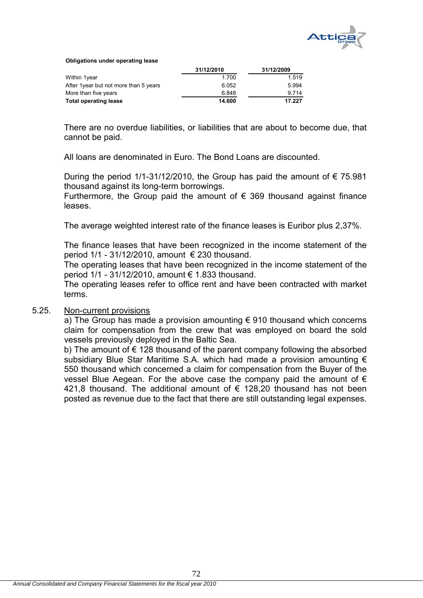

**Obligations under operating lease**

|                                        | 31/12/2010 | 31/12/2009 |
|----------------------------------------|------------|------------|
| Within 1year                           | 1.700      | 1.519      |
| After 1 year but not more than 5 years | 6.052      | 5.994      |
| More than five years                   | 6.848      | 9 7 1 4    |
| <b>Total operating lease</b>           | 14.600     | 17.227     |

There are no overdue liabilities, or liabilities that are about to become due, that cannot be paid.

All loans are denominated in Euro. The Bond Loans are discounted.

During the period 1/1-31/12/2010, the Group has paid the amount of  $\epsilon$  75.981 thousand against its long-term borrowings.

Furthermore, the Group paid the amount of  $\epsilon$  369 thousand against finance leases.

The average weighted interest rate of the finance leases is Euribor plus 2,37%.

The finance leases that have been recognized in the income statement of the period  $1/1 - 31/12/2010$ , amount  $\epsilon$  230 thousand.

The operating leases that have been recognized in the income statement of the period 1/1 - 31/12/2010, amount € 1.833 thousand.

The operating leases refer to office rent and have been contracted with market terms.

### 5.25. Non-current provisions

a) The Group has made a provision amounting  $\epsilon$  910 thousand which concerns claim for compensation from the crew that was employed on board the sold vessels previously deployed in the Baltic Sea.

b) The amount of  $\epsilon$  128 thousand of the parent company following the absorbed subsidiary Blue Star Maritime S.A. which had made a provision amounting  $\epsilon$ 550 thousand which concerned a claim for compensation from the Buyer of the vessel Blue Aegean. For the above case the company paid the amount of  $\epsilon$ 421,8 thousand. The additional amount of  $\epsilon$  128,20 thousand has not been posted as revenue due to the fact that there are still outstanding legal expenses.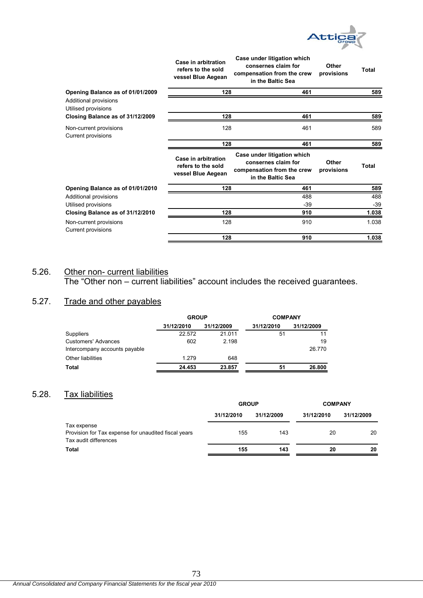

|                                              | Case in arbitration<br>refers to the sold<br>vessel Blue Aegean | Case under litigation which<br>consernes claim for<br>compensation from the crew<br>in the Baltic Sea | Other<br>provisions | Total |
|----------------------------------------------|-----------------------------------------------------------------|-------------------------------------------------------------------------------------------------------|---------------------|-------|
| Opening Balance as of 01/01/2009             | 128                                                             | 461                                                                                                   |                     | 589   |
| Additional provisions<br>Utilised provisions |                                                                 |                                                                                                       |                     |       |
| Closing Balance as of 31/12/2009             | 128                                                             | 461                                                                                                   |                     | 589   |
| Non-current provisions<br>Current provisions | 128                                                             | 461                                                                                                   |                     | 589   |
|                                              | 128                                                             | 461                                                                                                   |                     | 589   |
|                                              | Case in arbitration<br>refers to the sold<br>vessel Blue Aegean | Case under litigation which<br>consernes claim for<br>compensation from the crew<br>in the Baltic Sea | Other<br>provisions | Total |
| Opening Balance as of 01/01/2010             | 128                                                             | 461                                                                                                   |                     | 589   |
| Additional provisions                        |                                                                 | 488                                                                                                   |                     | 488   |
| Utilised provisions                          |                                                                 | -39                                                                                                   |                     | $-39$ |
| Closing Balance as of 31/12/2010             | 128                                                             | 910                                                                                                   |                     | 1.038 |
| Non-current provisions<br>Current provisions | 128                                                             | 910                                                                                                   |                     | 1.038 |
|                                              | 128                                                             | 910                                                                                                   |                     | 1.038 |

# 5.26. Other non- current liabilities

The "Other non – current liabilities" account includes the received guarantees.

# 5.27. Trade and other payables

|                               | <b>GROUP</b> |            | <b>COMPANY</b> |            |  |
|-------------------------------|--------------|------------|----------------|------------|--|
|                               | 31/12/2010   | 31/12/2009 | 31/12/2010     | 31/12/2009 |  |
| Suppliers                     | 22.572       | 21.011     | 51             |            |  |
| <b>Customers' Advances</b>    | 602          | 2.198      |                | 19         |  |
| Intercompany accounts payable |              |            |                | 26.770     |  |
| <b>Other liabilities</b>      | 1.279        | 648        |                |            |  |
| Total                         | 24.453       | 23.857     | 51             | 26,800     |  |

# 5.28. Tax liabilities

|            |            | <b>COMPANY</b>      |            |  |
|------------|------------|---------------------|------------|--|
| 31/12/2010 | 31/12/2009 | 31/12/2010          | 31/12/2009 |  |
|            |            |                     |            |  |
|            |            |                     | 20         |  |
|            |            |                     |            |  |
| 155        | 143        | 20                  | 20         |  |
|            | 155        | <b>GROUP</b><br>143 | 20         |  |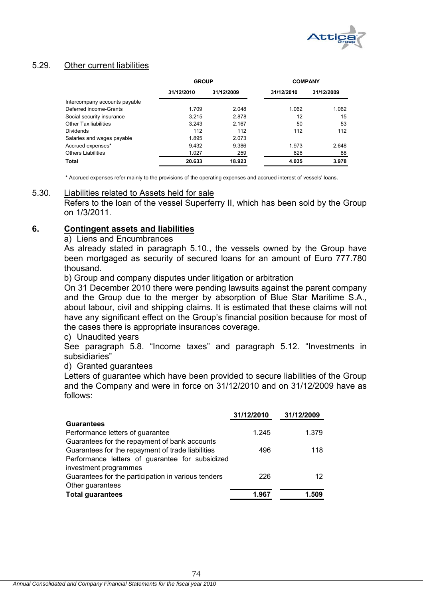

# 5.29. Other current liabilities

|                               | <b>GROUP</b> |            | <b>COMPANY</b> |            |  |
|-------------------------------|--------------|------------|----------------|------------|--|
|                               | 31/12/2010   | 31/12/2009 | 31/12/2010     | 31/12/2009 |  |
| Intercompany accounts payable |              |            |                |            |  |
| Deferred income-Grants        | 1.709        | 2.048      | 1.062          | 1.062      |  |
| Social security insurance     | 3.215        | 2.878      | 12             | 15         |  |
| Other Tax liabilities         | 3.243        | 2.167      | 50             | 53         |  |
| <b>Dividends</b>              | 112          | 112        | 112            | 112        |  |
| Salaries and wages payable    | 1.895        | 2.073      |                |            |  |
| Accrued expenses*             | 9.432        | 9.386      | 1.973          | 2.648      |  |
| <b>Others Liabilities</b>     | 1.027        | 259        | 826            | 88         |  |
| Total                         | 20.633       | 18.923     | 4.035          | 3.978      |  |

\* Accrued expenses refer mainly to the provisions of the operating expenses and accrued interest of vessels' loans.

### 5.30. Liabilities related to Assets held for sale

Refers to the loan of the vessel Superferry II, which has been sold by the Group on 1/3/2011.

### **6. Contingent assets and liabilities**

#### a) Liens and Encumbrances

As already stated in paragraph 5.10., the vessels owned by the Group have been mortgaged as security of secured loans for an amount of Euro 777.780 thousand.

b) Group and company disputes under litigation or arbitration

On 31 December 2010 there were pending lawsuits against the parent company and the Group due to the merger by absorption of Blue Star Maritime S.A., about labour, civil and shipping claims. It is estimated that these claims will not have any significant effect on the Group's financial position because for most of the cases there is appropriate insurances coverage.

c) Unaudited years

See paragraph 5.8. "Income taxes" and paragraph 5.12. "Investments in subsidiaries"

### d) Granted guarantees

Letters of guarantee which have been provided to secure liabilities of the Group and the Company and were in force on 31/12/2010 and on 31/12/2009 have as follows:

| 1.379 |
|-------|
|       |
| 118   |
|       |
|       |
| 12    |
|       |
| 1.509 |
|       |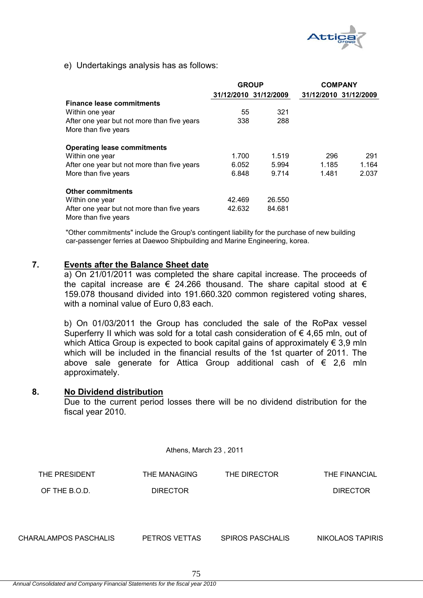

e) Undertakings analysis has as follows:

|                                                                     | <b>GROUP</b> |                       | <b>COMPANY</b> |                       |
|---------------------------------------------------------------------|--------------|-----------------------|----------------|-----------------------|
|                                                                     |              | 31/12/2010 31/12/2009 |                | 31/12/2010 31/12/2009 |
| <b>Finance lease commitments</b>                                    |              |                       |                |                       |
| Within one year                                                     | 55           | 321                   |                |                       |
| After one year but not more than five years                         | 338          | 288                   |                |                       |
| More than five years                                                |              |                       |                |                       |
| <b>Operating lease commitments</b>                                  |              |                       |                |                       |
| Within one year                                                     | 1.700        | 1.519                 | 296            | 291                   |
| After one year but not more than five years                         | 6.052        | 5.994                 | 1.185          | 1.164                 |
| More than five years                                                | 6.848        | 9.714                 | 1.481          | 2.037                 |
| <b>Other commitments</b>                                            |              |                       |                |                       |
| Within one year                                                     | 42.469       | 26.550                |                |                       |
| After one year but not more than five years<br>More than five years | 42.632       | 84.681                |                |                       |

"Other commitments" include the Group's contingent liability for the purchase of new building car-passenger ferries at Daewoo Shipbuilding and Marine Engineering, korea.

## **7. Events after the Balance Sheet date**

a) On 21/01/2011 was completed the share capital increase. The proceeds of the capital increase are  $\epsilon$  24.266 thousand. The share capital stood at  $\epsilon$ 159.078 thousand divided into 191.660.320 common registered voting shares, with a nominal value of Euro 0,83 each.

b) On 01/03/2011 the Group has concluded the sale of the RoPax vessel Superferry II which was sold for a total cash consideration of  $\epsilon$  4,65 mln, out of which Attica Group is expected to book capital gains of approximately  $\epsilon$  3,9 mln which will be included in the financial results of the 1st quarter of 2011. The above sale generate for Attica Group additional cash of  $\epsilon$  2,6 mln approximately.

### **8. No Dividend distribution**

Due to the current period losses there will be no dividend distribution for the fiscal year 2010.

Athens, March 23 , 2011

| THE PRESIDENT         | THE MANAGING    | THE DIRECTOR     | THE FINANCIAL    |
|-----------------------|-----------------|------------------|------------------|
| OF THE B.O.D.         | <b>DIRECTOR</b> |                  | <b>DIRECTOR</b>  |
|                       |                 |                  |                  |
|                       |                 |                  |                  |
| CHARALAMPOS PASCHALIS | PETROS VETTAS   | SPIROS PASCHALIS | NIKOLAOS TAPIRIS |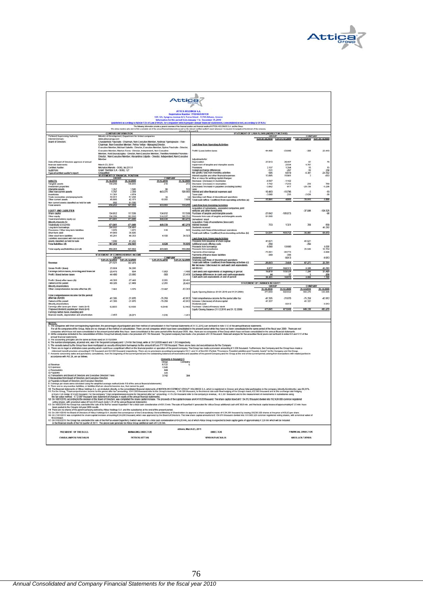

|                                                                                                                                                                                                                                                                                                                                   | <b>Attica</b>                                                       |                          |                                                                                                                                                                                          |                                  |                                                                                                                                                                                                                                                                                                                                                                                                                                                                  |                                                 |                     |                           |                     |
|-----------------------------------------------------------------------------------------------------------------------------------------------------------------------------------------------------------------------------------------------------------------------------------------------------------------------------------|---------------------------------------------------------------------|--------------------------|------------------------------------------------------------------------------------------------------------------------------------------------------------------------------------------|----------------------------------|------------------------------------------------------------------------------------------------------------------------------------------------------------------------------------------------------------------------------------------------------------------------------------------------------------------------------------------------------------------------------------------------------------------------------------------------------------------|-------------------------------------------------|---------------------|---------------------------|---------------------|
|                                                                                                                                                                                                                                                                                                                                   |                                                                     |                          |                                                                                                                                                                                          |                                  |                                                                                                                                                                                                                                                                                                                                                                                                                                                                  |                                                 |                     |                           |                     |
|                                                                                                                                                                                                                                                                                                                                   | ATTICA HOLDINGS S.A.<br>Registration Number: 7702/06/B/86/128       |                          |                                                                                                                                                                                          |                                  |                                                                                                                                                                                                                                                                                                                                                                                                                                                                  |                                                 |                     |                           |                     |
|                                                                                                                                                                                                                                                                                                                                   |                                                                     |                          |                                                                                                                                                                                          |                                  | 123-125, Syngrou Avenue & 3, Torva Street - 11745 Athens, Greec-Information for the period from January 1 to December 31, 2010                                                                                                                                                                                                                                                                                                                                   |                                                 |                     |                           |                     |
|                                                                                                                                                                                                                                                                                                                                   |                                                                     |                          | ipublished according to Article 135 of Law 2199/20, for compar                                                                                                                           |                                  | is which prepare annual financial state<br>its, comolidated or not, according to LF.R.S.)                                                                                                                                                                                                                                                                                                                                                                        |                                                 |                     |                           |                     |
|                                                                                                                                                                                                                                                                                                                                   |                                                                     |                          |                                                                                                                                                                                          |                                  | The following information provides a general currence of the frances position and framital results of ATTES HOLDINGS S.A. and the Group<br>We admit which a complete set of the smoul framition information and as the minority c                                                                                                                                                                                                                                | to all that charmain of the connoising          |                     |                           |                     |
| Pertment Supervising Authority                                                                                                                                                                                                                                                                                                    | <b>COMPANY INFORMATION</b><br>Membry of                             |                          |                                                                                                                                                                                          |                                  |                                                                                                                                                                                                                                                                                                                                                                                                                                                                  | STATEMENT OF CASH FLOWS (INDIRECT METHOD)       |                     |                           |                     |
| Internet Domain:<br><b>Board of Directors</b>                                                                                                                                                                                                                                                                                     | www.attica-group.com                                                |                          | Charalambos Paschalis - Chairman, Non-Executive Member, Andreas Vgenopoulos - Vice-                                                                                                      |                                  |                                                                                                                                                                                                                                                                                                                                                                                                                                                                  | 1.01.31.12.2010 1.01.31.12.2000 1.01.31.12.2010 |                     |                           | 1.01.31.12.200      |
|                                                                                                                                                                                                                                                                                                                                   |                                                                     |                          | Chairman, Non-Executive Member, Petros Veltas - Managing Director,<br>Executive Member, Michael Sakelle - Director, Executive Member, Spiros Paschala - Director,                        |                                  | Cash flow from Operating Activities                                                                                                                                                                                                                                                                                                                                                                                                                              |                                                 |                     |                           |                     |
|                                                                                                                                                                                                                                                                                                                                   |                                                                     |                          | Executive Member, Markos Foros - Director, Independent, Non-Executive                                                                                                                    |                                  | Profit / (Loss) before taxes                                                                                                                                                                                                                                                                                                                                                                                                                                     | 44,400                                          | $-23.880$           | -308                      | 23.419              |
|                                                                                                                                                                                                                                                                                                                                   |                                                                     |                          | Member, Areti Souvatzogicu - Director, Non-Executive Member, Theofilm-Anteidin Priovolos -<br>Director, Non-Executive Member, Alexandros Edipidis - Director, Independent, Non-Executive |                                  |                                                                                                                                                                                                                                                                                                                                                                                                                                                                  |                                                 |                     |                           |                     |
| Date of Board of Directors approval of annual                                                                                                                                                                                                                                                                                     |                                                                     |                          |                                                                                                                                                                                          |                                  | Adjustments for:<br>Depreciation                                                                                                                                                                                                                                                                                                                                                                                                                                 | 27.013                                          | 28,457              | 87                        | 78                  |
| financial stateme<br>Certified Auditor                                                                                                                                                                                                                                                                                            | March 23, 2011                                                      |                          |                                                                                                                                                                                          |                                  | iment of tangible and intangible assets<br>Provisions.                                                                                                                                                                                                                                                                                                                                                                                                           |                                                 | 2.034<br>1.354      | 4.797<br>15               | 45                  |
| <b>Audit Firm:</b><br>Type of centre<br>troget a holibus by                                                                                                                                                                                                                                                                       | Michallos Manolis - SOEL No 25131<br>Grant Thornton S.A. - SOEL 127 |                          |                                                                                                                                                                                          |                                  | Foreign exchange differences<br>Net geofit) / loss from investing activities                                                                                                                                                                                                                                                                                                                                                                                     | $-151$                                          | $-207$<br>6.619     | $-10$<br>6,381            | 258<br>$-24.532$    |
|                                                                                                                                                                                                                                                                                                                                   | STATEMENT OF FINANCIAL POSITION                                     |                          | COMPANY                                                                                                                                                                                  |                                  | Interest payable and other financial expension<br>Plus or minus for working capital changes:                                                                                                                                                                                                                                                                                                                                                                     | 13.895                                          | 15.981              |                           | 633                 |
| <b>ASSETS</b>                                                                                                                                                                                                                                                                                                                     | 31.12.2010                                                          | 31.12.2009               | 31.12.2010<br>210                                                                                                                                                                        | 31.12.2009                       | Decrease / (increase) in inventories                                                                                                                                                                                                                                                                                                                                                                                                                             | $-6.507$<br>7742                                | $-1.162$<br>7253    | 350                       | 789                 |
| Tangible assess<br>Investment properti<br>Intangible assets                                                                                                                                                                                                                                                                       |                                                                     | 1.595                    |                                                                                                                                                                                          | 122                              | Decrease / (increase) in receivables<br>(Decrease) / increase in payables (excluding banks)<br>Less:                                                                                                                                                                                                                                                                                                                                                             | 3.842                                           | $-477$              | 29.736                    | 5.236               |
| Other non current assets                                                                                                                                                                                                                                                                                                          | 1.357<br>5.747<br>11,381                                            | 2.359<br>4.874           | 443.271                                                                                                                                                                                  | 509.955                          | interest and other financial expenses paid                                                                                                                                                                                                                                                                                                                                                                                                                       | $-10.493$<br>$-3.000$                           | $-15.796$<br>$-235$ | 2.826                     | $-19$<br>$-30$      |
| Trade receivables and prepaym                                                                                                                                                                                                                                                                                                     | $\frac{55.011}{45.845}$                                             | $\frac{57.438}{42.175}$  | 10.351                                                                                                                                                                                   |                                  | Taxes paid<br>Operating cash flows of discontinued operations<br>Total cash inflow / (outflow) from operating activities (a)                                                                                                                                                                                                                                                                                                                                     | 15.991                                          | 4.885               | 11.915                    |                     |
| Non current assets classified as held for sale                                                                                                                                                                                                                                                                                    | 682                                                                 | 81.500                   | 453.663                                                                                                                                                                                  | 7.929                            |                                                                                                                                                                                                                                                                                                                                                                                                                                                                  |                                                 |                     |                           | 5,900               |
| <b>Total assets</b>                                                                                                                                                                                                                                                                                                               |                                                                     |                          |                                                                                                                                                                                          | 518,296                          | Cash flow from Investing Activities<br>Acquisition of subsidiaries, associated companies, joint<br>ventures and other investments.                                                                                                                                                                                                                                                                                                                               |                                                 |                     |                           |                     |
| EQUITY AND LIABILITIES<br>Share capita                                                                                                                                                                                                                                                                                            | 134.812                                                             | 117.539                  | 134.812                                                                                                                                                                                  | 117.539                          | Purchase of tangible and intangible assets                                                                                                                                                                                                                                                                                                                                                                                                                       | $-27.642$                                       | $-105.073$          | $-37.046$                 | 106.525<br>-98      |
| Other equity<br>Total shareholders equity (a)                                                                                                                                                                                                                                                                                     | 136.229<br>874.641                                                  | 353.510<br>471.049       | 314.527<br>449.339                                                                                                                                                                       | 5.731<br>483,270                 | roceeds from sale of langible and intangible assets<br>Denvalives' result.                                                                                                                                                                                                                                                                                                                                                                                       | 81.500                                          |                     |                           |                     |
| Minority interests (b)                                                                                                                                                                                                                                                                                                            | 471.041                                                             |                          | 449,339                                                                                                                                                                                  | 483,270                          | Acquisition / Sale of subsidiaries (less cash)                                                                                                                                                                                                                                                                                                                                                                                                                   | 733                                             | 1321                | 355                       |                     |
| Total equity (c)=(a)=(b)<br>Long-term borrowings                                                                                                                                                                                                                                                                                  |                                                                     | 471,049<br>28.49         |                                                                                                                                                                                          |                                  | Interest received<br>Dividends received                                                                                                                                                                                                                                                                                                                                                                                                                          |                                                 |                     |                           | 659<br>45.292       |
| isions / Other long-lerm lightities<br>Prov<br>Short-term debt                                                                                                                                                                                                                                                                    | 3.976<br>41.043                                                     | 3.872<br>36,826          | 518                                                                                                                                                                                      | 503                              | investing cash flows of discontinued operations.<br>Total cash inflow / (outflow) from investing activities (b)                                                                                                                                                                                                                                                                                                                                                  | 54,504                                          | 103,752             | 34, 687                   | 55.672              |
| Other short-term liabilities<br>Liabilities associated with non current                                                                                                                                                                                                                                                           | 45.241                                                              | 48.353                   | 4.106                                                                                                                                                                                    | 34.52                            | <b>Cash flow from Financing Activities</b>                                                                                                                                                                                                                                                                                                                                                                                                                       |                                                 |                     |                           |                     |
| essets classified as held for sale<br>Total Sabilities (d)                                                                                                                                                                                                                                                                        | 187.222                                                             | 456.943                  | 4.674                                                                                                                                                                                    | 35.626                           | toceeds from issuance of share ca<br>Additional equity offering costs                                                                                                                                                                                                                                                                                                                                                                                            | 41.621                                          |                     | 41,621<br>-294            |                     |
| Total equity and liabilities (c)+(d)                                                                                                                                                                                                                                                                                              | 158,263                                                             | 927,992                  | E80.E28                                                                                                                                                                                  | 518.296                          | Proceeds from borrowings<br>Proceeds from subsidiar                                                                                                                                                                                                                                                                                                                                                                                                              | $-254$<br>6.000                                 | 53,600              | 25,946                    | 8.000               |
|                                                                                                                                                                                                                                                                                                                                   | STATEMENT OF COMPREHENSIVE INCOM                                    |                          |                                                                                                                                                                                          |                                  | Payments of borrowings<br>Payments of finance lease lability                                                                                                                                                                                                                                                                                                                                                                                                     | $-75.981$<br>-309                               | 46.775<br>356       |                           | $-8.000$            |
|                                                                                                                                                                                                                                                                                                                                   | 1.01-31.12.2010                                                     | 1.01-31.12.2009          | COMPANY<br>1.01-31.12.2010 1.01-31.12.2009                                                                                                                                               |                                  | .<br>Dividends paid<br>Financing cash flows of discontinued operations<br>Total cash inflow / (outflow) from financing activities (c)                                                                                                                                                                                                                                                                                                                            |                                                 | $-0.913$            |                           | $-9.913$            |
| Revenue                                                                                                                                                                                                                                                                                                                           | 271.521                                                             | 302.478                  |                                                                                                                                                                                          |                                  |                                                                                                                                                                                                                                                                                                                                                                                                                                                                  | 39.023                                          | 3.444               | 67.273                    | 22.791              |
| Gross Profit / Boss)                                                                                                                                                                                                                                                                                                              | 23.924                                                              | 56.295                   |                                                                                                                                                                                          |                                  | Net increase / (decrease) in cash and cash equivalent<br>(a)+(b)+(c)                                                                                                                                                                                                                                                                                                                                                                                             | 9.577                                           | 102.311             | 3.329                     | 43,781              |
| Earnings before taxes, investing and financial<br>Profit / doss) before taxes                                                                                                                                                                                                                                                     | $-29.476$<br>44,400                                                 | 664<br>$-23.880$         | $-1.903$<br>$-308$                                                                                                                                                                       | 1.48<br>23,419                   | Cash and cash equivalents at beginning of period                                                                                                                                                                                                                                                                                                                                                                                                                 | 44                                              | 119.12<br>57        | 7.39                      | 51.429              |
|                                                                                                                                                                                                                                                                                                                                   |                                                                     | $-27.449$                |                                                                                                                                                                                          | 20.43                            | Exchange differences in cash and cash equivalents<br>Cash and cash equivalents at end of period                                                                                                                                                                                                                                                                                                                                                                  | 64.491                                          | 16.870              | 722                       | $\frac{358}{7.391}$ |
| Profit / (loss) after taxes (A)<br>Owners of the parent                                                                                                                                                                                                                                                                           | 49.326<br>49.326                                                    | $-27.449$                | $-2.261$<br>$-2.261$                                                                                                                                                                     | 20.431                           |                                                                                                                                                                                                                                                                                                                                                                                                                                                                  | STATEMENT OF CHANGES IN EQUITY                  |                     |                           |                     |
| Minority shareholders<br>Other comprehensive income after tax (II)                                                                                                                                                                                                                                                                | 7.001                                                               | <b>KKTO</b>              | $-72.997$                                                                                                                                                                                | 43,243                           |                                                                                                                                                                                                                                                                                                                                                                                                                                                                  | <b>GROUP</b><br>31.12.2010                      | 31.12.2009          | COMPANY<br>31.12.2010     | 31.12.2009          |
| nsive income for the period                                                                                                                                                                                                                                                                                                       |                                                                     |                          |                                                                                                                                                                                          |                                  | Equity Opening Balance (01.01.2010 and 01.01.2009)                                                                                                                                                                                                                                                                                                                                                                                                               | 471.049                                         | 502.832             | 483.270                   |                     |
| after tax (A)+(B)                                                                                                                                                                                                                                                                                                                 | $-41335$                                                            | $-21.870$                | 75,258                                                                                                                                                                                   | $-42.812$                        | Total comprehensive income for the period after tax                                                                                                                                                                                                                                                                                                                                                                                                              | $-11335$                                        | $-21.870$           | 75,258                    | $-42.812$           |
| Owners of the parent<br>Minority shareholders                                                                                                                                                                                                                                                                                     | 41.335                                                              | $-21.870$                | $-75.258$                                                                                                                                                                                | $-42.812$                        | Increase / (decrease) of share capital<br>Dividends paid                                                                                                                                                                                                                                                                                                                                                                                                         | 41.327                                          | 9.913               | 41.327                    | -9.913              |
| Earnings after taxes per share - basic (in E)<br>Proposed dividend payable per share (in 4)                                                                                                                                                                                                                                       | -0.3055                                                             | $-0.1938$                | $-0.0140$                                                                                                                                                                                | 0.1443                           | Purchase / (Sale) of treasury stock<br>Equity Closing Balance (31.12.2010 and 31.12.2000)                                                                                                                                                                                                                                                                                                                                                                        | 471.041                                         | 471,649             | 449.336                   | 483,278             |
| Earnings before taxes, investing and<br>financial results, depreciation and amortization                                                                                                                                                                                                                                          | $-2.463$                                                            | 29.071                   | $-1.816$                                                                                                                                                                                 | $-1.411$                         |                                                                                                                                                                                                                                                                                                                                                                                                                                                                  |                                                 |                     |                           |                     |
|                                                                                                                                                                                                                                                                                                                                   |                                                                     |                          |                                                                                                                                                                                          |                                  |                                                                                                                                                                                                                                                                                                                                                                                                                                                                  |                                                 |                     |                           |                     |
| $\frac{\text{NOTES}}{\text{1. The cor}}$                                                                                                                                                                                                                                                                                          |                                                                     |                          |                                                                                                                                                                                          |                                  | The companies with their converponding registration, the percentages of participation and their method of consolidation in the Financial Statements of 31.12.2010, can be found in note 5.12 of the annual financial statement<br>For all the companies of the Group, their air in o changes of his method of considiation. Their air incl conpanies which have been considered in the present period from the them considered in the speed of the film that bee |                                                 |                     |                           |                     |
|                                                                                                                                                                                                                                                                                                                                   |                                                                     |                          |                                                                                                                                                                                          |                                  |                                                                                                                                                                                                                                                                                                                                                                                                                                                                  |                                                 |                     |                           |                     |
| annual financial statements.<br>The accounting principles are the same as those used on 31/12/2009<br>3. The accounting principles are the same as those used on 31/12/2009.<br>4. The number of employees, at period end, was 6 for the parent company and 1.214 for the Group, while at 31/12/2009 was 6 and 1.313 respectively |                                                                     |                          |                                                                                                                                                                                          |                                  |                                                                                                                                                                                                                                                                                                                                                                                                                                                                  |                                                 |                     |                           |                     |
|                                                                                                                                                                                                                                                                                                                                   |                                                                     |                          |                                                                                                                                                                                          |                                  | 5. The vessels owned by the Group have been mortigated as security of ting term bomowings for the amount of Euro 777 700 thousand. There are no liera and encountrances for the Chronical Full thorough CF is the Croup and th                                                                                                                                                                                                                                   |                                                 |                     |                           |                     |
|                                                                                                                                                                                                                                                                                                                                   |                                                                     |                          |                                                                                                                                                                                          |                                  |                                                                                                                                                                                                                                                                                                                                                                                                                                                                  |                                                 |                     |                           |                     |
| accordance with U.S.24, are as follows:                                                                                                                                                                                                                                                                                           |                                                                     |                          |                                                                                                                                                                                          |                                  | the main term of the control of a 252 found in the state in the control in the state in the state of the state of the state of the state of the state of the state of the state of the state of the control of the control of                                                                                                                                                                                                                                    |                                                 |                     | ni zarties in             |                     |
|                                                                                                                                                                                                                                                                                                                                   |                                                                     |                          | Group                                                                                                                                                                                    | (Amounts in thousand iE)<br>Comp |                                                                                                                                                                                                                                                                                                                                                                                                                                                                  |                                                 |                     |                           |                     |
| at Revenue<br>b) Expenses                                                                                                                                                                                                                                                                                                         |                                                                     |                          | 6.722                                                                                                                                                                                    |                                  |                                                                                                                                                                                                                                                                                                                                                                                                                                                                  |                                                 |                     |                           |                     |
| c) Receivables                                                                                                                                                                                                                                                                                                                    |                                                                     |                          | 1.545<br>444                                                                                                                                                                             |                                  |                                                                                                                                                                                                                                                                                                                                                                                                                                                                  |                                                 |                     |                           |                     |
| d) Pavables<br>e) Transactions and Board of Directors and Executive Directors' Fees<br>f) Receivables from Board of Directors and Executive Directors                                                                                                                                                                             |                                                                     |                          | 336<br>3742                                                                                                                                                                              |                                  |                                                                                                                                                                                                                                                                                                                                                                                                                                                                  |                                                 |                     |                           |                     |
| 9) Payables to Board of Directors and Executive Directors                                                                                                                                                                                                                                                                         |                                                                     |                          |                                                                                                                                                                                          |                                  |                                                                                                                                                                                                                                                                                                                                                                                                                                                                  |                                                 |                     |                           |                     |
|                                                                                                                                                                                                                                                                                                                                   |                                                                     |                          |                                                                                                                                                                                          |                                  |                                                                                                                                                                                                                                                                                                                                                                                                                                                                  |                                                 |                     |                           |                     |
|                                                                                                                                                                                                                                                                                                                                   |                                                                     |                          |                                                                                                                                                                                          |                                  |                                                                                                                                                                                                                                                                                                                                                                                                                                                                  |                                                 |                     |                           |                     |
|                                                                                                                                                                                                                                                                                                                                   |                                                                     |                          |                                                                                                                                                                                          |                                  | g/Papies is boat of Discounter Excelent Discounter (Earth of the constitution of 8.9 and the annual statement).<br>In Bandian and Discounter Constitution and Constitution of the Security of the Constitution of Bandian Constit                                                                                                                                                                                                                                |                                                 |                     |                           |                     |
|                                                                                                                                                                                                                                                                                                                                   |                                                                     |                          |                                                                                                                                                                                          |                                  |                                                                                                                                                                                                                                                                                                                                                                                                                                                                  |                                                 |                     |                           |                     |
|                                                                                                                                                                                                                                                                                                                                   |                                                                     |                          |                                                                                                                                                                                          |                                  |                                                                                                                                                                                                                                                                                                                                                                                                                                                                  |                                                 |                     |                           |                     |
| been posted in the Group's full year 2009 results.                                                                                                                                                                                                                                                                                |                                                                     |                          |                                                                                                                                                                                          |                                  |                                                                                                                                                                                                                                                                                                                                                                                                                                                                  |                                                 |                     |                           |                     |
|                                                                                                                                                                                                                                                                                                                                   |                                                                     |                          |                                                                                                                                                                                          |                                  | and possible man and the man terms of the state of the statement of the present period.<br>15. On 2010/2010 to booth of the statement of the statement of the Chandras Constitutions of the statement of the statement of 24.26 b                                                                                                                                                                                                                                |                                                 |                     |                           |                     |
| € 0.83 each                                                                                                                                                                                                                                                                                                                       |                                                                     |                          |                                                                                                                                                                                          |                                  | 17. On 01/03/2011 the Group has concluded the sale of the RoPax vessel Supertery it which was sold for a total cash consideration of € 4.85 min, out of which ABCa Group is expected to book capital gams of approximately € 3                                                                                                                                                                                                                                   |                                                 |                     |                           |                     |
| in the financial results of the 1st quarter of 2011. The above sale generate for Africa Group additional cash of € 2,6 min.                                                                                                                                                                                                       |                                                                     |                          |                                                                                                                                                                                          |                                  |                                                                                                                                                                                                                                                                                                                                                                                                                                                                  |                                                 |                     |                           |                     |
| PRESIDENT OF THE B.O.D.                                                                                                                                                                                                                                                                                                           |                                                                     | <b>MANAGING DIRECTOR</b> |                                                                                                                                                                                          | Athens, March 23, 2011           | DIRECTOR                                                                                                                                                                                                                                                                                                                                                                                                                                                         |                                                 |                     | <b>FINANCIAL DIRECTOR</b> |                     |
| CHARALAMPOS PASCHALIS                                                                                                                                                                                                                                                                                                             |                                                                     | PETROS VETTAS            |                                                                                                                                                                                          |                                  | SPIROS PASCHALIS                                                                                                                                                                                                                                                                                                                                                                                                                                                 |                                                 |                     | <b>NIKOLAOS TAPIRIS</b>   |                     |
|                                                                                                                                                                                                                                                                                                                                   |                                                                     |                          |                                                                                                                                                                                          |                                  |                                                                                                                                                                                                                                                                                                                                                                                                                                                                  |                                                 |                     |                           |                     |
|                                                                                                                                                                                                                                                                                                                                   |                                                                     |                          |                                                                                                                                                                                          |                                  |                                                                                                                                                                                                                                                                                                                                                                                                                                                                  |                                                 |                     |                           |                     |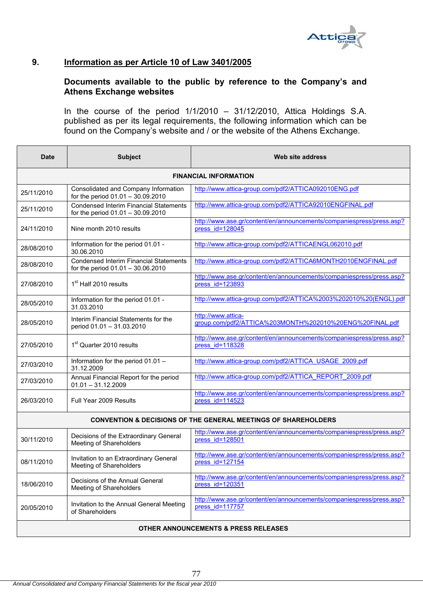

# **9. Information as per Article 10 of Law 3401/2005**

# **Documents available to the public by reference to the Company's and Athens Exchange websites**

In the course of the period  $1/1/2010 - 31/12/2010$ , Attica Holdings S.A. published as per its legal requirements, the following information which can be found on the Company's website and / or the website of the Athens Exchange.

| <b>Date</b> | <b>Subject</b>                                                                     | Web site address                                                                        |  |  |  |  |
|-------------|------------------------------------------------------------------------------------|-----------------------------------------------------------------------------------------|--|--|--|--|
|             | <b>FINANCIAL INFORMATION</b>                                                       |                                                                                         |  |  |  |  |
| 25/11/2010  | Consolidated and Company Information<br>for the period 01.01 - 30.09.2010          | http://www.attica-group.com/pdf2/ATTICA092010ENG.pdf                                    |  |  |  |  |
| 25/11/2010  | <b>Condensed Interim Financial Statements</b><br>for the period 01.01 - 30.09.2010 | http://www.attica-group.com/pdf2/ATTICA92010ENGFINAL.pdf                                |  |  |  |  |
| 24/11/2010  | Nine month 2010 results                                                            | http://www.ase.gr/content/en/announcements/companiespress/press.asp?<br>press id=128045 |  |  |  |  |
| 28/08/2010  | Information for the period 01.01 -<br>30.06.2010                                   | http://www.attica-group.com/pdf2/ATTICAENGL062010.pdf                                   |  |  |  |  |
| 28/08/2010  | <b>Condensed Interim Financial Statements</b><br>for the period 01.01 - 30.06.2010 | http://www.attica-group.com/pdf2/ATTICA6MONTH2010ENGFINAL.pdf                           |  |  |  |  |
| 27/08/2010  | 1 <sup>st</sup> Half 2010 results                                                  | http://www.ase.gr/content/en/announcements/companiespress/press.asp?<br>press id=123893 |  |  |  |  |
| 28/05/2010  | Information for the period 01.01 -<br>31.03.2010                                   | http://www.attica-group.com/pdf2/ATTICA%2003%202010%20(ENGL).pdf                        |  |  |  |  |
| 28/05/2010  | Interim Financial Statements for the<br>period 01.01 - 31.03.2010                  | http://www.attica-<br>group.com/pdf2/ATTICA%203MONTH%202010%20ENG%20FINAL.pdf           |  |  |  |  |
| 27/05/2010  | 1 <sup>st</sup> Quarter 2010 results                                               | http://www.ase.gr/content/en/announcements/companiespress/press.asp?<br>press id=118328 |  |  |  |  |
| 27/03/2010  | Information for the period 01.01 -<br>31.12.2009                                   | http://www.attica-group.com/pdf2/ATTICA USAGE 2009.pdf                                  |  |  |  |  |
| 27/03/2010  | Annual Financial Report for the period<br>$01.01 - 31.12.2009$                     | http://www.attica-group.com/pdf2/ATTICA_REPORT_2009.pdf                                 |  |  |  |  |
| 26/03/2010  | Full Year 2009 Results                                                             | http://www.ase.gr/content/en/announcements/companiespress/press.asp?<br>press id=114523 |  |  |  |  |
|             |                                                                                    | <b>CONVENTION &amp; DECISIONS OF THE GENERAL MEETINGS OF SHAREHOLDERS</b>               |  |  |  |  |
| 30/11/2010  | Decisions of the Extraordinary General<br>Meeting of Shareholders                  | http://www.ase.gr/content/en/announcements/companiespress/press.asp?<br>press id=128501 |  |  |  |  |
| 08/11/2010  | Invitation to an Extraordinary General<br>Meeting of Shareholders                  | http://www.ase.gr/content/en/announcements/companiespress/press.asp?<br>press id=127154 |  |  |  |  |
| 18/06/2010  | Decisions of the Annual General<br>Meeting of Shareholders                         | http://www.ase.gr/content/en/announcements/companiespress/press.asp?<br>press id=120351 |  |  |  |  |
| 20/05/2010  | Invitation to the Annual General Meeting<br>of Shareholders                        | http://www.ase.gr/content/en/announcements/companiespress/press.asp?<br>press id=117757 |  |  |  |  |
|             | <b>OTHER ANNOUNCEMENTS &amp; PRESS RELEASES</b>                                    |                                                                                         |  |  |  |  |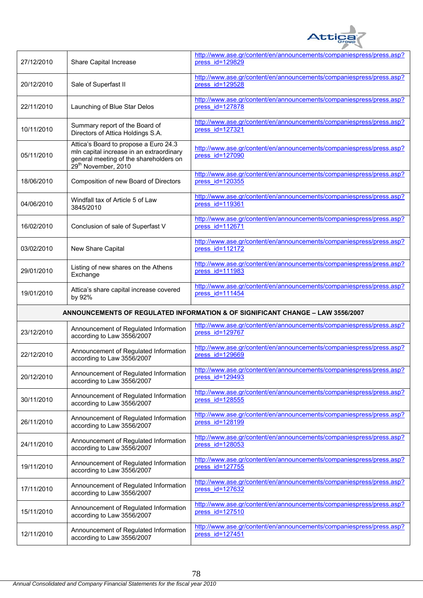

| 27/12/2010 | Share Capital Increase                                                                                                                                         | http://www.ase.gr/content/en/announcements/companiespress/press.asp?<br>press id=129829 |
|------------|----------------------------------------------------------------------------------------------------------------------------------------------------------------|-----------------------------------------------------------------------------------------|
| 20/12/2010 | Sale of Superfast II                                                                                                                                           | http://www.ase.gr/content/en/announcements/companiespress/press.asp?<br>press id=129528 |
| 22/11/2010 | Launching of Blue Star Delos                                                                                                                                   | http://www.ase.gr/content/en/announcements/companiespress/press.asp?<br>press id=127878 |
| 10/11/2010 | Summary report of the Board of<br>Directors of Attica Holdings S.A.                                                                                            | http://www.ase.gr/content/en/announcements/companiespress/press.asp?<br>press id=127321 |
| 05/11/2010 | Attica's Board to propose a Euro 24.3<br>mln capital increase in an extraordinary<br>general meeting of the shareholders on<br>29 <sup>th</sup> November, 2010 | http://www.ase.gr/content/en/announcements/companiespress/press.asp?<br>press id=127090 |
| 18/06/2010 | Composition of new Board of Directors                                                                                                                          | http://www.ase.gr/content/en/announcements/companiespress/press.asp?<br>press id=120355 |
| 04/06/2010 | Windfall tax of Article 5 of Law<br>3845/2010                                                                                                                  | http://www.ase.gr/content/en/announcements/companiespress/press.asp?<br>press id=119361 |
| 16/02/2010 | Conclusion of sale of Superfast V                                                                                                                              | http://www.ase.gr/content/en/announcements/companiespress/press.asp?<br>press id=112671 |
| 03/02/2010 | New Share Capital                                                                                                                                              | http://www.ase.gr/content/en/announcements/companiespress/press.asp?<br>press id=112172 |
| 29/01/2010 | Listing of new shares on the Athens<br>Exchange                                                                                                                | http://www.ase.gr/content/en/announcements/companiespress/press.asp?<br>press id=111983 |
| 19/01/2010 | Attica's share capital increase covered<br>by 92%                                                                                                              | http://www.ase.gr/content/en/announcements/companiespress/press.asp?<br>press id=111454 |
|            |                                                                                                                                                                |                                                                                         |
|            |                                                                                                                                                                | ANNOUNCEMENTS OF REGULATED INFORMATION & OF SIGNIFICANT CHANGE - LAW 3556/2007          |
| 23/12/2010 | Announcement of Regulated Information<br>according to Law 3556/2007                                                                                            | http://www.ase.gr/content/en/announcements/companiespress/press.asp?<br>press id=129767 |
| 22/12/2010 | Announcement of Regulated Information<br>according to Law 3556/2007                                                                                            | http://www.ase.gr/content/en/announcements/companiespress/press.asp?<br>press id=129669 |
| 20/12/2010 | Announcement of Regulated Information<br>according to Law 3556/2007                                                                                            | http://www.ase.gr/content/en/announcements/companiespress/press.asp?<br>press id=129493 |
| 30/11/2010 | Announcement of Regulated Information<br>according to Law 3556/2007                                                                                            | http://www.ase.gr/content/en/announcements/companiespress/press.asp?<br>press id=128555 |
| 26/11/2010 | Announcement of Regulated Information<br>according to Law 3556/2007                                                                                            | http://www.ase.gr/content/en/announcements/companiespress/press.asp?<br>press id=128199 |
| 24/11/2010 | Announcement of Regulated Information<br>according to Law 3556/2007                                                                                            | http://www.ase.gr/content/en/announcements/companiespress/press.asp?<br>press id=128053 |
| 19/11/2010 | Announcement of Regulated Information<br>according to Law 3556/2007                                                                                            | http://www.ase.gr/content/en/announcements/companiespress/press.asp?<br>press id=127755 |
| 17/11/2010 | Announcement of Regulated Information<br>according to Law 3556/2007                                                                                            | http://www.ase.gr/content/en/announcements/companiespress/press.asp?<br>press id=127632 |
| 15/11/2010 | Announcement of Regulated Information<br>according to Law 3556/2007                                                                                            | http://www.ase.gr/content/en/announcements/companiespress/press.asp?<br>press id=127510 |

 $\overline{a}$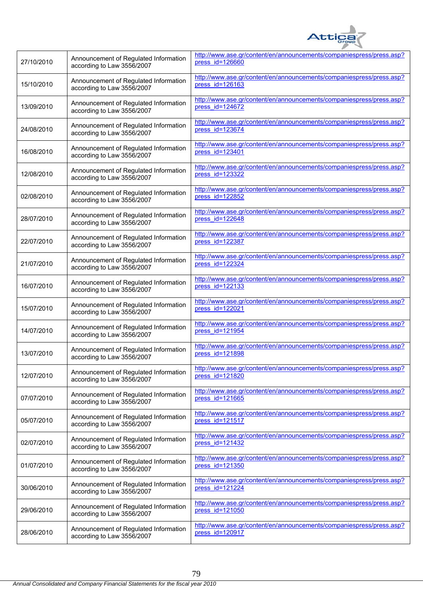

| 27/10/2010 | Announcement of Regulated Information<br>according to Law 3556/2007 | http://www.ase.gr/content/en/announcements/companiespress/press.asp?<br>press id=126660   |
|------------|---------------------------------------------------------------------|-------------------------------------------------------------------------------------------|
| 15/10/2010 | Announcement of Regulated Information<br>according to Law 3556/2007 | http://www.ase.gr/content/en/announcements/companiespress/press.asp?<br>press id=126163   |
| 13/09/2010 | Announcement of Regulated Information<br>according to Law 3556/2007 | http://www.ase.gr/content/en/announcements/companiespress/press.asp?<br>press id=124672   |
| 24/08/2010 | Announcement of Regulated Information<br>according to Law 3556/2007 | http://www.ase.gr/content/en/announcements/companiespress/press.asp?<br>press id=123674   |
| 16/08/2010 | Announcement of Regulated Information<br>according to Law 3556/2007 | http://www.ase.gr/content/en/announcements/companiespress/press.asp?<br>press id=123401   |
| 12/08/2010 | Announcement of Regulated Information<br>according to Law 3556/2007 | http://www.ase.gr/content/en/announcements/companiespress/press.asp?<br>press id=123322   |
| 02/08/2010 | Announcement of Regulated Information<br>according to Law 3556/2007 | http://www.ase.gr/content/en/announcements/companiespress/press.asp?<br>press id=122852   |
| 28/07/2010 | Announcement of Regulated Information<br>according to Law 3556/2007 | http://www.ase.gr/content/en/announcements/companiespress/press.asp?<br>press $id=122648$ |
| 22/07/2010 | Announcement of Regulated Information<br>according to Law 3556/2007 | http://www.ase.gr/content/en/announcements/companiespress/press.asp?<br>press id=122387   |
| 21/07/2010 | Announcement of Regulated Information<br>according to Law 3556/2007 | http://www.ase.gr/content/en/announcements/companiespress/press.asp?<br>press id=122324   |
| 16/07/2010 | Announcement of Regulated Information<br>according to Law 3556/2007 | http://www.ase.gr/content/en/announcements/companiespress/press.asp?<br>press id=122133   |
| 15/07/2010 | Announcement of Regulated Information<br>according to Law 3556/2007 | http://www.ase.gr/content/en/announcements/companiespress/press.asp?<br>press id=122021   |
| 14/07/2010 | Announcement of Regulated Information<br>according to Law 3556/2007 | http://www.ase.gr/content/en/announcements/companiespress/press.asp?<br>press id=121954   |
| 13/07/2010 | Announcement of Regulated Information<br>according to Law 3556/2007 | http://www.ase.gr/content/en/announcements/companiespress/press.asp?<br>press id=121898   |
| 12/07/2010 | Announcement of Regulated Information<br>according to Law 3556/2007 | http://www.ase.gr/content/en/announcements/companiespress/press.asp?<br>press id=121820   |
| 07/07/2010 | Announcement of Regulated Information<br>according to Law 3556/2007 | http://www.ase.gr/content/en/announcements/companiespress/press.asp?<br>press id=121665   |
| 05/07/2010 | Announcement of Regulated Information<br>according to Law 3556/2007 | http://www.ase.gr/content/en/announcements/companiespress/press.asp?<br>press id=121517   |
| 02/07/2010 | Announcement of Regulated Information<br>according to Law 3556/2007 | http://www.ase.gr/content/en/announcements/companiespress/press.asp?<br>press id=121432   |
| 01/07/2010 | Announcement of Regulated Information<br>according to Law 3556/2007 | http://www.ase.gr/content/en/announcements/companiespress/press.asp?<br>press id=121350   |
| 30/06/2010 | Announcement of Regulated Information<br>according to Law 3556/2007 | http://www.ase.gr/content/en/announcements/companiespress/press.asp?<br>press id=121224   |
| 29/06/2010 | Announcement of Regulated Information<br>according to Law 3556/2007 | http://www.ase.gr/content/en/announcements/companiespress/press.asp?<br>press id=121050   |
| 28/06/2010 | Announcement of Regulated Information<br>according to Law 3556/2007 | http://www.ase.gr/content/en/announcements/companiespress/press.asp?<br>press id=120917   |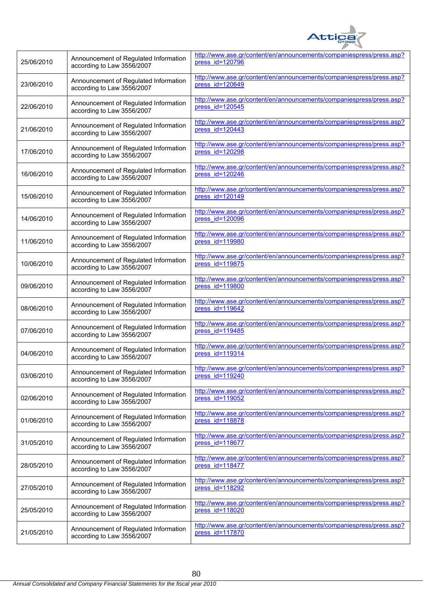

| 25/06/2010 | Announcement of Regulated Information<br>according to Law 3556/2007 | http://www.ase.gr/content/en/announcements/companiespress/press.asp?<br>press id=120796   |
|------------|---------------------------------------------------------------------|-------------------------------------------------------------------------------------------|
| 23/06/2010 | Announcement of Regulated Information<br>according to Law 3556/2007 | http://www.ase.gr/content/en/announcements/companiespress/press.asp?<br>press id=120649   |
| 22/06/2010 | Announcement of Regulated Information<br>according to Law 3556/2007 | http://www.ase.gr/content/en/announcements/companiespress/press.asp?<br>press id=120545   |
| 21/06/2010 | Announcement of Regulated Information<br>according to Law 3556/2007 | http://www.ase.gr/content/en/announcements/companiespress/press.asp?<br>press $id=120443$ |
| 17/06/2010 | Announcement of Regulated Information<br>according to Law 3556/2007 | http://www.ase.gr/content/en/announcements/companiespress/press.asp?<br>press id=120298   |
| 16/06/2010 | Announcement of Regulated Information<br>according to Law 3556/2007 | http://www.ase.gr/content/en/announcements/companiespress/press.asp?<br>press id=120246   |
| 15/06/2010 | Announcement of Regulated Information<br>according to Law 3556/2007 | http://www.ase.gr/content/en/announcements/companiespress/press.asp?<br>press id=120149   |
| 14/06/2010 | Announcement of Regulated Information<br>according to Law 3556/2007 | http://www.ase.gr/content/en/announcements/companiespress/press.asp?<br>press id=120096   |
| 11/06/2010 | Announcement of Regulated Information<br>according to Law 3556/2007 | http://www.ase.gr/content/en/announcements/companiespress/press.asp?<br>press id=119980   |
| 10/06/2010 | Announcement of Regulated Information<br>according to Law 3556/2007 | http://www.ase.gr/content/en/announcements/companiespress/press.asp?<br>press id=119875   |
| 09/06/2010 | Announcement of Regulated Information<br>according to Law 3556/2007 | http://www.ase.gr/content/en/announcements/companiespress/press.asp?<br>press id=119800   |
| 08/06/2010 | Announcement of Regulated Information<br>according to Law 3556/2007 | http://www.ase.gr/content/en/announcements/companiespress/press.asp?<br>press $id=119642$ |
| 07/06/2010 | Announcement of Regulated Information<br>according to Law 3556/2007 | http://www.ase.gr/content/en/announcements/companiespress/press.asp?<br>press id=119485   |
| 04/06/2010 | Announcement of Regulated Information<br>according to Law 3556/2007 | http://www.ase.gr/content/en/announcements/companiespress/press.asp?<br>press id=119314   |
| 03/06/2010 | Announcement of Regulated Information<br>according to Law 3556/2007 | http://www.ase.gr/content/en/announcements/companiespress/press.asp?<br>press id=119240   |
| 02/06/2010 | Announcement of Regulated Information<br>according to Law 3556/2007 | http://www.ase.gr/content/en/announcements/companiespress/press.asp?<br>press id=119052   |
| 01/06/2010 | Announcement of Regulated Information<br>according to Law 3556/2007 | http://www.ase.gr/content/en/announcements/companiespress/press.asp?<br>press id=118878   |
| 31/05/2010 | Announcement of Regulated Information<br>according to Law 3556/2007 | http://www.ase.gr/content/en/announcements/companiespress/press.asp?<br>press id=118677   |
| 28/05/2010 | Announcement of Regulated Information<br>according to Law 3556/2007 | http://www.ase.gr/content/en/announcements/companiespress/press.asp?<br>press id=118477   |
| 27/05/2010 | Announcement of Regulated Information<br>according to Law 3556/2007 | http://www.ase.gr/content/en/announcements/companiespress/press.asp?<br>press id=118292   |
| 25/05/2010 | Announcement of Regulated Information<br>according to Law 3556/2007 | http://www.ase.gr/content/en/announcements/companiespress/press.asp?<br>press id=118020   |
| 21/05/2010 | Announcement of Regulated Information<br>according to Law 3556/2007 | http://www.ase.gr/content/en/announcements/companiespress/press.asp?<br>press id=117870   |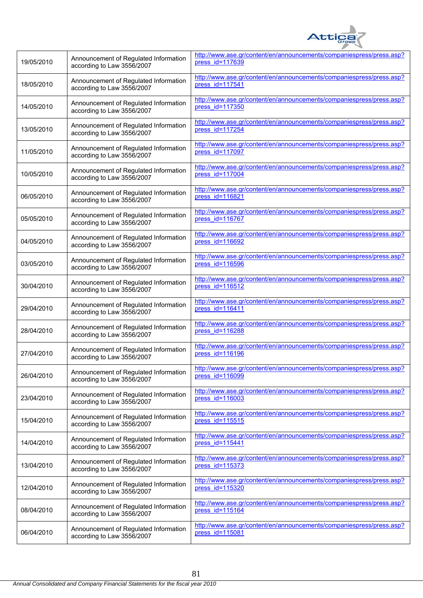

| 19/05/2010 | Announcement of Regulated Information<br>according to Law 3556/2007 | http://www.ase.gr/content/en/announcements/companiespress/press.asp?<br>press id=117639   |
|------------|---------------------------------------------------------------------|-------------------------------------------------------------------------------------------|
| 18/05/2010 | Announcement of Regulated Information<br>according to Law 3556/2007 | http://www.ase.gr/content/en/announcements/companiespress/press.asp?<br>press $id=117541$ |
| 14/05/2010 | Announcement of Regulated Information<br>according to Law 3556/2007 | http://www.ase.gr/content/en/announcements/companiespress/press.asp?<br>press id=117350   |
| 13/05/2010 | Announcement of Regulated Information<br>according to Law 3556/2007 | http://www.ase.gr/content/en/announcements/companiespress/press.asp?<br>press id=117254   |
| 11/05/2010 | Announcement of Regulated Information<br>according to Law 3556/2007 | http://www.ase.gr/content/en/announcements/companiespress/press.asp?<br>press id=117097   |
| 10/05/2010 | Announcement of Regulated Information<br>according to Law 3556/2007 | http://www.ase.gr/content/en/announcements/companiespress/press.asp?<br>press id=117004   |
| 06/05/2010 | Announcement of Regulated Information<br>according to Law 3556/2007 | http://www.ase.gr/content/en/announcements/companiespress/press.asp?<br>press id=116821   |
| 05/05/2010 | Announcement of Regulated Information<br>according to Law 3556/2007 | http://www.ase.gr/content/en/announcements/companiespress/press.asp?<br>$pres$ id=116767  |
| 04/05/2010 | Announcement of Regulated Information<br>according to Law 3556/2007 | http://www.ase.gr/content/en/announcements/companiespress/press.asp?<br>press id=116692   |
| 03/05/2010 | Announcement of Regulated Information<br>according to Law 3556/2007 | http://www.ase.gr/content/en/announcements/companiespress/press.asp?<br>press id=116596   |
| 30/04/2010 | Announcement of Regulated Information<br>according to Law 3556/2007 | http://www.ase.gr/content/en/announcements/companiespress/press.asp?<br>press id=116512   |
| 29/04/2010 | Announcement of Regulated Information<br>according to Law 3556/2007 | http://www.ase.gr/content/en/announcements/companiespress/press.asp?<br>press id=116411   |
| 28/04/2010 | Announcement of Regulated Information<br>according to Law 3556/2007 | http://www.ase.gr/content/en/announcements/companiespress/press.asp?<br>press id=116288   |
| 27/04/2010 | Announcement of Regulated Information<br>according to Law 3556/2007 | http://www.ase.gr/content/en/announcements/companiespress/press.asp?<br>press $id=116196$ |
| 26/04/2010 | Announcement of Regulated Information<br>according to Law 3556/2007 | http://www.ase.gr/content/en/announcements/companiespress/press.asp?<br>press id=116099   |
| 23/04/2010 | Announcement of Regulated Information<br>according to Law 3556/2007 | http://www.ase.gr/content/en/announcements/companiespress/press.asp?<br>press id=116003   |
| 15/04/2010 | Announcement of Regulated Information<br>according to Law 3556/2007 | http://www.ase.gr/content/en/announcements/companiespress/press.asp?<br>press id=115515   |
| 14/04/2010 | Announcement of Regulated Information<br>according to Law 3556/2007 | http://www.ase.gr/content/en/announcements/companiespress/press.asp?<br>press id=115441   |
| 13/04/2010 | Announcement of Regulated Information<br>according to Law 3556/2007 | http://www.ase.gr/content/en/announcements/companiespress/press.asp?<br>press id=115373   |
| 12/04/2010 | Announcement of Regulated Information<br>according to Law 3556/2007 | http://www.ase.gr/content/en/announcements/companiespress/press.asp?<br>press id=115320   |
| 08/04/2010 | Announcement of Regulated Information<br>according to Law 3556/2007 | http://www.ase.gr/content/en/announcements/companiespress/press.asp?<br>press id=115164   |
| 06/04/2010 | Announcement of Regulated Information<br>according to Law 3556/2007 | http://www.ase.gr/content/en/announcements/companiespress/press.asp?<br>press id=115081   |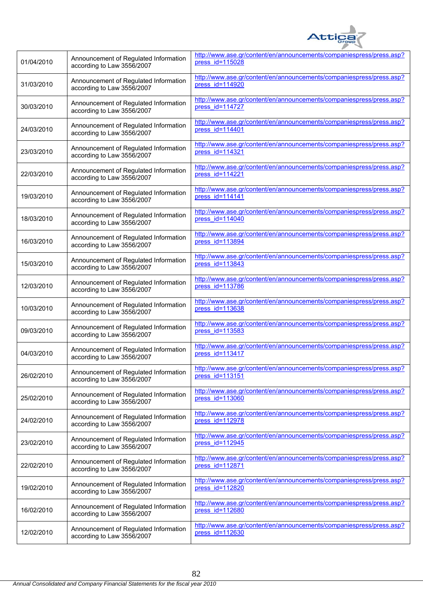

| 01/04/2010 | Announcement of Regulated Information<br>according to Law 3556/2007 | http://www.ase.gr/content/en/announcements/companiespress/press.asp?<br>press id=115028    |
|------------|---------------------------------------------------------------------|--------------------------------------------------------------------------------------------|
| 31/03/2010 | Announcement of Regulated Information<br>according to Law 3556/2007 | http://www.ase.gr/content/en/announcements/companiespress/press.asp?<br>$pres$ $id=114920$ |
| 30/03/2010 | Announcement of Regulated Information<br>according to Law 3556/2007 | http://www.ase.gr/content/en/announcements/companiespress/press.asp?<br>press id=114727    |
| 24/03/2010 | Announcement of Regulated Information<br>according to Law 3556/2007 | http://www.ase.gr/content/en/announcements/companiespress/press.asp?<br>press id=114401    |
| 23/03/2010 | Announcement of Regulated Information<br>according to Law 3556/2007 | http://www.ase.gr/content/en/announcements/companiespress/press.asp?<br>press id=114321    |
| 22/03/2010 | Announcement of Regulated Information<br>according to Law 3556/2007 | http://www.ase.gr/content/en/announcements/companiespress/press.asp?<br>press id=114221    |
| 19/03/2010 | Announcement of Regulated Information<br>according to Law 3556/2007 | http://www.ase.gr/content/en/announcements/companiespress/press.asp?<br>press id=114141    |
| 18/03/2010 | Announcement of Regulated Information<br>according to Law 3556/2007 | http://www.ase.gr/content/en/announcements/companiespress/press.asp?<br>$pres$ $id=114040$ |
| 16/03/2010 | Announcement of Regulated Information<br>according to Law 3556/2007 | http://www.ase.gr/content/en/announcements/companiespress/press.asp?<br>press id=113894    |
| 15/03/2010 | Announcement of Regulated Information<br>according to Law 3556/2007 | http://www.ase.gr/content/en/announcements/companiespress/press.asp?<br>press id=113843    |
| 12/03/2010 | Announcement of Regulated Information<br>according to Law 3556/2007 | http://www.ase.gr/content/en/announcements/companiespress/press.asp?<br>press id=113786    |
| 10/03/2010 | Announcement of Regulated Information<br>according to Law 3556/2007 | http://www.ase.gr/content/en/announcements/companiespress/press.asp?<br>press $id=113638$  |
| 09/03/2010 | Announcement of Regulated Information<br>according to Law 3556/2007 | http://www.ase.gr/content/en/announcements/companiespress/press.asp?<br>press id=113583    |
| 04/03/2010 | Announcement of Regulated Information<br>according to Law 3556/2007 | http://www.ase.gr/content/en/announcements/companiespress/press.asp?<br>press id=113417    |
| 26/02/2010 | Announcement of Regulated Information<br>according to Law 3556/2007 | http://www.ase.gr/content/en/announcements/companiespress/press.asp?<br>press id=113151    |
| 25/02/2010 | Announcement of Regulated Information<br>according to Law 3556/2007 | http://www.ase.gr/content/en/announcements/companiespress/press.asp?<br>press id=113060    |
| 24/02/2010 | Announcement of Regulated Information<br>according to Law 3556/2007 | http://www.ase.gr/content/en/announcements/companiespress/press.asp?<br>press id=112978    |
| 23/02/2010 | Announcement of Regulated Information<br>according to Law 3556/2007 | http://www.ase.gr/content/en/announcements/companiespress/press.asp?<br>press id=112945    |
| 22/02/2010 | Announcement of Regulated Information<br>according to Law 3556/2007 | http://www.ase.gr/content/en/announcements/companiespress/press.asp?<br>press id=112871    |
| 19/02/2010 | Announcement of Regulated Information<br>according to Law 3556/2007 | http://www.ase.gr/content/en/announcements/companiespress/press.asp?<br>press id=112820    |
| 16/02/2010 | Announcement of Regulated Information<br>according to Law 3556/2007 | http://www.ase.gr/content/en/announcements/companiespress/press.asp?<br>press id=112680    |
| 12/02/2010 | Announcement of Regulated Information<br>according to Law 3556/2007 | http://www.ase.gr/content/en/announcements/companiespress/press.asp?<br>press id=112630    |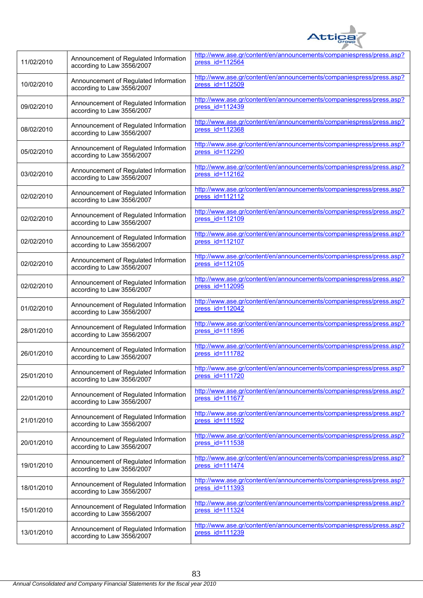

| 11/02/2010 | Announcement of Regulated Information<br>according to Law 3556/2007 | http://www.ase.gr/content/en/announcements/companiespress/press.asp?<br>press id=112564 |
|------------|---------------------------------------------------------------------|-----------------------------------------------------------------------------------------|
| 10/02/2010 | Announcement of Regulated Information<br>according to Law 3556/2007 | http://www.ase.gr/content/en/announcements/companiespress/press.asp?<br>press id=112509 |
| 09/02/2010 | Announcement of Regulated Information<br>according to Law 3556/2007 | http://www.ase.gr/content/en/announcements/companiespress/press.asp?<br>press id=112439 |
| 08/02/2010 | Announcement of Regulated Information<br>according to Law 3556/2007 | http://www.ase.gr/content/en/announcements/companiespress/press.asp?<br>press id=112368 |
| 05/02/2010 | Announcement of Regulated Information<br>according to Law 3556/2007 | http://www.ase.gr/content/en/announcements/companiespress/press.asp?<br>press id=112290 |
| 03/02/2010 | Announcement of Regulated Information<br>according to Law 3556/2007 | http://www.ase.gr/content/en/announcements/companiespress/press.asp?<br>press id=112162 |
| 02/02/2010 | Announcement of Regulated Information<br>according to Law 3556/2007 | http://www.ase.gr/content/en/announcements/companiespress/press.asp?<br>press id=112112 |
| 02/02/2010 | Announcement of Regulated Information<br>according to Law 3556/2007 | http://www.ase.gr/content/en/announcements/companiespress/press.asp?<br>press id=112109 |
| 02/02/2010 | Announcement of Regulated Information<br>according to Law 3556/2007 | http://www.ase.gr/content/en/announcements/companiespress/press.asp?<br>press id=112107 |
| 02/02/2010 | Announcement of Regulated Information<br>according to Law 3556/2007 | http://www.ase.gr/content/en/announcements/companiespress/press.asp?<br>press id=112105 |
| 02/02/2010 | Announcement of Regulated Information<br>according to Law 3556/2007 | http://www.ase.gr/content/en/announcements/companiespress/press.asp?<br>press id=112095 |
| 01/02/2010 | Announcement of Regulated Information<br>according to Law 3556/2007 | http://www.ase.gr/content/en/announcements/companiespress/press.asp?<br>press id=112042 |
| 28/01/2010 | Announcement of Regulated Information<br>according to Law 3556/2007 | http://www.ase.gr/content/en/announcements/companiespress/press.asp?<br>press id=111896 |
| 26/01/2010 | Announcement of Regulated Information<br>according to Law 3556/2007 | http://www.ase.gr/content/en/announcements/companiespress/press.asp?<br>press id=111782 |
| 25/01/2010 | Announcement of Regulated Information<br>according to Law 3556/2007 | http://www.ase.gr/content/en/announcements/companiespress/press.asp?<br>press id=111720 |
| 22/01/2010 | Announcement of Regulated Information<br>according to Law 3556/2007 | http://www.ase.gr/content/en/announcements/companiespress/press.asp?<br>press id=111677 |
| 21/01/2010 | Announcement of Regulated Information<br>according to Law 3556/2007 | http://www.ase.gr/content/en/announcements/companiespress/press.asp?<br>press id=111592 |
| 20/01/2010 | Announcement of Regulated Information<br>according to Law 3556/2007 | http://www.ase.gr/content/en/announcements/companiespress/press.asp?<br>press id=111538 |
| 19/01/2010 | Announcement of Regulated Information<br>according to Law 3556/2007 | http://www.ase.gr/content/en/announcements/companiespress/press.asp?<br>press id=111474 |
| 18/01/2010 | Announcement of Regulated Information<br>according to Law 3556/2007 | http://www.ase.gr/content/en/announcements/companiespress/press.asp?<br>press id=111393 |
| 15/01/2010 | Announcement of Regulated Information<br>according to Law 3556/2007 | http://www.ase.gr/content/en/announcements/companiespress/press.asp?<br>press id=111324 |
| 13/01/2010 | Announcement of Regulated Information<br>according to Law 3556/2007 | http://www.ase.gr/content/en/announcements/companiespress/press.asp?<br>press id=111239 |